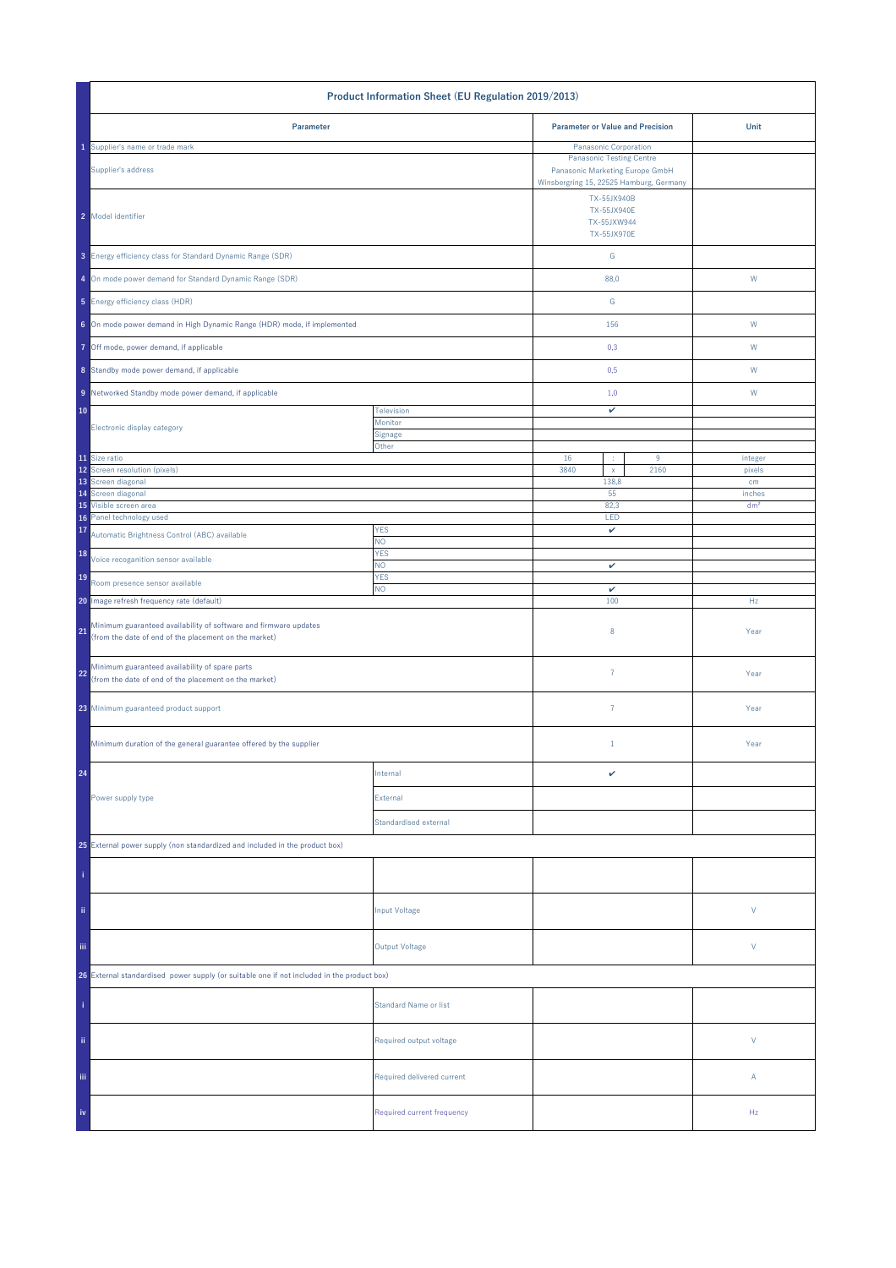| Product Information Sheet (EU Regulation 2019/2013)                                                                             |                                                                                                               |                                                          |                 |  |
|---------------------------------------------------------------------------------------------------------------------------------|---------------------------------------------------------------------------------------------------------------|----------------------------------------------------------|-----------------|--|
| Parameter                                                                                                                       |                                                                                                               | <b>Parameter or Value and Precision</b>                  | Unit            |  |
| Supplier's name or trade mark                                                                                                   |                                                                                                               | Panasonic Corporation                                    |                 |  |
| Supplier's address                                                                                                              | <b>Panasonic Testing Centre</b><br>Panasonic Marketing Europe GmbH<br>Winsbergring 15, 22525 Hamburg, Germany |                                                          |                 |  |
| 2 Model identifier                                                                                                              |                                                                                                               | TX-55JX940B<br>TX-55JX940E<br>TX-55JXW944<br>TX-55JX970E |                 |  |
| 3 Energy efficiency class for Standard Dynamic Range (SDR)                                                                      |                                                                                                               | G                                                        |                 |  |
| 4 On mode power demand for Standard Dynamic Range (SDR)                                                                         |                                                                                                               | 88,0                                                     | ${\sf W}$       |  |
| 5 Energy efficiency class (HDR)                                                                                                 |                                                                                                               | G                                                        |                 |  |
| 6 On mode power demand in High Dynamic Range (HDR) mode, if implemented                                                         |                                                                                                               | 156                                                      | W               |  |
| 7 Off mode, power demand, if applicable                                                                                         |                                                                                                               | 0,3                                                      | W               |  |
| 8 Standby mode power demand, if applicable                                                                                      |                                                                                                               | 0,5                                                      | W               |  |
| 9 Networked Standby mode power demand, if applicable                                                                            |                                                                                                               | 1,0                                                      | W               |  |
| 10                                                                                                                              | Television<br>Monitor                                                                                         | v                                                        |                 |  |
| Electronic display category                                                                                                     | Signage                                                                                                       |                                                          |                 |  |
| 11 Size ratio                                                                                                                   | Other                                                                                                         | 16<br>9<br>÷                                             | integer         |  |
| 12 Screen resolution (pixels)                                                                                                   |                                                                                                               | 3840<br>2160<br>$\mathsf X$                              | pixels          |  |
| 13 Screen diagonal<br>14 Screen diagonal                                                                                        |                                                                                                               | 138,8<br>55                                              | cm<br>inches    |  |
| 15 Visible screen area                                                                                                          |                                                                                                               | 82,3                                                     | dm <sup>2</sup> |  |
| Panel technology used<br>16                                                                                                     |                                                                                                               | LED                                                      |                 |  |
| 17<br>Automatic Brightness Control (ABC) available                                                                              | <b>YES</b><br>NO.                                                                                             | v                                                        |                 |  |
| 18<br>Voice recoganition sensor available                                                                                       | <b>YES</b><br>NO.                                                                                             | v                                                        |                 |  |
| 19<br>Room presence sensor available                                                                                            | <b>YES</b><br><b>NO</b>                                                                                       | $\checkmark$                                             |                 |  |
| 20 Image refresh frequency rate (default)                                                                                       |                                                                                                               | 100                                                      | Hz              |  |
| Minimum guaranteed availability of software and firmware updates<br>21<br>(from the date of end of the placement on the market) |                                                                                                               | 8                                                        | Year            |  |
| Minimum guaranteed availability of spare parts<br>22<br>(from the date of end of the placement on the market)                   |                                                                                                               | $\overline{7}$                                           | Year            |  |
| 23 Minimum guaranteed product support                                                                                           |                                                                                                               | $\overline{7}$                                           | Year            |  |
| Minimum duration of the general guarantee offered by the supplier                                                               |                                                                                                               | $1\,$                                                    | Year            |  |
| 24                                                                                                                              | Internal                                                                                                      | v                                                        |                 |  |
| Power supply type                                                                                                               | External                                                                                                      |                                                          |                 |  |
|                                                                                                                                 | Standardised external                                                                                         |                                                          |                 |  |
| 25 External power supply (non standardized and included in the product box)                                                     |                                                                                                               |                                                          |                 |  |
|                                                                                                                                 |                                                                                                               |                                                          |                 |  |
| ii.                                                                                                                             | <b>Input Voltage</b>                                                                                          |                                                          | V               |  |
| <b>Output Voltage</b><br>iii.                                                                                                   |                                                                                                               |                                                          | V               |  |
| 26 External standardised power supply (or suitable one if not included in the product box)                                      |                                                                                                               |                                                          |                 |  |
|                                                                                                                                 | <b>Standard Name or list</b>                                                                                  |                                                          |                 |  |
| ii.                                                                                                                             | Required output voltage                                                                                       |                                                          | V               |  |
| Ϊij                                                                                                                             | Required delivered current                                                                                    |                                                          | Α               |  |
| iv                                                                                                                              | Required current frequency                                                                                    |                                                          | Hz              |  |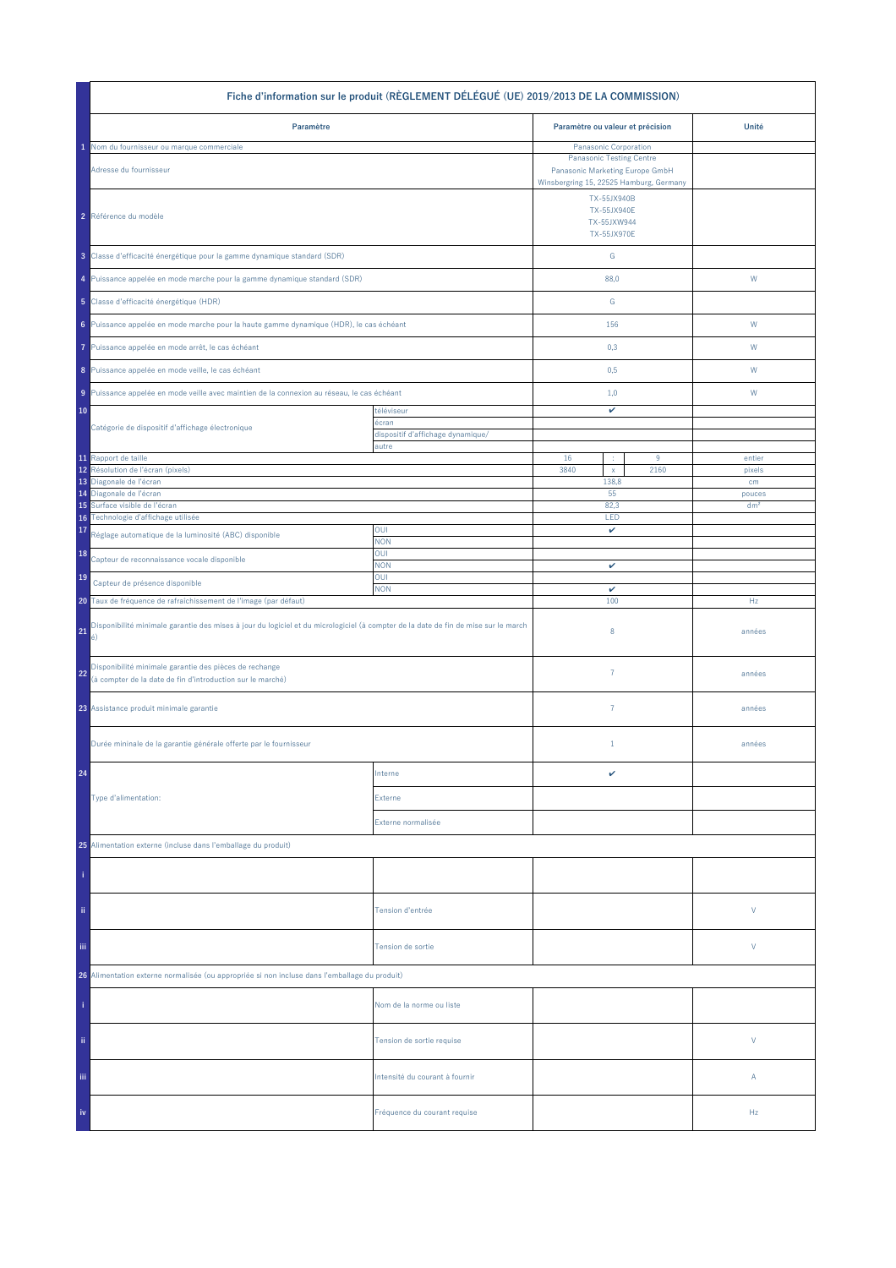| Fiche d'information sur le produit (RÈGLEMENT DÉLÉGUÉ (UE) 2019/2013 DE LA COMMISSION)                                                         |                                                          |                                                                                                     |           |                  |  |
|------------------------------------------------------------------------------------------------------------------------------------------------|----------------------------------------------------------|-----------------------------------------------------------------------------------------------------|-----------|------------------|--|
| Paramètre                                                                                                                                      |                                                          | Paramètre ou valeur et précision                                                                    |           | Unité            |  |
| Nom du fournisseur ou marque commerciale                                                                                                       |                                                          | Panasonic Corporation                                                                               |           |                  |  |
| Adresse du fournisseur                                                                                                                         |                                                          | <b>Panasonic Testing Centre</b><br>Panasonic Marketing Europe GmbH                                  |           |                  |  |
| 2 Référence du modèle                                                                                                                          |                                                          | Winsbergring 15, 22525 Hamburg, Germany<br>TX-55JX940B<br>TX-55JX940E<br>TX-55JXW944<br>TX-55JX970E |           |                  |  |
| 3 Classe d'efficacité énergétique pour la gamme dynamique standard (SDR)                                                                       |                                                          | ${\mathsf G}$                                                                                       |           |                  |  |
| 4 Puissance appelée en mode marche pour la gamme dynamique standard (SDR)                                                                      |                                                          | 88,0                                                                                                |           | W                |  |
| 5 Classe d'efficacité énergétique (HDR)                                                                                                        |                                                          | ${\mathbb G}$                                                                                       |           |                  |  |
| 6 Puissance appelée en mode marche pour la haute gamme dynamique (HDR), le cas échéant                                                         |                                                          | 156                                                                                                 |           | W                |  |
| Puissance appelée en mode arrêt, le cas échéant<br>7                                                                                           |                                                          | 0,3                                                                                                 |           | W                |  |
| 8 Puissance appelée en mode veille, le cas échéant                                                                                             |                                                          | 0,5                                                                                                 |           | W                |  |
| 9 Puissance appelée en mode veille avec maintien de la connexion au réseau, le cas échéant                                                     |                                                          | 1,0                                                                                                 |           | W                |  |
| 10<br>Catégorie de dispositif d'affichage électronique                                                                                         | téléviseur<br>écran<br>dispositif d'affichage dynamique/ | v                                                                                                   |           |                  |  |
|                                                                                                                                                | autre                                                    |                                                                                                     |           |                  |  |
| 11 Rapport de taille<br>Résolution de l'écran (pixels)<br>12                                                                                   |                                                          | 16<br>÷<br>3840<br>$\mathsf X$                                                                      | 9<br>2160 | entier<br>pixels |  |
| 13 Diagonale de l'écran                                                                                                                        |                                                          | 138,8                                                                                               |           | cm               |  |
| 14 Diagonale de l'écran                                                                                                                        |                                                          | 55                                                                                                  |           | pouces           |  |
| Surface visible de l'écran<br>15<br>Technologie d'affichage utilisée<br>16                                                                     |                                                          | 82,3<br>LED                                                                                         |           | dm <sup>2</sup>  |  |
| 17<br>Réglage automatique de la luminosité (ABC) disponible                                                                                    | OUI<br><b>NON</b>                                        | v                                                                                                   |           |                  |  |
| 18<br>Capteur de reconnaissance vocale disponible                                                                                              | OUI<br><b>NON</b>                                        | v                                                                                                   |           |                  |  |
| 19<br>Capteur de présence disponible                                                                                                           | OUI<br><b>NON</b>                                        | $\checkmark$                                                                                        |           |                  |  |
| 20 Taux de fréquence de rafraîchissement de l'image (par défaut)                                                                               |                                                          | 100                                                                                                 |           | Hz               |  |
| Disponibilité minimale garantie des mises à jour du logiciel et du micrologiciel (à compter de la date de fin de mise sur le march<br>21<br>é) |                                                          | 8                                                                                                   |           | années           |  |
| Disponibilité minimale garantie des pièces de rechange<br>22<br>(à compter de la date de fin d'introduction sur le marché)                     |                                                          | $\overline{7}$                                                                                      |           | années           |  |
| 23 Assistance produit minimale garantie                                                                                                        |                                                          | $\overline{7}$                                                                                      |           | années           |  |
| Durée mininale de la garantie générale offerte par le fournisseur                                                                              |                                                          | $1\,$                                                                                               |           | années           |  |
| 24                                                                                                                                             | Interne                                                  | v                                                                                                   |           |                  |  |
| Type d'alimentation:                                                                                                                           | Externe                                                  |                                                                                                     |           |                  |  |
|                                                                                                                                                | Externe normalisée                                       |                                                                                                     |           |                  |  |
| 25 Alimentation externe (incluse dans l'emballage du produit)                                                                                  |                                                          |                                                                                                     |           |                  |  |
|                                                                                                                                                |                                                          |                                                                                                     |           |                  |  |
| ii.                                                                                                                                            | Tension d'entrée                                         |                                                                                                     |           | V                |  |
| Tension de sortie                                                                                                                              |                                                          |                                                                                                     | V         |                  |  |
| 26 Alimentation externe normalisée (ou appropriée si non incluse dans l'emballage du produit)                                                  |                                                          |                                                                                                     |           |                  |  |
|                                                                                                                                                | Nom de la norme ou liste                                 |                                                                                                     |           |                  |  |
| ii.                                                                                                                                            | Tension de sortie requise                                |                                                                                                     |           | V                |  |
| Ϊij                                                                                                                                            | Intensité du courant à fournir                           |                                                                                                     |           | Α                |  |
| iv                                                                                                                                             | Fréquence du courant requise                             |                                                                                                     |           | Hz               |  |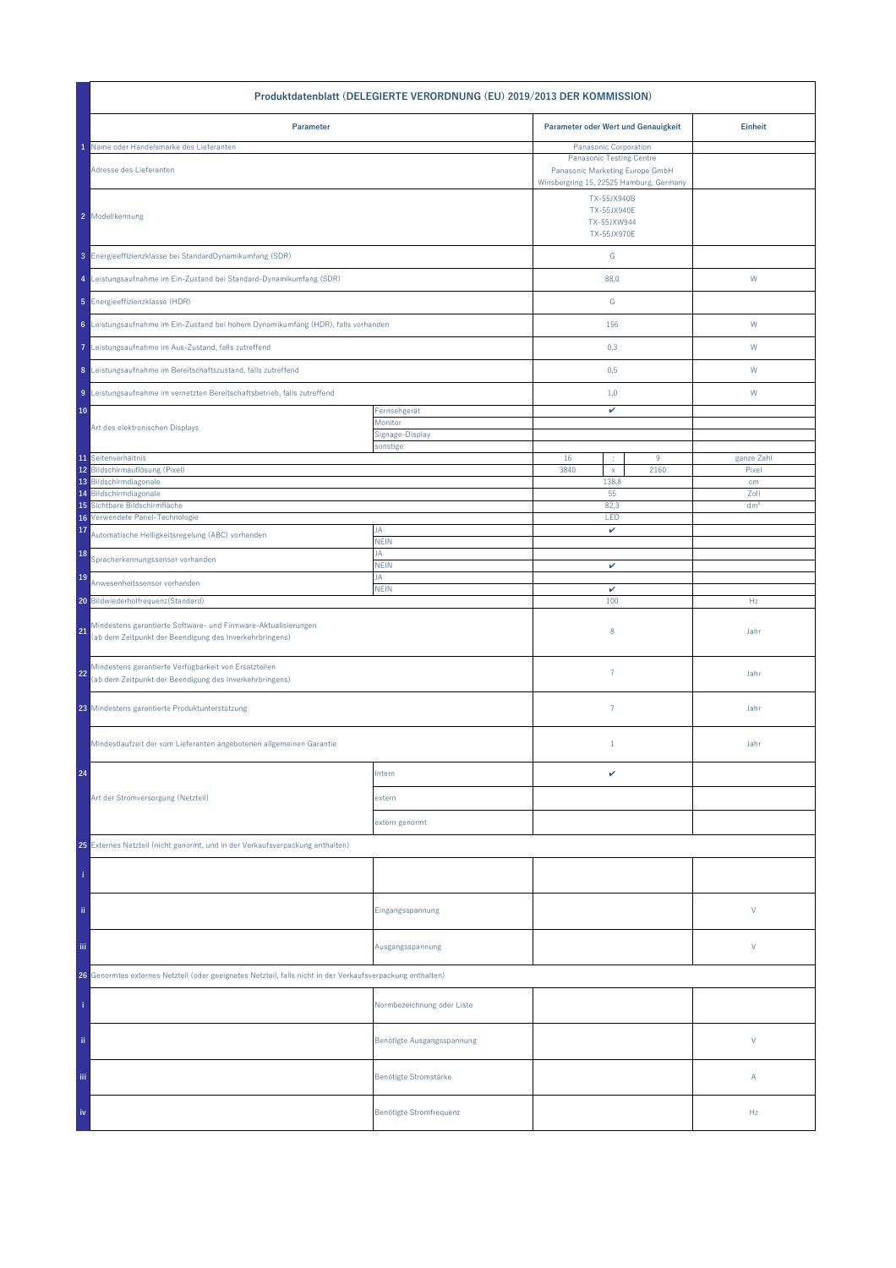| Produktdatenblatt (DELEGIERTE VERORDNUNG (EU) 2019/2013 DER KOMMISSION)                                                         |                             |                                                          |                                                                                                                                        |                 |  |
|---------------------------------------------------------------------------------------------------------------------------------|-----------------------------|----------------------------------------------------------|----------------------------------------------------------------------------------------------------------------------------------------|-----------------|--|
| Parameter                                                                                                                       |                             | Parameter oder Wert und Genauigkeit                      |                                                                                                                                        | <b>Einheit</b>  |  |
| Name oder Handelsmarke des Lieferanten<br>Adresse des Lieferanten                                                               |                             |                                                          | Panasonic Corporation<br><b>Panasonic Testing Centre</b><br>Panasonic Marketing Europe GmbH<br>Winsbergring 15, 22525 Hamburg, Germany |                 |  |
| 2 Modellkennung                                                                                                                 |                             | TX-55JX940B<br>TX-55JX940E<br>TX-55JXW944<br>TX-55JX970E |                                                                                                                                        |                 |  |
| 3 Energieeffizienzklasse bei StandardDynamikumfang (SDR)                                                                        |                             | ${\mathsf G}$                                            |                                                                                                                                        |                 |  |
| 4 Leistungsaufnahme im Ein-Zustand bei Standard-Dynamikumfang (SDR)                                                             |                             | 88,0                                                     |                                                                                                                                        | W               |  |
| 5 Energieeffizienzklasse (HDR)                                                                                                  |                             | G                                                        |                                                                                                                                        |                 |  |
| 6 Leistungsaufnahme im Ein-Zustand bei hohem Dynamikumfang (HDR), falls vorhanden                                               |                             | 156                                                      |                                                                                                                                        | W               |  |
| 7 Leistungsaufnahme im Aus-Zustand, falls zutreffend                                                                            |                             | 0,3                                                      |                                                                                                                                        | W               |  |
| 8 Leistungsaufnahme im Bereitschaftszustand, falls zutreffend                                                                   |                             | 0,5                                                      |                                                                                                                                        | W               |  |
| 9 Leistungsaufnahme im vernetzten Bereitschaftsbetrieb, falls zutreffend                                                        |                             | 1,0                                                      |                                                                                                                                        | W               |  |
| 10                                                                                                                              | Fernsehgerät<br>Monitor     | v                                                        |                                                                                                                                        |                 |  |
| Art des elektronischen Displays                                                                                                 | Signage-Display<br>sonstige |                                                          |                                                                                                                                        |                 |  |
| 11 Seitenverhältnis                                                                                                             |                             | 16<br>÷                                                  | $9\,$                                                                                                                                  | ganze Zahl      |  |
| 12 Bildschirmauflösung (Pixel)                                                                                                  |                             | 3840<br>$\mathsf{x}$                                     | 2160                                                                                                                                   | Pixel           |  |
| 13 Bildschirmdiagonale<br>Bildschirmdiagonale<br>14                                                                             |                             | 138,8<br>55                                              |                                                                                                                                        | cm<br>Zoll      |  |
| Sichtbare Bildschirmfläche<br>15                                                                                                |                             | 82,3                                                     |                                                                                                                                        | dm <sup>2</sup> |  |
| Verwendete Panel-Technologie<br>16<br>17                                                                                        | JA                          | LED<br>v                                                 |                                                                                                                                        |                 |  |
| Automatische Helligkeitsregelung (ABC) vorhanden                                                                                | <b>NEIN</b>                 |                                                          |                                                                                                                                        |                 |  |
| 18<br>Spracherkennungssensor vorhanden                                                                                          | JA<br><b>NEIN</b>           | v                                                        |                                                                                                                                        |                 |  |
| 19<br>Anwesenheitssensor vorhanden                                                                                              | JA<br><b>NEIN</b>           | $\checkmark$                                             |                                                                                                                                        |                 |  |
| 20 Bildwiederholfrequenz(Standard)                                                                                              |                             | 100                                                      |                                                                                                                                        | Hz              |  |
| Mindestens garantierte Software- und Firmware-Aktualisierungen<br>21<br>(ab dem Zeitpunkt der Beendigung des Inverkehrbringens) |                             | 8                                                        |                                                                                                                                        | Jahr            |  |
| Mindestens garantierte Verfügbarkeit von Ersatzteilen<br>22<br>(ab dem Zeitpunkt der Beendigung des Inverkehrbringens)          |                             | $\overline{7}$                                           |                                                                                                                                        | Jahr            |  |
| 23 Mindestens garantierte Produktunterstützung                                                                                  |                             | $\overline{7}$                                           |                                                                                                                                        | Jahr            |  |
| Mindestlaufzeit der vom Lieferanten angebotenen allgemeinen Garantie                                                            |                             | $\mathbf{1}$                                             |                                                                                                                                        | Jahr            |  |
| 24                                                                                                                              | Intern                      | v                                                        |                                                                                                                                        |                 |  |
| Art der Stromversorgung (Netzteil)                                                                                              | extern                      |                                                          |                                                                                                                                        |                 |  |
|                                                                                                                                 | extern genormt              |                                                          |                                                                                                                                        |                 |  |
| 25 Externes Netzteil (nicht genormt, und in der Verkaufsverpackung enthalten)                                                   |                             |                                                          |                                                                                                                                        |                 |  |
|                                                                                                                                 |                             |                                                          |                                                                                                                                        |                 |  |
| ii.                                                                                                                             | Eingangsspannung            |                                                          |                                                                                                                                        | V               |  |
| Ϊij<br>Ausgangsspannung                                                                                                         |                             |                                                          |                                                                                                                                        | V               |  |
| 26 Genormtes externes Netzteil (oder geeignetes Netzteil, falls nicht in der Verkaufsverpackung enthalten)                      |                             |                                                          |                                                                                                                                        |                 |  |
|                                                                                                                                 | Normbezeichnung oder Liste  |                                                          |                                                                                                                                        |                 |  |
| ii.                                                                                                                             | Benötigte Ausgangsspannung  |                                                          |                                                                                                                                        | V               |  |
| Ϊij                                                                                                                             | Benötigte Stromstärke       |                                                          |                                                                                                                                        | Α               |  |
| iv                                                                                                                              | Benötigte Stromfrequenz     |                                                          |                                                                                                                                        | Hz              |  |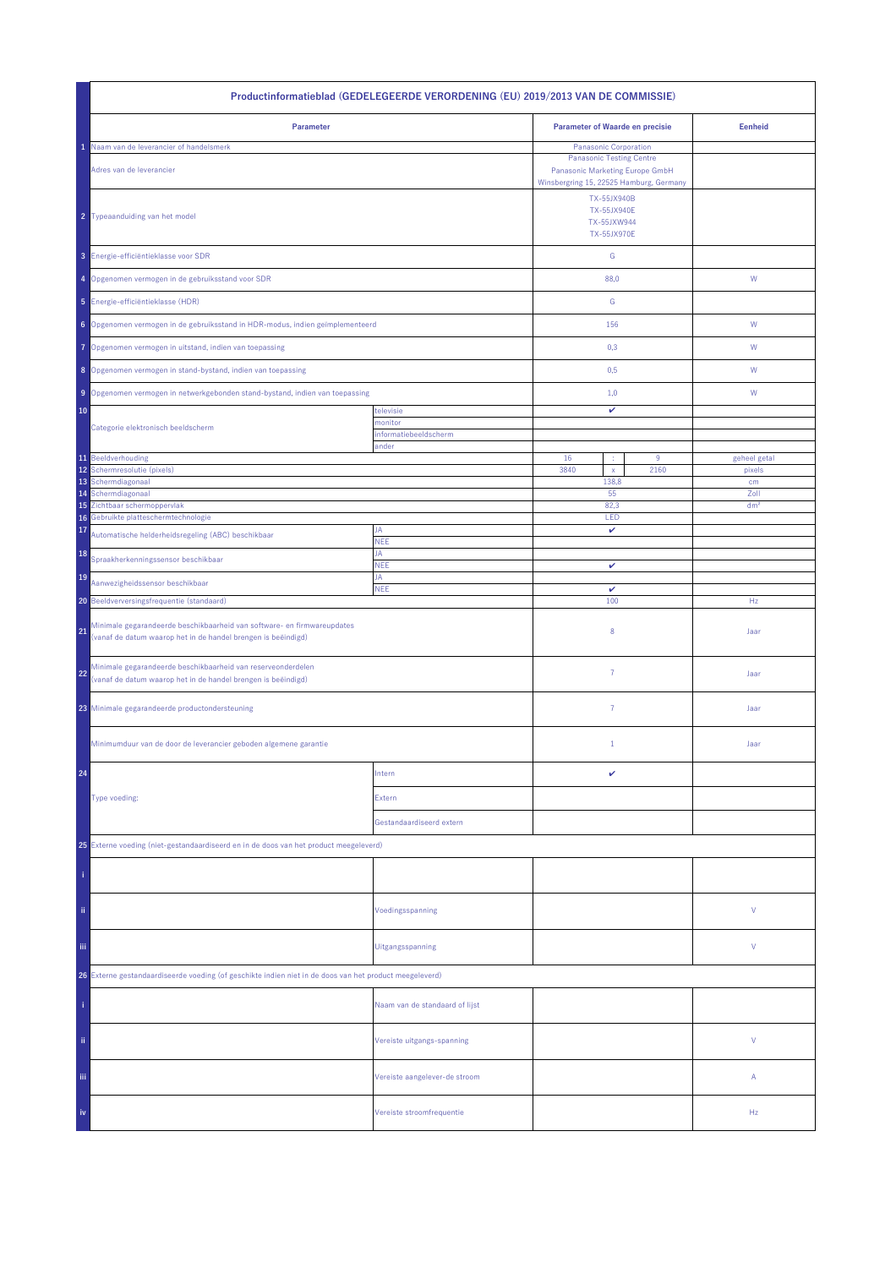| Productinformatieblad (GEDELEGEERDE VERORDENING (EU) 2019/2013 VAN DE COMMISSIE)                                                               |                                |                                                                        |                                                                                                                                        |                 |  |
|------------------------------------------------------------------------------------------------------------------------------------------------|--------------------------------|------------------------------------------------------------------------|----------------------------------------------------------------------------------------------------------------------------------------|-----------------|--|
| Parameter                                                                                                                                      |                                | <b>Parameter of Waarde en precisie</b>                                 |                                                                                                                                        | <b>Eenheid</b>  |  |
| Naam van de leverancier of handelsmerk<br>Adres van de leverancier                                                                             |                                |                                                                        | Panasonic Corporation<br><b>Panasonic Testing Centre</b><br>Panasonic Marketing Europe GmbH<br>Winsbergring 15, 22525 Hamburg, Germany |                 |  |
| 2 Typeaanduiding van het model                                                                                                                 |                                | TX-55JX940B<br><b>TX-55JX940E</b><br>TX-55JXW944<br><b>TX-55JX970E</b> |                                                                                                                                        |                 |  |
| 3 Energie-efficiëntieklasse voor SDR                                                                                                           |                                | ${\mathsf G}$                                                          |                                                                                                                                        |                 |  |
| 4 Opgenomen vermogen in de gebruiksstand voor SDR                                                                                              |                                | 88,0                                                                   |                                                                                                                                        | ${\mathsf W}$   |  |
| 5 Energie-efficiëntieklasse (HDR)                                                                                                              |                                | G                                                                      |                                                                                                                                        |                 |  |
| 6 Opgenomen vermogen in de gebruiksstand in HDR-modus, indien geïmplementeerd                                                                  |                                | 156                                                                    |                                                                                                                                        | W               |  |
| Opgenomen vermogen in uitstand, indien van toepassing<br>7                                                                                     |                                | 0,3                                                                    |                                                                                                                                        | W               |  |
| 8 Opgenomen vermogen in stand-bystand, indien van toepassing                                                                                   |                                | 0,5                                                                    |                                                                                                                                        | W               |  |
| 9 Opgenomen vermogen in netwerkgebonden stand-bystand, indien van toepassing                                                                   |                                | 1,0                                                                    |                                                                                                                                        | W               |  |
| 10                                                                                                                                             | televisie<br>monitor           | v                                                                      |                                                                                                                                        |                 |  |
| Categorie elektronisch beeldscherm                                                                                                             | informatiebeeldscherm<br>ander |                                                                        |                                                                                                                                        |                 |  |
| 11 Beeldverhouding                                                                                                                             |                                | 16<br>÷                                                                | $9\,$                                                                                                                                  | geheel getal    |  |
| 12<br>Schermresolutie (pixels)                                                                                                                 |                                | 3840<br>$\mathsf{x}$                                                   | 2160                                                                                                                                   | pixels          |  |
| 13<br>Schermdiagonaal<br>Schermdiagonaal<br>14                                                                                                 |                                | 138,8<br>55                                                            |                                                                                                                                        | cm<br>Zoll      |  |
| Zichtbaar schermoppervlak<br>15                                                                                                                |                                | 82,3                                                                   |                                                                                                                                        | dm <sup>2</sup> |  |
| Gebruikte platteschermtechnologie<br>16                                                                                                        |                                | LED                                                                    |                                                                                                                                        |                 |  |
| 17<br>Automatische helderheidsregeling (ABC) beschikbaar                                                                                       | JA<br><b>NEE</b>               | v                                                                      |                                                                                                                                        |                 |  |
| 18<br>Spraakherkenningssensor beschikbaar                                                                                                      | JA<br><b>NEE</b>               | v                                                                      |                                                                                                                                        |                 |  |
| 19<br>Aanwezigheidssensor beschikbaar                                                                                                          | JA<br><b>NEE</b>               | $\checkmark$                                                           |                                                                                                                                        |                 |  |
| 20 Beeldverversingsfrequentie (standaard)                                                                                                      |                                | 100                                                                    |                                                                                                                                        | Hz              |  |
| Minimale gegarandeerde beschikbaarheid van software- en firmwareupdates<br>21<br>(vanaf de datum waarop het in de handel brengen is beëindigd) |                                | 8                                                                      |                                                                                                                                        | Jaar            |  |
| Minimale gegarandeerde beschikbaarheid van reserveonderdelen<br>22<br>(vanaf de datum waarop het in de handel brengen is beëindigd)            |                                | $\overline{7}$                                                         |                                                                                                                                        | Jaar            |  |
| 23 Minimale gegarandeerde productondersteuning                                                                                                 |                                | $\overline{7}$                                                         |                                                                                                                                        | Jaar            |  |
| Minimumduur van de door de leverancier geboden algemene garantie                                                                               |                                | $\mathbf{1}$                                                           |                                                                                                                                        | Jaar            |  |
| 24                                                                                                                                             | Intern                         | v                                                                      |                                                                                                                                        |                 |  |
| Type voeding:                                                                                                                                  | Extern                         |                                                                        |                                                                                                                                        |                 |  |
|                                                                                                                                                | Gestandaardiseerd extern       |                                                                        |                                                                                                                                        |                 |  |
| 25 Externe voeding (niet-gestandaardiseerd en in de doos van het product meegeleverd)                                                          |                                |                                                                        |                                                                                                                                        |                 |  |
|                                                                                                                                                |                                |                                                                        |                                                                                                                                        |                 |  |
| ii.                                                                                                                                            | Voedingsspanning               |                                                                        |                                                                                                                                        | ٧               |  |
| Ϊij<br>Uitgangsspanning                                                                                                                        |                                |                                                                        |                                                                                                                                        | ٧               |  |
| 26 Externe gestandaardiseerde voeding (of geschikte indien niet in de doos van het product meegeleverd)                                        |                                |                                                                        |                                                                                                                                        |                 |  |
|                                                                                                                                                | Naam van de standaard of lijst |                                                                        |                                                                                                                                        |                 |  |
| ii.                                                                                                                                            | Vereiste uitgangs-spanning     |                                                                        |                                                                                                                                        | V               |  |
| Ϊij                                                                                                                                            | Vereiste aangelever-de stroom  |                                                                        |                                                                                                                                        | Α               |  |
| iv                                                                                                                                             | Vereiste stroomfrequentie      |                                                                        |                                                                                                                                        | Hz              |  |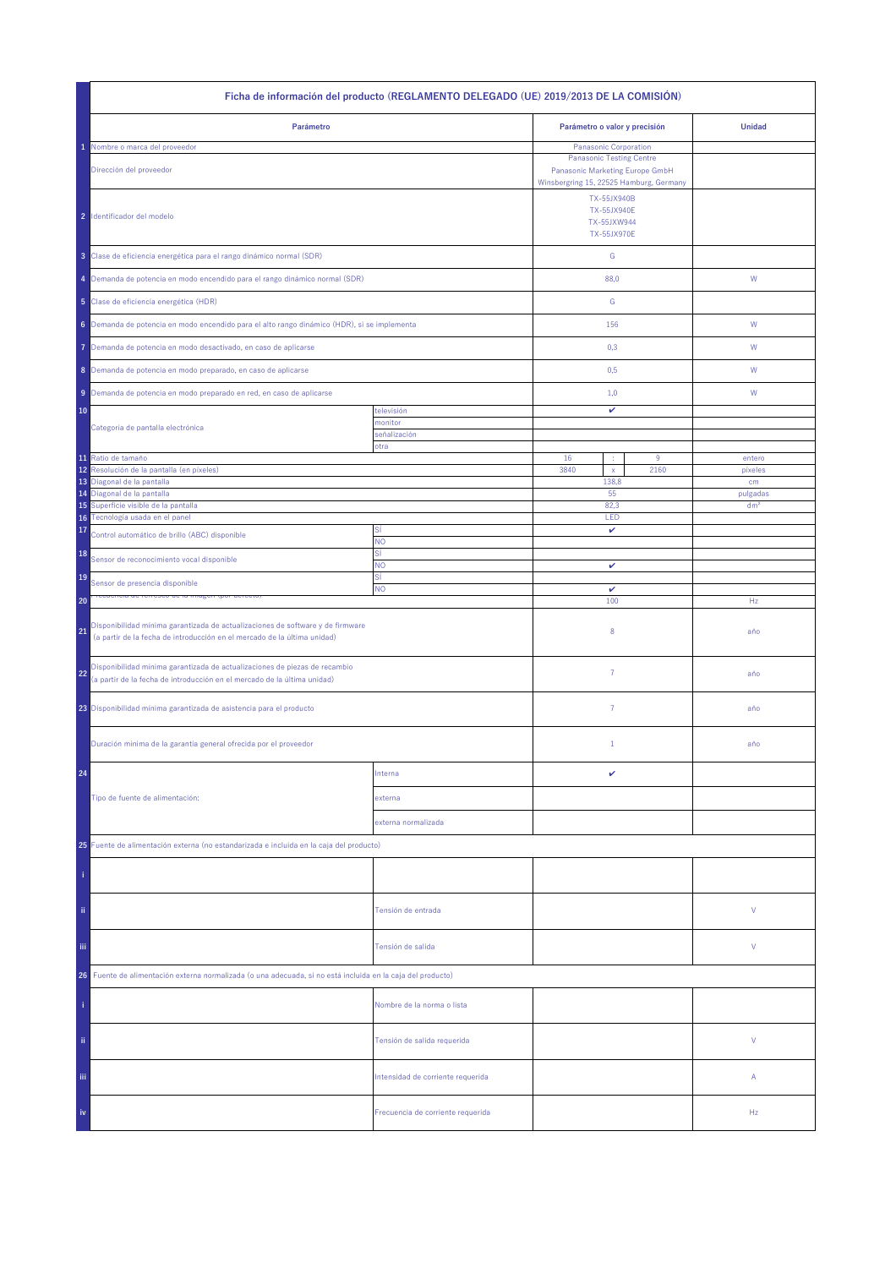| Ficha de información del producto (REGLAMENTO DELEGADO (UE) 2019/2013 DE LA COMISIÓN)                                                                            |                                   |                                                                                                                                        |           |                   |  |
|------------------------------------------------------------------------------------------------------------------------------------------------------------------|-----------------------------------|----------------------------------------------------------------------------------------------------------------------------------------|-----------|-------------------|--|
| Parámetro                                                                                                                                                        |                                   | Parámetro o valor y precisión                                                                                                          |           | <b>Unidad</b>     |  |
| Nombre o marca del proveedor<br>Dirección del proveedor                                                                                                          |                                   | Panasonic Corporation<br><b>Panasonic Testing Centre</b><br>Panasonic Marketing Europe GmbH<br>Winsbergring 15, 22525 Hamburg, Germany |           |                   |  |
| 2 Identificador del modelo                                                                                                                                       |                                   | TX-55JX940B<br><b>TX-55JX940E</b><br>TX-55JXW944<br><b>TX-55JX970E</b>                                                                 |           |                   |  |
| 3 Clase de eficiencia energética para el rango dinámico normal (SDR)                                                                                             |                                   | ${\mathsf G}$                                                                                                                          |           |                   |  |
| 4 Demanda de potencia en modo encendido para el rango dinámico normal (SDR)                                                                                      |                                   | 88,0                                                                                                                                   |           | W                 |  |
| 5 Clase de eficiencia energética (HDR)                                                                                                                           |                                   | G                                                                                                                                      |           |                   |  |
| 6 Demanda de potencia en modo encendido para el alto rango dinámico (HDR), si se implementa                                                                      |                                   | 156                                                                                                                                    |           | W                 |  |
| Demanda de potencia en modo desactivado, en caso de aplicarse<br>7                                                                                               |                                   | 0,3                                                                                                                                    |           | W                 |  |
| 8 Demanda de potencia en modo preparado, en caso de aplicarse                                                                                                    |                                   | 0,5                                                                                                                                    |           | W                 |  |
| 9 Demanda de potencia en modo preparado en red, en caso de aplicarse                                                                                             |                                   | 1,0                                                                                                                                    |           | W                 |  |
| 10                                                                                                                                                               | televisión<br>monitor             | v                                                                                                                                      |           |                   |  |
| Categoría de pantalla electrónica                                                                                                                                | señalización<br>otra              |                                                                                                                                        |           |                   |  |
| 11 Ratio de tamaño<br>12<br>Resolución de la pantalla (en píxeles)                                                                                               |                                   | 16<br>÷<br>3840                                                                                                                        | 9<br>2160 | entero<br>pixeles |  |
| 13 Diagonal de la pantalla                                                                                                                                       |                                   | $\mathsf X$<br>138,8                                                                                                                   |           | cm                |  |
| Diagonal de la pantalla<br>14                                                                                                                                    |                                   | 55                                                                                                                                     |           | pulgadas          |  |
| 15 Superficie visible de la pantalla<br>16 Tecnología usada en el panel                                                                                          |                                   | 82.3<br>LED                                                                                                                            |           | dm <sup>2</sup>   |  |
| 17<br>Control automático de brillo (ABC) disponible                                                                                                              | Sİ<br><b>NO</b>                   | v                                                                                                                                      |           |                   |  |
| 18<br>Sensor de reconocimiento vocal disponible                                                                                                                  | SÍ<br>NO                          |                                                                                                                                        |           |                   |  |
| 19<br>Sensor de presencia disponible                                                                                                                             | SÍ                                | v                                                                                                                                      |           |                   |  |
| 20                                                                                                                                                               | NO.                               | v<br>100                                                                                                                               |           | Hz                |  |
| Disponibilidad mínima garantizada de actualizaciones de software y de firmware<br>21<br>(a partir de la fecha de introducción en el mercado de la última unidad) |                                   | 8                                                                                                                                      |           | año               |  |
| Disponibilidad mínima garantizada de actualizaciones de piezas de recambio<br>22<br>(a partir de la fecha de introducción en el mercado de la última unidad)     |                                   | $\overline{7}$                                                                                                                         |           | año               |  |
| 23 Disponibilidad mínima garantizada de asistencia para el producto                                                                                              |                                   | $\overline{7}$                                                                                                                         |           | año               |  |
| Duración mínima de la garantía general ofrecida por el proveedor                                                                                                 |                                   | $1\,$                                                                                                                                  |           | año               |  |
| 24                                                                                                                                                               | Interna                           | v                                                                                                                                      |           |                   |  |
| Tipo de fuente de alimentación:                                                                                                                                  | externa                           |                                                                                                                                        |           |                   |  |
|                                                                                                                                                                  | externa normalizada               |                                                                                                                                        |           |                   |  |
| 25 Fuente de alimentación externa (no estandarizada e incluida en la caja del producto)                                                                          |                                   |                                                                                                                                        |           |                   |  |
|                                                                                                                                                                  |                                   |                                                                                                                                        |           |                   |  |
| ii.                                                                                                                                                              | Tensión de entrada                |                                                                                                                                        |           | ٧                 |  |
| Ϊij                                                                                                                                                              | Tensión de salida                 |                                                                                                                                        |           | ٧                 |  |
| Fuente de alimentación externa normalizada (o una adecuada, si no está incluida en la caja del producto)<br>26                                                   |                                   |                                                                                                                                        |           |                   |  |
|                                                                                                                                                                  | Nombre de la norma o lista        |                                                                                                                                        |           |                   |  |
| ii.                                                                                                                                                              | Tensión de salida requerida       |                                                                                                                                        |           | V                 |  |
| Ϊij                                                                                                                                                              | Intensidad de corriente requerida |                                                                                                                                        |           | Α                 |  |
| iv                                                                                                                                                               | Frecuencia de corriente requerida |                                                                                                                                        |           | Hz                |  |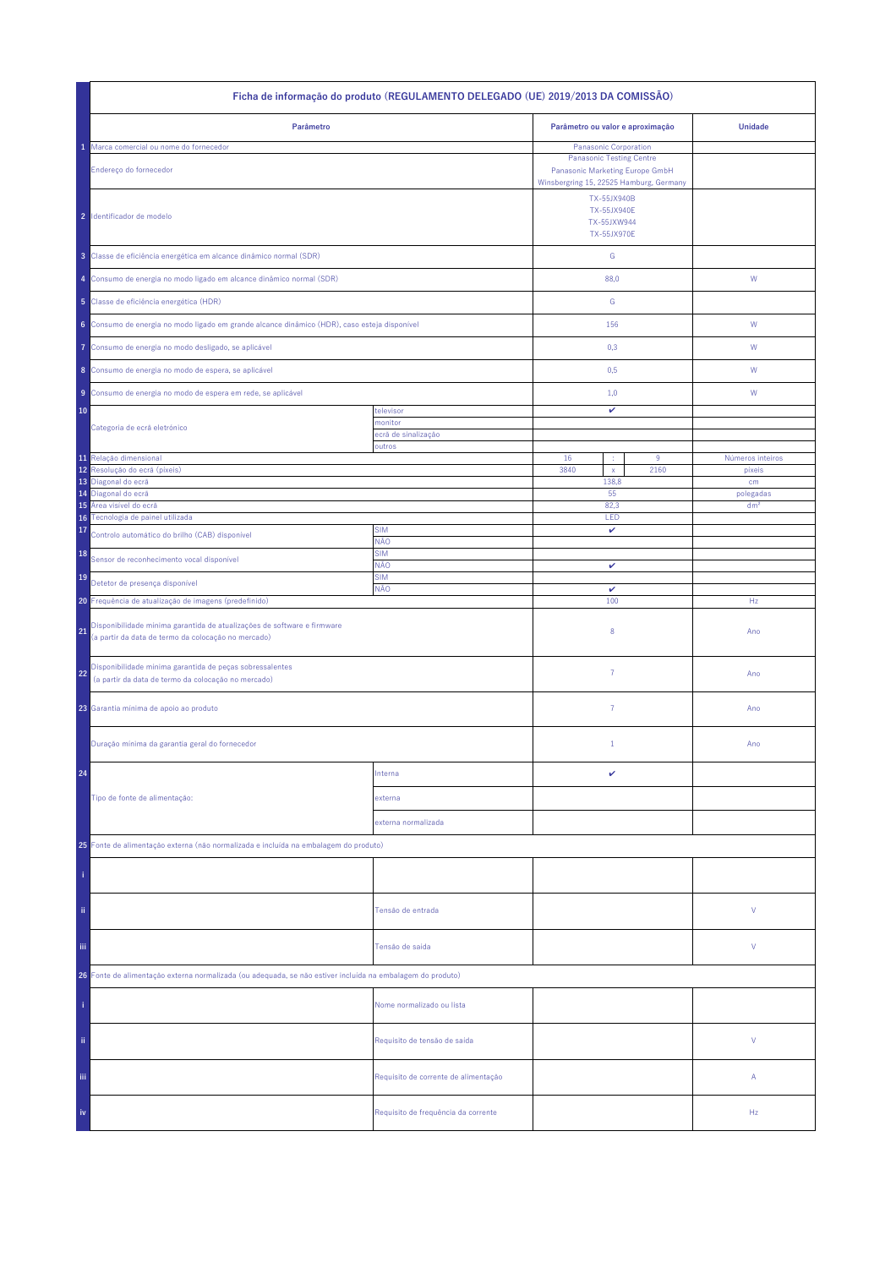| Ficha de informação do produto (REGULAMENTO DELEGADO (UE) 2019/2013 DA COMISSÃO)                                                     |                                      |                                                                                                               |                              |  |  |
|--------------------------------------------------------------------------------------------------------------------------------------|--------------------------------------|---------------------------------------------------------------------------------------------------------------|------------------------------|--|--|
| Parâmetro                                                                                                                            |                                      | Parâmetro ou valor e aproximação                                                                              | <b>Unidade</b>               |  |  |
| Marca comercial ou nome do fornecedor                                                                                                |                                      | Panasonic Corporation                                                                                         |                              |  |  |
| Endereço do fornecedor                                                                                                               |                                      | <b>Panasonic Testing Centre</b><br>Panasonic Marketing Europe GmbH<br>Winsbergring 15, 22525 Hamburg, Germany |                              |  |  |
| 2 Identificador de modelo                                                                                                            |                                      | TX-55JX940B<br><b>TX-55JX940E</b><br>TX-55JXW944<br><b>TX-55JX970E</b>                                        |                              |  |  |
| 3 Classe de eficiência energética em alcance dinâmico normal (SDR)                                                                   |                                      | ${\mathbb G}$                                                                                                 |                              |  |  |
| 4 Consumo de energia no modo ligado em alcance dinâmico normal (SDR)                                                                 |                                      | 88,0                                                                                                          | W                            |  |  |
| 5 Classe de eficiência energética (HDR)                                                                                              |                                      | G                                                                                                             |                              |  |  |
| 6 Consumo de energia no modo ligado em grande alcance dinâmico (HDR), caso esteja disponível                                         |                                      | 156                                                                                                           | ${\sf W}$                    |  |  |
| Consumo de energia no modo desligado, se aplicável<br>Ô                                                                              |                                      | 0,3                                                                                                           | W                            |  |  |
| 8 Consumo de energia no modo de espera, se aplicável                                                                                 |                                      | 0,5                                                                                                           | W                            |  |  |
| Consumo de energia no modo de espera em rede, se aplicável<br>9                                                                      |                                      | 1,0                                                                                                           | W                            |  |  |
| 10                                                                                                                                   | televisor                            | v                                                                                                             |                              |  |  |
| Categoria de ecrã eletrónico                                                                                                         | monitor<br>ecră de sinalização       |                                                                                                               |                              |  |  |
|                                                                                                                                      | outros                               |                                                                                                               |                              |  |  |
| 11 Relação dimensional<br>Resolução do ecrã (píxeis)<br>12                                                                           |                                      | 16<br>9<br>3840<br>2160<br>$\mathsf X$                                                                        | Números inteiros<br>pixeis   |  |  |
| 13<br>Diagonal do ecrã                                                                                                               |                                      | 138,8                                                                                                         | cm                           |  |  |
| Diagonal do ecrã<br>14<br>Área visível do ecrã<br>15                                                                                 |                                      | 55<br>82,3                                                                                                    | polegadas<br>dm <sup>2</sup> |  |  |
| Tecnologia de painel utilizada<br>16 <sup>°</sup>                                                                                    |                                      | LED                                                                                                           |                              |  |  |
| 17<br>Controlo automático do brilho (CAB) disponível                                                                                 | <b>SIM</b><br>NÃO                    | v                                                                                                             |                              |  |  |
| 18<br>Sensor de reconhecimento vocal disponível                                                                                      | <b>SIM</b><br>NÃO<br><b>SIM</b>      | v                                                                                                             |                              |  |  |
| 19<br>Detetor de presença disponível                                                                                                 | NÃO                                  | $\checkmark$                                                                                                  |                              |  |  |
| 20 Frequência de atualização de imagens (predefinido)                                                                                |                                      | 100                                                                                                           | Hz                           |  |  |
| Disponibilidade mínima garantida de atualizações de software e firmware<br>21<br>(a partir da data de termo da colocação no mercado) |                                      | 8                                                                                                             | Ano                          |  |  |
| Disponibilidade mínima garantida de peças sobressalentes<br>22<br>(a partir da data de termo da colocação no mercado)                |                                      | $\overline{7}$                                                                                                | Ano                          |  |  |
| 23 Garantia mínima de apoio ao produto                                                                                               |                                      | 7                                                                                                             | Ano                          |  |  |
| Duração mínima da garantia geral do fornecedor                                                                                       |                                      | $\mathbf{1}$                                                                                                  | Ano                          |  |  |
| 24                                                                                                                                   | Interna                              | v                                                                                                             |                              |  |  |
| Tipo de fonte de alimentação:                                                                                                        | externa                              |                                                                                                               |                              |  |  |
|                                                                                                                                      | externa normalizada                  |                                                                                                               |                              |  |  |
| 25 Fonte de alimentação externa (não normalizada e incluída na embalagem do produto)                                                 |                                      |                                                                                                               |                              |  |  |
|                                                                                                                                      |                                      |                                                                                                               |                              |  |  |
| ii.                                                                                                                                  | Tensão de entrada                    |                                                                                                               | V                            |  |  |
| Ϊij                                                                                                                                  | Tensão de saída                      |                                                                                                               | V                            |  |  |
| 26 Fonte de alimentação externa normalizada (ou adequada, se não estiver incluída na embalagem do produto)                           |                                      |                                                                                                               |                              |  |  |
|                                                                                                                                      | Nome normalizado ou lista            |                                                                                                               |                              |  |  |
| ii.                                                                                                                                  | Requisito de tensão de saída         |                                                                                                               | V                            |  |  |
| Ϊij                                                                                                                                  | Requisito de corrente de alimentação |                                                                                                               | Α                            |  |  |
| iv                                                                                                                                   | Requisito de frequência da corrente  |                                                                                                               | Hz                           |  |  |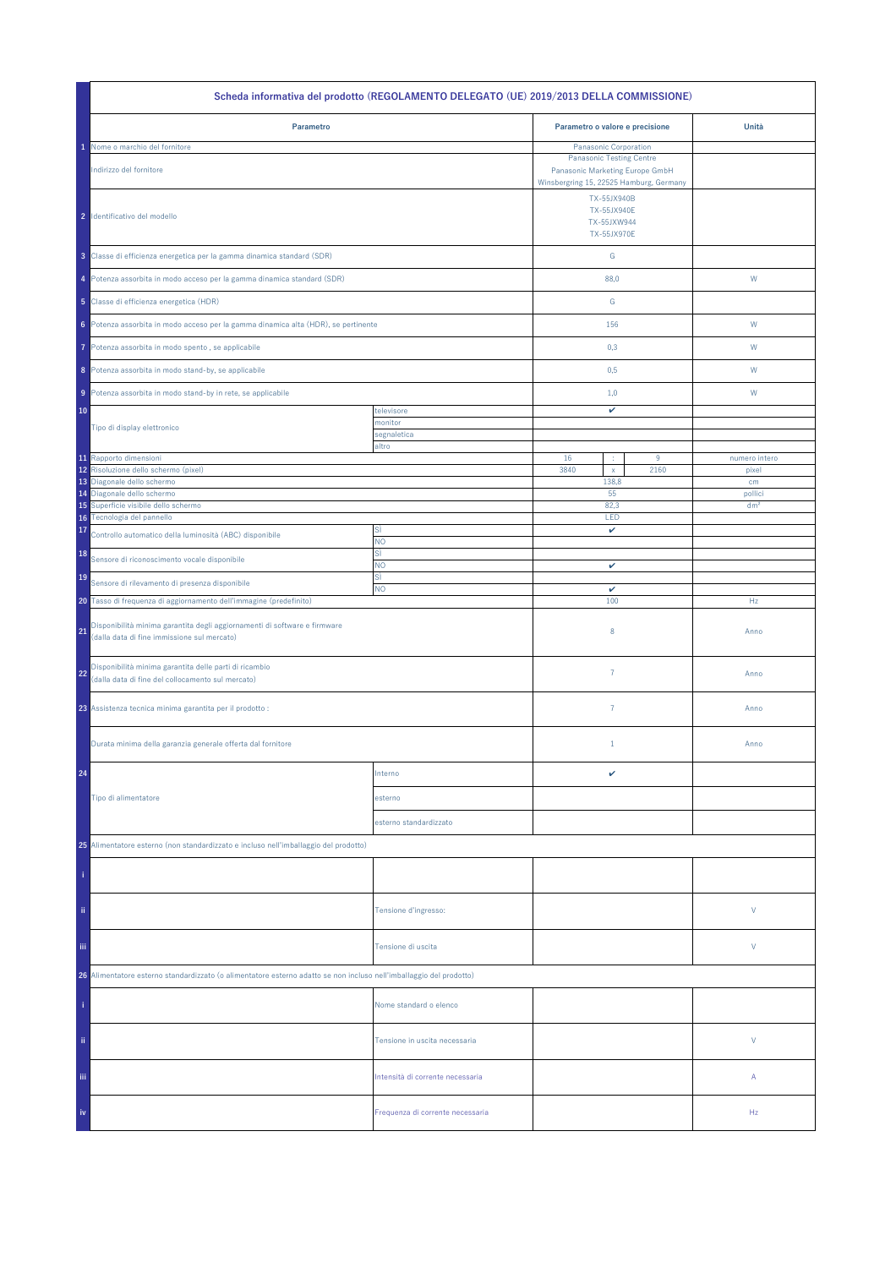| Scheda informativa del prodotto (REGOLAMENTO DELEGATO (UE) 2019/2013 DELLA COMMISSIONE)                                                         |                                  |                                                                                                                              |      |                 |  |
|-------------------------------------------------------------------------------------------------------------------------------------------------|----------------------------------|------------------------------------------------------------------------------------------------------------------------------|------|-----------------|--|
| Parametro                                                                                                                                       |                                  | Parametro o valore e precisione                                                                                              |      | Unità           |  |
| Nome o marchio del fornitore                                                                                                                    |                                  | Panasonic Corporation                                                                                                        |      |                 |  |
| Indirizzo del fornitore                                                                                                                         |                                  | <b>Panasonic Testing Centre</b><br>Panasonic Marketing Europe GmbH<br>Winsbergring 15, 22525 Hamburg, Germany<br>TX-55JX940B |      |                 |  |
| 2 Identificativo del modello                                                                                                                    |                                  | <b>TX-55JX940E</b><br>TX-55JXW944<br>TX-55JX970E                                                                             |      |                 |  |
| 3 Classe di efficienza energetica per la gamma dinamica standard (SDR)                                                                          |                                  | G                                                                                                                            |      |                 |  |
| 4 Potenza assorbita in modo acceso per la gamma dinamica standard (SDR)                                                                         |                                  | 88,0                                                                                                                         |      | W               |  |
| 5 Classe di efficienza energetica (HDR)                                                                                                         |                                  | G                                                                                                                            |      |                 |  |
| 6 Potenza assorbita in modo acceso per la gamma dinamica alta (HDR), se pertinente                                                              |                                  | 156                                                                                                                          |      | W               |  |
| Potenza assorbita in modo spento, se applicabile<br>7                                                                                           |                                  | 0,3                                                                                                                          |      | W               |  |
| 8 Potenza assorbita in modo stand-by, se applicabile                                                                                            |                                  | 0,5                                                                                                                          |      | W               |  |
| 9 Potenza assorbita in modo stand-by in rete, se applicabile                                                                                    |                                  | 1,0                                                                                                                          |      | W               |  |
| 10                                                                                                                                              | televisore                       | v                                                                                                                            |      |                 |  |
| Tipo di display elettronico                                                                                                                     | monitor                          |                                                                                                                              |      |                 |  |
|                                                                                                                                                 | segnaletica<br>altro             |                                                                                                                              |      |                 |  |
| 11 Rapporto dimensioni                                                                                                                          |                                  | 16<br>÷                                                                                                                      | 9    | numero intero   |  |
| 12 Risoluzione dello schermo (pixel)                                                                                                            |                                  | 3840<br>$\mathsf X$                                                                                                          | 2160 | pixel           |  |
| 13 Diagonale dello schermo                                                                                                                      |                                  | 138,8                                                                                                                        |      | cm              |  |
| 14 Diagonale dello schermo                                                                                                                      |                                  | 55                                                                                                                           |      | pollici         |  |
| Superficie visibile dello schermo<br>15<br>16 Tecnologia del pannello                                                                           |                                  | 82,3<br>LED                                                                                                                  |      | dm <sup>2</sup> |  |
| 17                                                                                                                                              | SÌ                               | v                                                                                                                            |      |                 |  |
| Controllo automatico della luminosità (ABC) disponibile<br>18                                                                                   | NO<br>sì                         |                                                                                                                              |      |                 |  |
| Sensore di riconoscimento vocale disponibile                                                                                                    | <b>NO</b>                        | $\checkmark$                                                                                                                 |      |                 |  |
| 19<br>Sensore di rilevamento di presenza disponibile                                                                                            | sì                               |                                                                                                                              |      |                 |  |
|                                                                                                                                                 | <b>NO</b>                        | v<br>100                                                                                                                     |      |                 |  |
| 20 Tasso di frequenza di aggiornamento dell'immagine (predefinito)<br>Disponibilità minima garantita degli aggiornamenti di software e firmware |                                  |                                                                                                                              |      | Hz              |  |
| 21<br>(dalla data di fine immissione sul mercato)                                                                                               |                                  | 8                                                                                                                            |      | Anno            |  |
| Disponibilità minima garantita delle parti di ricambio<br>22<br>(dalla data di fine del collocamento sul mercato)                               |                                  | $\overline{7}$                                                                                                               |      | Anno            |  |
| 23 Assistenza tecnica minima garantita per il prodotto :                                                                                        |                                  | $\overline{7}$                                                                                                               |      | Anno            |  |
| Durata minima della garanzia generale offerta dal fornitore                                                                                     |                                  | $1\,$                                                                                                                        |      | Anno            |  |
| 24                                                                                                                                              | Interno                          | v                                                                                                                            |      |                 |  |
| Tipo di alimentatore                                                                                                                            | esterno                          |                                                                                                                              |      |                 |  |
|                                                                                                                                                 | esterno standardizzato           |                                                                                                                              |      |                 |  |
| 25 Alimentatore esterno (non standardizzato e incluso nell'imballaggio del prodotto)                                                            |                                  |                                                                                                                              |      |                 |  |
|                                                                                                                                                 |                                  |                                                                                                                              |      |                 |  |
| ii.                                                                                                                                             | Tensione d'ingresso:             |                                                                                                                              |      | V               |  |
| iii.                                                                                                                                            | Tensione di uscita               |                                                                                                                              |      | V               |  |
| 26 Alimentatore esterno standardizzato (o alimentatore esterno adatto se non incluso nell'imballaggio del prodotto)                             |                                  |                                                                                                                              |      |                 |  |
|                                                                                                                                                 | Nome standard o elenco           |                                                                                                                              |      |                 |  |
| ii.                                                                                                                                             | Tensione in uscita necessaria    |                                                                                                                              |      | V               |  |
| Ϊij                                                                                                                                             | Intensità di corrente necessaria |                                                                                                                              |      | Α               |  |
| iv                                                                                                                                              | Frequenza di corrente necessaria |                                                                                                                              |      | Hz              |  |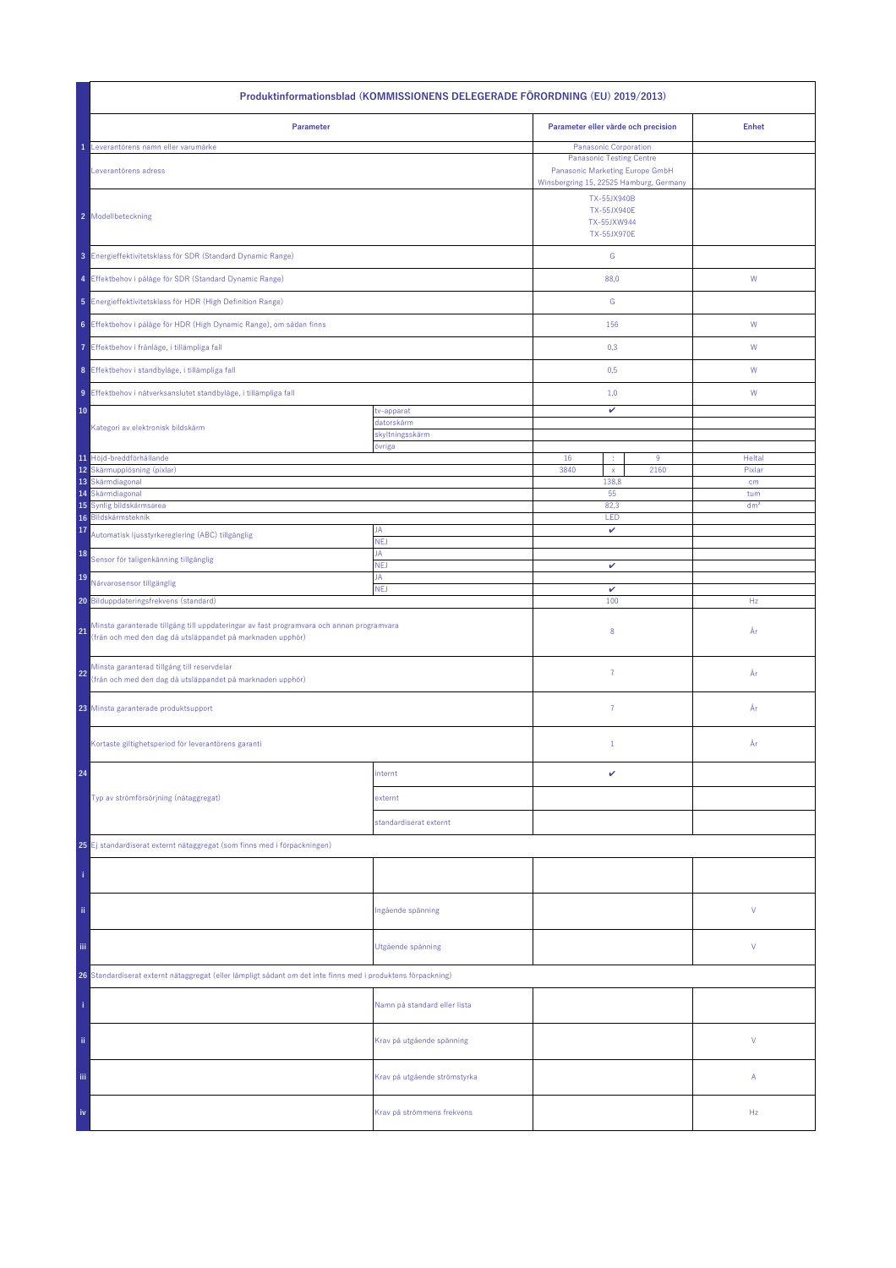| Produktinformationsblad (KOMMISSIONENS DELEGERADE FÖRORDNING (EU) 2019/2013)                                                                                 |                              |                                                                        |                                                                                                                                        |                 |  |
|--------------------------------------------------------------------------------------------------------------------------------------------------------------|------------------------------|------------------------------------------------------------------------|----------------------------------------------------------------------------------------------------------------------------------------|-----------------|--|
| Parameter                                                                                                                                                    |                              | Parameter eller värde och precision                                    |                                                                                                                                        | <b>Enhet</b>    |  |
| Leverantörens namn eller varumärke<br>Leverantörens adress                                                                                                   |                              |                                                                        | Panasonic Corporation<br><b>Panasonic Testing Centre</b><br>Panasonic Marketing Europe GmbH<br>Winsbergring 15, 22525 Hamburg, Germany |                 |  |
| 2 Modellbeteckning                                                                                                                                           |                              | TX-55JX940B<br><b>TX-55JX940E</b><br>TX-55JXW944<br><b>TX-55JX970E</b> |                                                                                                                                        |                 |  |
| 3 Energieffektivitetsklass för SDR (Standard Dynamic Range)                                                                                                  |                              | ${\mathsf G}$                                                          |                                                                                                                                        |                 |  |
| 4 Effektbehov i påläge för SDR (Standard Dynamic Range)                                                                                                      |                              | 88,0                                                                   |                                                                                                                                        | ${\mathsf W}$   |  |
| 5 Energieffektivitetsklass för HDR (High Definition Range)                                                                                                   |                              | G                                                                      |                                                                                                                                        |                 |  |
| 6 Effektbehov i påläge för HDR (High Dynamic Range), om sådan finns                                                                                          |                              | 156                                                                    |                                                                                                                                        | W               |  |
| 7 Effektbehov i frånläge, i tillämpliga fall                                                                                                                 |                              | 0,3                                                                    |                                                                                                                                        | W               |  |
| 8 Effektbehov i standbyläge, i tillämpliga fall                                                                                                              |                              | 0,5                                                                    |                                                                                                                                        | W               |  |
| 9 Effektbehov i nätverksanslutet standbyläge, i tillämpliga fall                                                                                             |                              | 1,0                                                                    |                                                                                                                                        | W               |  |
| 10                                                                                                                                                           | tv-apparat<br>datorskärm     | v                                                                      |                                                                                                                                        |                 |  |
| Kategori av elektronisk bildskärm                                                                                                                            | skyltningsskärm<br>övriga    |                                                                        |                                                                                                                                        |                 |  |
| 11 Höjd-breddförhållande                                                                                                                                     |                              | 16<br>÷                                                                | 9                                                                                                                                      | Heltal          |  |
| 12 Skärmupplösning (pixlar)<br>13 Skärmdiagonal                                                                                                              |                              | 3840<br>$\mathsf{x}$<br>138,8                                          | 2160                                                                                                                                   | Pixlar<br>cm    |  |
| Skärmdiagonal<br>14                                                                                                                                          |                              | 55                                                                     |                                                                                                                                        | tum             |  |
| Synlig bildskärmsarea<br>15<br>Bildskärmsteknik<br>16                                                                                                        |                              | 82,3<br>LED                                                            |                                                                                                                                        | dm <sup>2</sup> |  |
| 17<br>Automatisk ljusstyrkereglering (ABC) tillgänglig                                                                                                       | JA<br><b>NEJ</b>             | v                                                                      |                                                                                                                                        |                 |  |
| 18<br>Sensor för taligenkänning tillgänglig                                                                                                                  | JA<br><b>NEJ</b>             |                                                                        |                                                                                                                                        |                 |  |
| 19<br>Närvarosensor tillgänglig                                                                                                                              | JA                           | v                                                                      |                                                                                                                                        |                 |  |
| 20 Bilduppdateringsfrekvens (standard)                                                                                                                       | <b>NEJ</b>                   | $\checkmark$<br>100                                                    |                                                                                                                                        | Hz              |  |
| Minsta garanterade tillgång till uppdateringar av fast programvara och annan programvara<br>21<br>(från och med den dag då utsläppandet på marknaden upphör) |                              | 8                                                                      |                                                                                                                                        | År              |  |
| Minsta garanterad tillgång till reservdelar<br>22<br>(från och med den dag då utsläppandet på marknaden upphör)                                              |                              | $\overline{7}$                                                         |                                                                                                                                        | År              |  |
| 23 Minsta garanterade produktsupport                                                                                                                         |                              | $\overline{7}$                                                         |                                                                                                                                        | År              |  |
| Kortaste giltighetsperiod för leverantörens garanti                                                                                                          |                              | $\mathbf{1}$                                                           |                                                                                                                                        | År              |  |
| 24                                                                                                                                                           | internt                      | v                                                                      |                                                                                                                                        |                 |  |
| Typ av strömförsörjning (nätaggregat)                                                                                                                        | externt                      |                                                                        |                                                                                                                                        |                 |  |
|                                                                                                                                                              | standardiserat externt       |                                                                        |                                                                                                                                        |                 |  |
| 25 Ej standardiserat externt nätaggregat (som finns med i förpackningen)                                                                                     |                              |                                                                        |                                                                                                                                        |                 |  |
|                                                                                                                                                              |                              |                                                                        |                                                                                                                                        |                 |  |
| ii.                                                                                                                                                          | Ingående spänning            |                                                                        |                                                                                                                                        | ٧               |  |
| Ϊij                                                                                                                                                          | Utgående spänning            |                                                                        |                                                                                                                                        | ٧               |  |
| 26 Standardiserat externt nätaggregat (eller lämpligt sådant om det inte finns med i produktens förpackning)                                                 |                              |                                                                        |                                                                                                                                        |                 |  |
|                                                                                                                                                              | Namn på standard eller lista |                                                                        |                                                                                                                                        |                 |  |
| ii.                                                                                                                                                          | Krav på utgående spänning    |                                                                        |                                                                                                                                        | V               |  |
| Ϊij                                                                                                                                                          | Krav på utgående strömstyrka |                                                                        |                                                                                                                                        | Α               |  |
| iv                                                                                                                                                           | Krav på strömmens frekvens   |                                                                        |                                                                                                                                        | Hz              |  |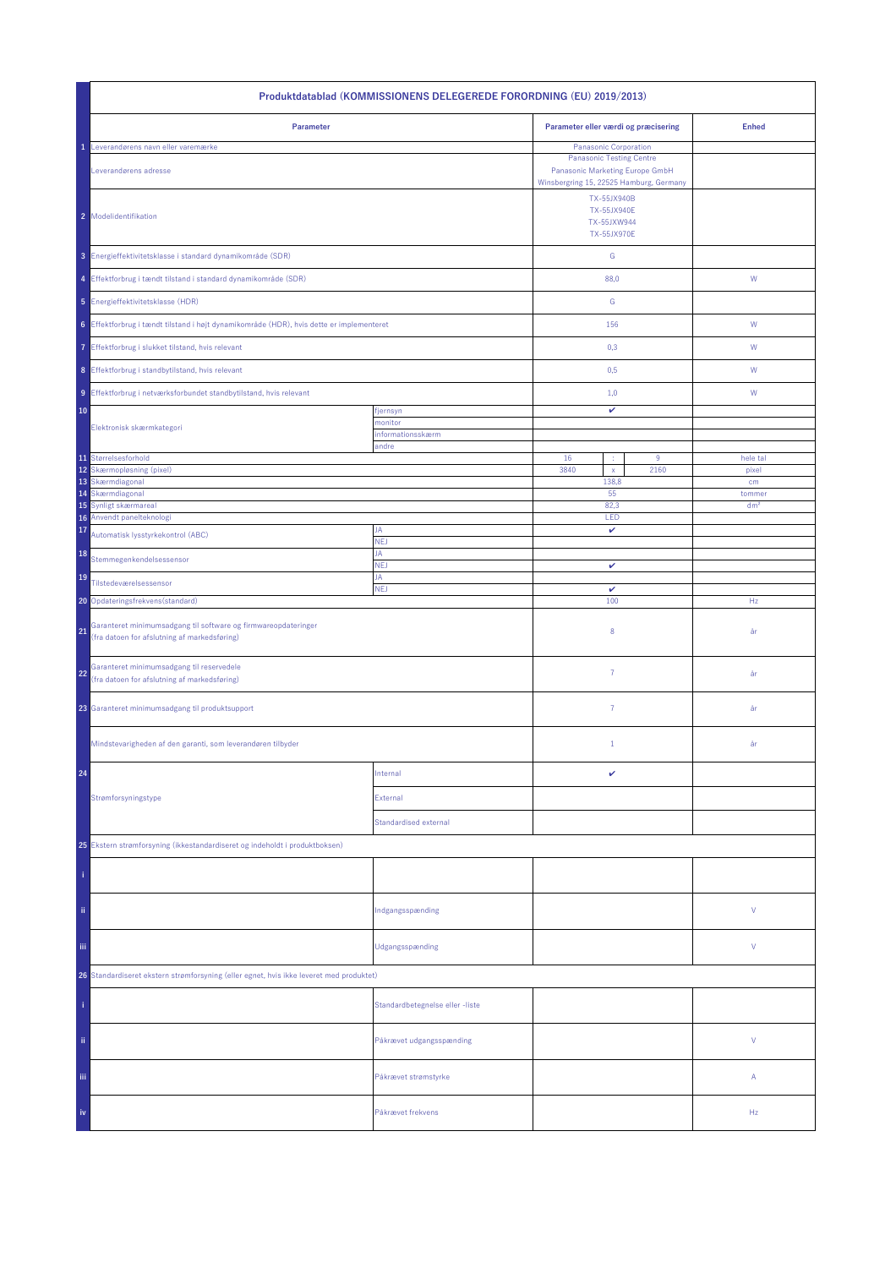| Produktdatablad (KOMMISSIONENS DELEGEREDE FORORDNING (EU) 2019/2013)                                                 |                                 |                                                                                                               |                           |  |  |
|----------------------------------------------------------------------------------------------------------------------|---------------------------------|---------------------------------------------------------------------------------------------------------------|---------------------------|--|--|
| Parameter                                                                                                            |                                 | Parameter eller værdi og præcisering                                                                          | <b>Enhed</b>              |  |  |
| Leverandørens navn eller varemærke                                                                                   |                                 | Panasonic Corporation                                                                                         |                           |  |  |
| Leverandørens adresse                                                                                                |                                 | <b>Panasonic Testing Centre</b><br>Panasonic Marketing Europe GmbH<br>Winsbergring 15, 22525 Hamburg, Germany |                           |  |  |
| 2 Modelidentifikation                                                                                                |                                 | TX-55JX940B<br><b>TX-55JX940E</b><br>TX-55JXW944<br>TX-55JX970E                                               |                           |  |  |
| 3 Energieffektivitetsklasse i standard dynamikområde (SDR)                                                           |                                 | ${\mathbb G}$                                                                                                 |                           |  |  |
| 4 Effektforbrug i tændt tilstand i standard dynamikområde (SDR)                                                      |                                 | 88,0                                                                                                          | W                         |  |  |
| 5 Energieffektivitetsklasse (HDR)                                                                                    |                                 | G                                                                                                             |                           |  |  |
| 6 Effektforbrug i tændt tilstand i højt dynamikområde (HDR), hvis dette er implementeret                             |                                 | 156                                                                                                           | ${\sf W}$                 |  |  |
| 7 Effektforbrug i slukket tilstand, hvis relevant                                                                    |                                 | 0,3                                                                                                           | W                         |  |  |
| 8 Effektforbrug i standbytilstand, hvis relevant                                                                     |                                 | 0,5                                                                                                           | W                         |  |  |
| 9 Effektforbrug i netværksforbundet standbytilstand, hvis relevant                                                   |                                 | 1,0                                                                                                           | W                         |  |  |
| 10                                                                                                                   | fjernsyn                        | $\checkmark$                                                                                                  |                           |  |  |
| Elektronisk skærmkategori                                                                                            | monitor<br>informationsskærm    |                                                                                                               |                           |  |  |
|                                                                                                                      | andre                           |                                                                                                               |                           |  |  |
| 11 Størrelsesforhold<br>12<br>Skærmopløsning (pixel)                                                                 |                                 | 16<br>9<br>3840<br>2160<br>$\mathsf X$                                                                        | hele tal<br>pixel         |  |  |
| 13 Skærmdiagonal                                                                                                     |                                 | 138,8                                                                                                         | cm                        |  |  |
| Skærmdiagonal<br>14<br>15                                                                                            |                                 | 55<br>82,3                                                                                                    | tommer<br>dm <sup>2</sup> |  |  |
| Synligt skærmareal<br>16 Anvendt panelteknologi                                                                      |                                 | LED                                                                                                           |                           |  |  |
| 17<br>Automatisk lysstyrkekontrol (ABC)                                                                              | JA<br>NEJ                       | v                                                                                                             |                           |  |  |
| 18<br>Stemmegenkendelsessensor                                                                                       | JA<br><b>NEJ</b>                | $\checkmark$                                                                                                  |                           |  |  |
| 19<br>Tilstedeværelsessensor                                                                                         | JA<br><b>NEJ</b>                | v                                                                                                             |                           |  |  |
| 20 Opdateringsfrekvens (standard)                                                                                    |                                 | 100                                                                                                           | Hz                        |  |  |
| Garanteret minimumsadgang til software og firmwareopdateringer<br>21<br>(fra datoen for afslutning af markedsføring) |                                 | 8                                                                                                             | år                        |  |  |
| Garanteret minimumsadgang til reservedele<br>22<br>(fra datoen for afslutning af markedsføring)                      |                                 | $\overline{7}$                                                                                                | år                        |  |  |
| 23 Garanteret minimumsadgang til produktsupport                                                                      |                                 | $\overline{7}$                                                                                                | år                        |  |  |
| Mindstevarigheden af den garanti, som leverandøren tilbyder                                                          |                                 | $\mathbf{1}$                                                                                                  | år                        |  |  |
| 24                                                                                                                   | Internal                        | v                                                                                                             |                           |  |  |
| Strømforsyningstype                                                                                                  | External                        |                                                                                                               |                           |  |  |
|                                                                                                                      | <b>Standardised external</b>    |                                                                                                               |                           |  |  |
| 25 Ekstern strømforsyning (ikkestandardiseret og indeholdt i produktboksen)                                          |                                 |                                                                                                               |                           |  |  |
|                                                                                                                      |                                 |                                                                                                               |                           |  |  |
| ii.                                                                                                                  | Indgangsspænding                |                                                                                                               | V                         |  |  |
| Ϊij                                                                                                                  | Udgangsspænding                 |                                                                                                               | V                         |  |  |
| 26 Standardiseret ekstern strømforsyning (eller egnet, hvis ikke leveret med produktet)                              |                                 |                                                                                                               |                           |  |  |
|                                                                                                                      | Standardbetegnelse eller -liste |                                                                                                               |                           |  |  |
| ii.                                                                                                                  | Påkrævet udgangsspænding        |                                                                                                               | V                         |  |  |
| iii.                                                                                                                 | Påkrævet strømstyrke            |                                                                                                               | Α                         |  |  |
| iv                                                                                                                   | Påkrævet frekvens               |                                                                                                               | Hz                        |  |  |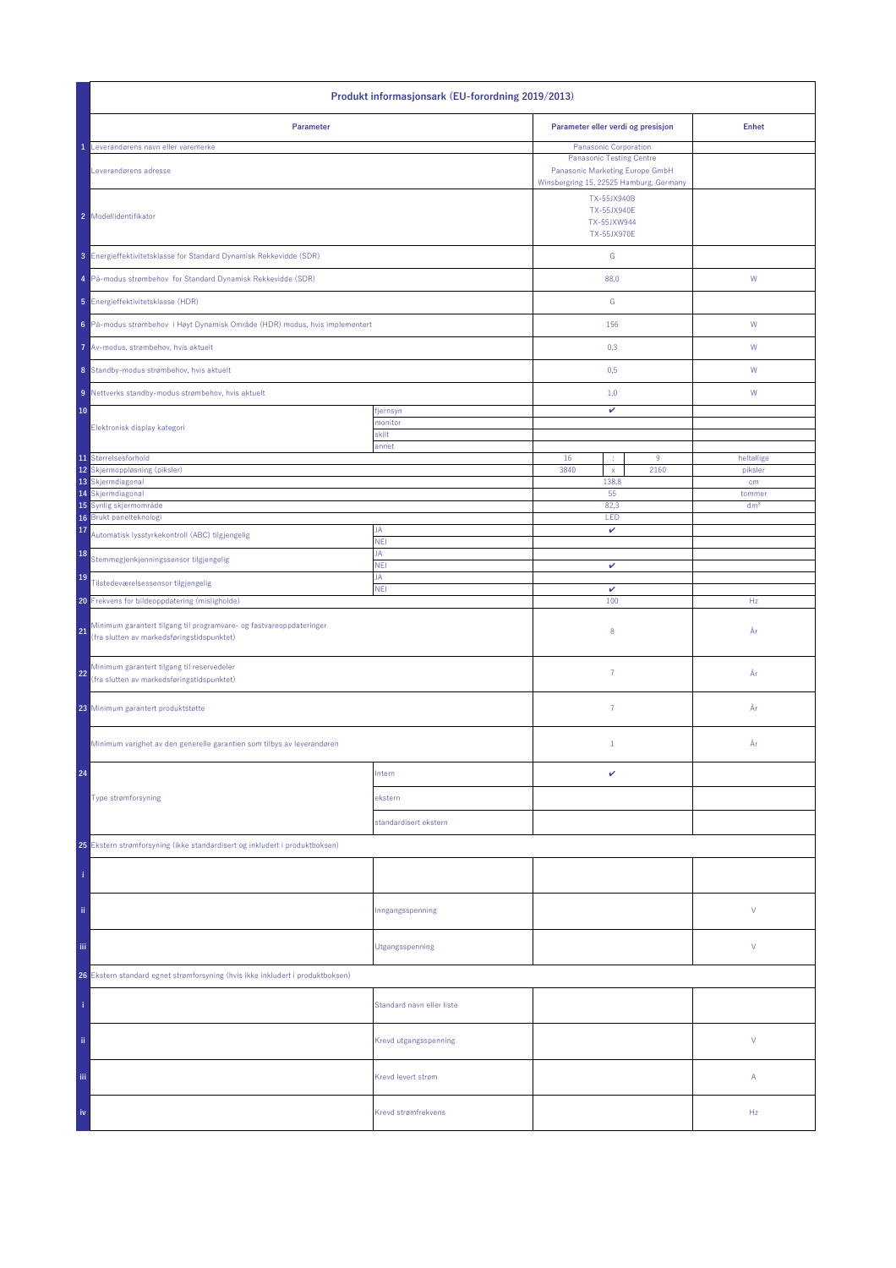| Produkt informasjonsark (EU-forordning 2019/2013)                                                                       |                           |                                                                                                                                        |                                    |                 |
|-------------------------------------------------------------------------------------------------------------------------|---------------------------|----------------------------------------------------------------------------------------------------------------------------------------|------------------------------------|-----------------|
| Parameter                                                                                                               |                           |                                                                                                                                        | Parameter eller verdi og presisjon | <b>Enhet</b>    |
| Leverandørens navn eller varemerke<br>Leverandørens adresse                                                             |                           | Panasonic Corporation<br><b>Panasonic Testing Centre</b><br>Panasonic Marketing Europe GmbH<br>Winsbergring 15, 22525 Hamburg, Germany |                                    |                 |
| 2 Modellidentifikator                                                                                                   |                           | TX-55JX940B<br><b>TX-55JX940E</b><br>TX-55JXW944<br><b>TX-55JX970E</b>                                                                 |                                    |                 |
| 3 Energieffektivitetsklasse for Standard Dynamisk Rekkevidde (SDR)                                                      |                           | ${\mathsf G}$                                                                                                                          |                                    |                 |
| 4 På-modus strømbehov for Standard Dynamisk Rekkevidde (SDR)                                                            |                           | 88,0                                                                                                                                   |                                    | ${\mathsf W}$   |
| 5 Energieffektivitetsklasse (HDR)                                                                                       |                           | G                                                                                                                                      |                                    |                 |
| 6 På-modus strømbehov i Høyt Dynamisk Område (HDR) modus, hvis implementert                                             |                           | 156                                                                                                                                    |                                    | W               |
| 7 Av-modus, strømbehov, hvis aktuelt                                                                                    |                           | 0,3                                                                                                                                    |                                    | W               |
| 8 Standby-modus strømbehov, hvis aktuelt                                                                                |                           | 0,5                                                                                                                                    |                                    | W               |
| 9 Nettverks standby-modus strømbehov, hvis aktuelt                                                                      |                           | 1,0                                                                                                                                    |                                    | W               |
| 10                                                                                                                      | fjernsyn<br>monitor       | v                                                                                                                                      |                                    |                 |
| Elektronisk display kategori                                                                                            | skilt<br>annet            |                                                                                                                                        |                                    |                 |
| 11 Størrelsesforhold<br>12                                                                                              |                           | 16<br>÷<br>3840                                                                                                                        | $9\,$<br>2160                      | heltallige      |
| Skjermoppløsning (piksler)<br>13 Skjermdiagonal                                                                         |                           | $\mathsf{x}$<br>138,8                                                                                                                  |                                    | piksler<br>cm   |
| 14 Skjermdiagonal                                                                                                       |                           | 55                                                                                                                                     |                                    | tommer          |
| 15 Synlig skjermområde<br>16 Brukt panelteknologi                                                                       |                           | 82,3<br>LED                                                                                                                            |                                    | dm <sup>2</sup> |
| 17<br>Automatisk lysstyrkekontroll (ABC) tilgjengelig                                                                   | JA                        | v                                                                                                                                      |                                    |                 |
| 18<br>Stemmegjenkjenningssensor tilgjengelig                                                                            | <b>NEI</b><br>JA          |                                                                                                                                        |                                    |                 |
| 19<br>Tilstedeværelsessensor tilgjengelig                                                                               | <b>NEI</b><br>JA          | $\checkmark$                                                                                                                           |                                    |                 |
| 20 Frekvens for bildeoppdatering (misligholde)                                                                          | <b>NEI</b>                | $\checkmark$<br>100                                                                                                                    |                                    | Hz              |
| Minimum garantert tilgang til programvare- og fastvareoppdateringer<br>21<br>(fra slutten av markedsføringstidspunktet) |                           | 8                                                                                                                                      |                                    | År              |
| Minimum garantert tilgang til reservedeler<br>22<br>(fra slutten av markedsføringstidspunktet)                          |                           | $\overline{7}$                                                                                                                         |                                    | År              |
| 23 Minimum garantert produktstøtte                                                                                      |                           | $\overline{7}$                                                                                                                         |                                    | År              |
| Minimum varighet av den generelle garantien som tilbys av leverandøren                                                  |                           | $\mathbf{1}$                                                                                                                           |                                    | År              |
| 24                                                                                                                      | Intern                    | v                                                                                                                                      |                                    |                 |
| Type strømforsyning                                                                                                     | ekstern                   |                                                                                                                                        |                                    |                 |
|                                                                                                                         | standardisert ekstern     |                                                                                                                                        |                                    |                 |
| 25 Ekstern strømforsyning (ikke standardisert og inkludert i produktboksen)                                             |                           |                                                                                                                                        |                                    |                 |
|                                                                                                                         |                           |                                                                                                                                        |                                    |                 |
| ii.                                                                                                                     | Inngangsspenning          |                                                                                                                                        |                                    | V               |
| iii.                                                                                                                    | Utgangsspenning           |                                                                                                                                        |                                    | V               |
| 26 Ekstern standard egnet strømforsyning (hvis ikke inkludert i produktboksen)                                          |                           |                                                                                                                                        |                                    |                 |
|                                                                                                                         | Standard navn eller liste |                                                                                                                                        |                                    |                 |
| ii.                                                                                                                     | Krevd utgangsspenning     |                                                                                                                                        |                                    | V               |
| Ϊij                                                                                                                     | Krevd levert strøm        |                                                                                                                                        |                                    | Α               |
| iv                                                                                                                      | Krevd strømfrekvens       |                                                                                                                                        |                                    | Hz              |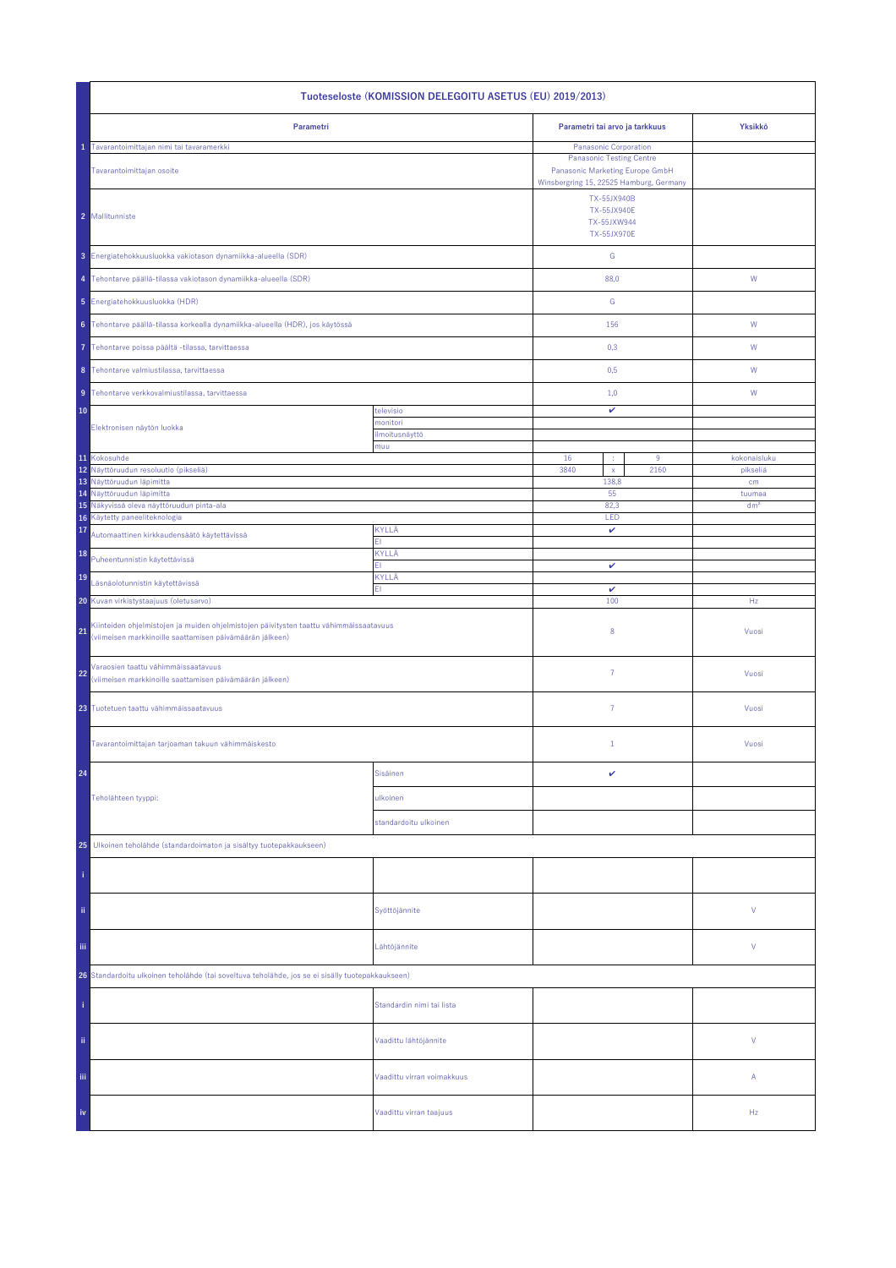| Tuoteseloste (KOMISSION DELEGOITU ASETUS (EU) 2019/2013)                                                                                                 |                            |                                                                                                               |                            |                           |  |
|----------------------------------------------------------------------------------------------------------------------------------------------------------|----------------------------|---------------------------------------------------------------------------------------------------------------|----------------------------|---------------------------|--|
| Parametri                                                                                                                                                |                            | Parametri tai arvo ja tarkkuus                                                                                |                            | Yksikkö                   |  |
| Tavarantoimittajan nimi tai tavaramerkki                                                                                                                 |                            | Panasonic Corporation                                                                                         |                            |                           |  |
| Tavarantoimittajan osoite                                                                                                                                |                            | <b>Panasonic Testing Centre</b><br>Panasonic Marketing Europe GmbH<br>Winsbergring 15, 22525 Hamburg, Germany |                            |                           |  |
| 2 Mallitunniste                                                                                                                                          |                            | TX-55JX940B<br><b>TX-55JX940E</b><br>TX-55JXW944<br><b>TX-55JX970E</b>                                        |                            |                           |  |
| 3 Energiatehokkuusluokka vakiotason dynamiikka-alueella (SDR)                                                                                            |                            | ${\mathsf G}$                                                                                                 |                            |                           |  |
| 4 Tehontarve päällä-tilassa vakiotason dynamiikka-alueella (SDR)                                                                                         |                            | 88,0                                                                                                          |                            | W                         |  |
| 5 Energiatehokkuusluokka (HDR)                                                                                                                           |                            | G                                                                                                             |                            |                           |  |
| 6 Tehontarve päällä-tilassa korkealla dynamiikka-alueella (HDR), jos käytössä                                                                            |                            | 156                                                                                                           |                            | W                         |  |
| Tehontarve poissa päältä -tilassa, tarvittaessa                                                                                                          |                            | 0,3                                                                                                           |                            | W                         |  |
| 8 Tehontarve valmiustilassa, tarvittaessa                                                                                                                |                            | 0,5                                                                                                           |                            | W                         |  |
| 9 Tehontarve verkkovalmiustilassa, tarvittaessa                                                                                                          |                            | 1,0                                                                                                           |                            | W                         |  |
| 10                                                                                                                                                       | televisio<br>monitori      | $\checkmark$                                                                                                  |                            |                           |  |
| Elektronisen näytön luokka                                                                                                                               | ilmoitusnäyttö             |                                                                                                               |                            |                           |  |
| 11 Kokosuhde                                                                                                                                             | muu                        | 16                                                                                                            | 9<br>÷                     | kokonaisluku              |  |
| 12 Näyttöruudun resoluutio (pikseliä)                                                                                                                    |                            | 3840                                                                                                          | $\bar{\mathbf{x}}$<br>2160 | pikseliä                  |  |
| 13 Näyttöruudun läpimitta                                                                                                                                |                            | 138,8                                                                                                         |                            | cm                        |  |
| 14 Näyttöruudun läpimitta<br>15 Näkyvissä oleva näyttöruudun pinta-ala                                                                                   |                            | 55<br>82,3                                                                                                    |                            | tuumaa<br>dm <sup>2</sup> |  |
| Käytetty paneeliteknologia<br>16                                                                                                                         |                            | LED                                                                                                           |                            |                           |  |
| 17<br>Automaattinen kirkkaudensäätö käytettävissä                                                                                                        | KYLLÄ<br>EI.               | $\checkmark$                                                                                                  |                            |                           |  |
| 18<br>Puheentunnistin käytettävissä                                                                                                                      | KYLLÄ<br>EI.               | v                                                                                                             |                            |                           |  |
| 19<br>Läsnäolotunnistin käytettävissä                                                                                                                    | KYLLÄ<br>EI.               | v                                                                                                             |                            |                           |  |
| 20 Kuvan virkistystaajuus (oletusarvo)                                                                                                                   |                            | 100                                                                                                           |                            | Hz                        |  |
| Kiinteiden ohjelmistojen ja muiden ohjelmistojen päivitysten taattu vähimmäissaatavuus<br>21<br>(viimeisen markkinoille saattamisen päivämäärän jälkeen) |                            | 8                                                                                                             |                            | Vuosi                     |  |
| Varaosien taattu vähimmäissaatavuus<br>22<br>(viimeisen markkinoille saattamisen päivämäärän jälkeen)                                                    |                            | $\overline{7}$                                                                                                |                            | Vuosi                     |  |
| 23 Tuotetuen taattu vähimmäissaatavuus                                                                                                                   |                            | $\overline{7}$                                                                                                |                            | Vuosi                     |  |
| Tavarantoimittajan tarjoaman takuun vähimmäiskesto                                                                                                       |                            | $\mathbf{1}$                                                                                                  |                            | Vuosi                     |  |
| 24                                                                                                                                                       | Sisäinen                   | v                                                                                                             |                            |                           |  |
| Teholähteen tyyppi:                                                                                                                                      | ulkoinen                   |                                                                                                               |                            |                           |  |
|                                                                                                                                                          | standardoitu ulkoinen      |                                                                                                               |                            |                           |  |
| 25<br>Ulkoinen teholähde (standardoimaton ja sisältyy tuotepakkaukseen)                                                                                  |                            |                                                                                                               |                            |                           |  |
|                                                                                                                                                          |                            |                                                                                                               |                            |                           |  |
| ii,                                                                                                                                                      | Syöttöjännite              |                                                                                                               |                            | V                         |  |
| Ϊij<br>Lähtöjännite                                                                                                                                      |                            |                                                                                                               |                            | V                         |  |
| 26 Standardoitu ulkoinen teholähde (tai soveltuva teholähde, jos se ei sisälly tuotepakkaukseen)                                                         |                            |                                                                                                               |                            |                           |  |
|                                                                                                                                                          | Standardin nimi tai lista  |                                                                                                               |                            |                           |  |
| ii.                                                                                                                                                      | Vaadittu lähtöjännite      |                                                                                                               |                            | V                         |  |
| iii.                                                                                                                                                     | Vaadittu virran voimakkuus |                                                                                                               |                            | Α                         |  |
| iv                                                                                                                                                       | Vaadittu virran taajuus    |                                                                                                               |                            | Hz                        |  |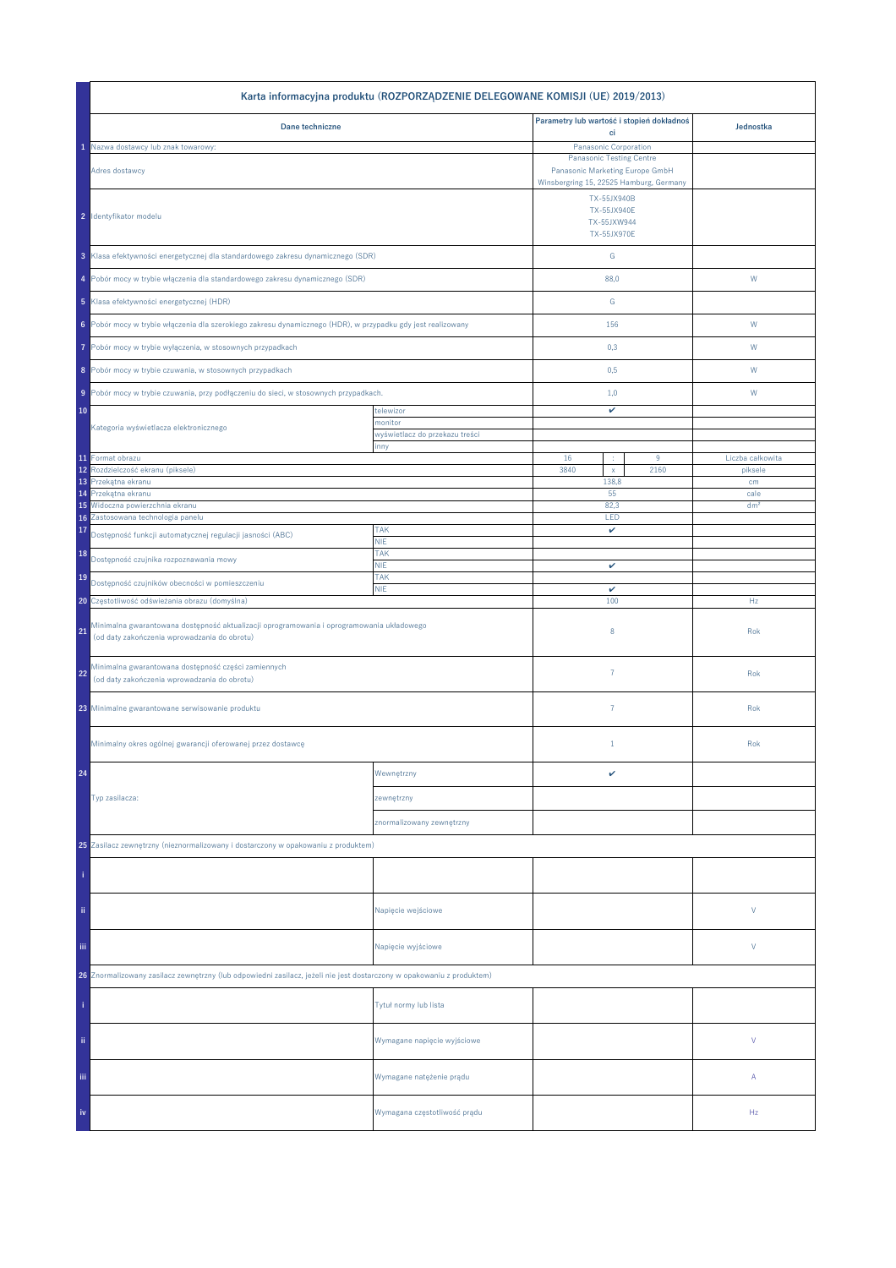|                                                                                                                                           | Karta informacyjna produktu (ROZPORZĄDZENIE DELEGOWANE KOMISJI (UE) 2019/2013) |                                                                    |      |                  |
|-------------------------------------------------------------------------------------------------------------------------------------------|--------------------------------------------------------------------------------|--------------------------------------------------------------------|------|------------------|
| Dane techniczne                                                                                                                           |                                                                                | Parametry lub wartość i stopień dokładnoś                          |      | Jednostka        |
| Nazwa dostawcy lub znak towarowy:                                                                                                         |                                                                                | ci<br>Panasonic Corporation                                        |      |                  |
| Adres dostawcy                                                                                                                            |                                                                                | <b>Panasonic Testing Centre</b><br>Panasonic Marketing Europe GmbH |      |                  |
|                                                                                                                                           |                                                                                | Winsbergring 15, 22525 Hamburg, Germany                            |      |                  |
| 2 Identyfikator modelu                                                                                                                    |                                                                                | TX-55JX940B<br>TX-55JX940E<br>TX-55JXW944<br>TX-55JX970E           |      |                  |
| 3 Klasa efektywności energetycznej dla standardowego zakresu dynamicznego (SDR)                                                           |                                                                                | ${\mathbb G}$                                                      |      |                  |
| 4 Pobór mocy w trybie włączenia dla standardowego zakresu dynamicznego (SDR)                                                              |                                                                                | 88,0                                                               |      | W                |
| 5 Klasa efektywności energetycznej (HDR)                                                                                                  |                                                                                | ${\mathbb G}$                                                      |      |                  |
| 6 Pobór mocy w trybie włączenia dla szerokiego zakresu dynamicznego (HDR), w przypadku gdy jest realizowany                               |                                                                                | 156                                                                |      | W                |
| Pobór mocy w trybie wyłączenia, w stosownych przypadkach<br>7                                                                             |                                                                                | 0,3                                                                |      | W                |
| 8 Pobór mocy w trybie czuwania, w stosownych przypadkach                                                                                  |                                                                                | 0,5                                                                |      | W                |
| 9 Pobór mocy w trybie czuwania, przy podłączeniu do sieci, w stosownych przypadkach.                                                      |                                                                                | 1,0                                                                |      | W                |
| 10                                                                                                                                        | telewizor<br>monitor                                                           | v                                                                  |      |                  |
| Kategoria wyświetlacza elektronicznego                                                                                                    | wyświetlacz do przekazu treści                                                 |                                                                    |      |                  |
| 11 Format obrazu                                                                                                                          | inny                                                                           | 16<br>÷                                                            | 9    | Liczba całkowita |
| Rozdzielczość ekranu (piksele)<br>12                                                                                                      |                                                                                | 3840<br>$\mathsf X$                                                | 2160 | piksele          |
| Przekątna ekranu<br>13<br>Przekątna ekranu<br>14                                                                                          |                                                                                | 138,8<br>55                                                        |      | cm<br>cale       |
| Widoczna powierzchnia ekranu<br>15                                                                                                        |                                                                                | 82,3                                                               |      | dm <sup>2</sup>  |
| Zastosowana technologia panelu<br>16                                                                                                      |                                                                                | LED                                                                |      |                  |
| 17<br>Dostępność funkcji automatycznej regulacji jasności (ABC)                                                                           | <b>TAK</b><br><b>NIE</b>                                                       | v                                                                  |      |                  |
| 18<br>Dostępność czujnika rozpoznawania mowy                                                                                              | <b>TAK</b><br><b>NIE</b>                                                       | v                                                                  |      |                  |
| 19<br>Dostępność czujników obecności w pomieszczeniu                                                                                      | <b>TAK</b><br><b>NIE</b>                                                       |                                                                    |      |                  |
| 20 Częstotliwość odświeżania obrazu (domyślna)                                                                                            |                                                                                | v<br>100                                                           |      | Hz               |
| Minimalna gwarantowana dostępność aktualizacji oprogramowania i oprogramowania układowego<br>(od daty zakończenia wprowadzania do obrotu) |                                                                                | 8                                                                  |      | Rok              |
| Minimalna gwarantowana dostępność części zamiennych<br>22<br>(od daty zakończenia wprowadzania do obrotu)                                 |                                                                                | $\overline{7}$                                                     |      | Rok              |
| 23 Minimalne gwarantowane serwisowanie produktu                                                                                           |                                                                                | $\overline{7}$                                                     |      | Rok              |
| Minimalny okres ogólnej gwarancji oferowanej przez dostawcę                                                                               |                                                                                | $1\,$                                                              |      | Rok              |
| 24                                                                                                                                        | Wewnętrzny                                                                     | v                                                                  |      |                  |
| Typ zasilacza:                                                                                                                            | zewnętrzny                                                                     |                                                                    |      |                  |
|                                                                                                                                           | znormalizowany zewnętrzny                                                      |                                                                    |      |                  |
| 25 Zasilacz zewnętrzny (nieznormalizowany i dostarczony w opakowaniu z produktem)                                                         |                                                                                |                                                                    |      |                  |
|                                                                                                                                           |                                                                                |                                                                    |      |                  |
| ii.                                                                                                                                       | Napięcie wejściowe                                                             |                                                                    |      | V                |
| iii.                                                                                                                                      | Napięcie wyjściowe                                                             |                                                                    |      | V                |
| 26 Znormalizowany zasilacz zewnętrzny (lub odpowiedni zasilacz, jeżeli nie jest dostarczony w opakowaniu z produktem)                     |                                                                                |                                                                    |      |                  |
|                                                                                                                                           | Tytuł normy lub lista                                                          |                                                                    |      |                  |
| ii.                                                                                                                                       | Wymagane napięcie wyjściowe                                                    |                                                                    |      | V                |
| Ϊij                                                                                                                                       | Wymagane natężenie prądu                                                       |                                                                    |      | Α                |
| iv                                                                                                                                        | Wymagana częstotliwość prądu                                                   |                                                                    |      | Hz               |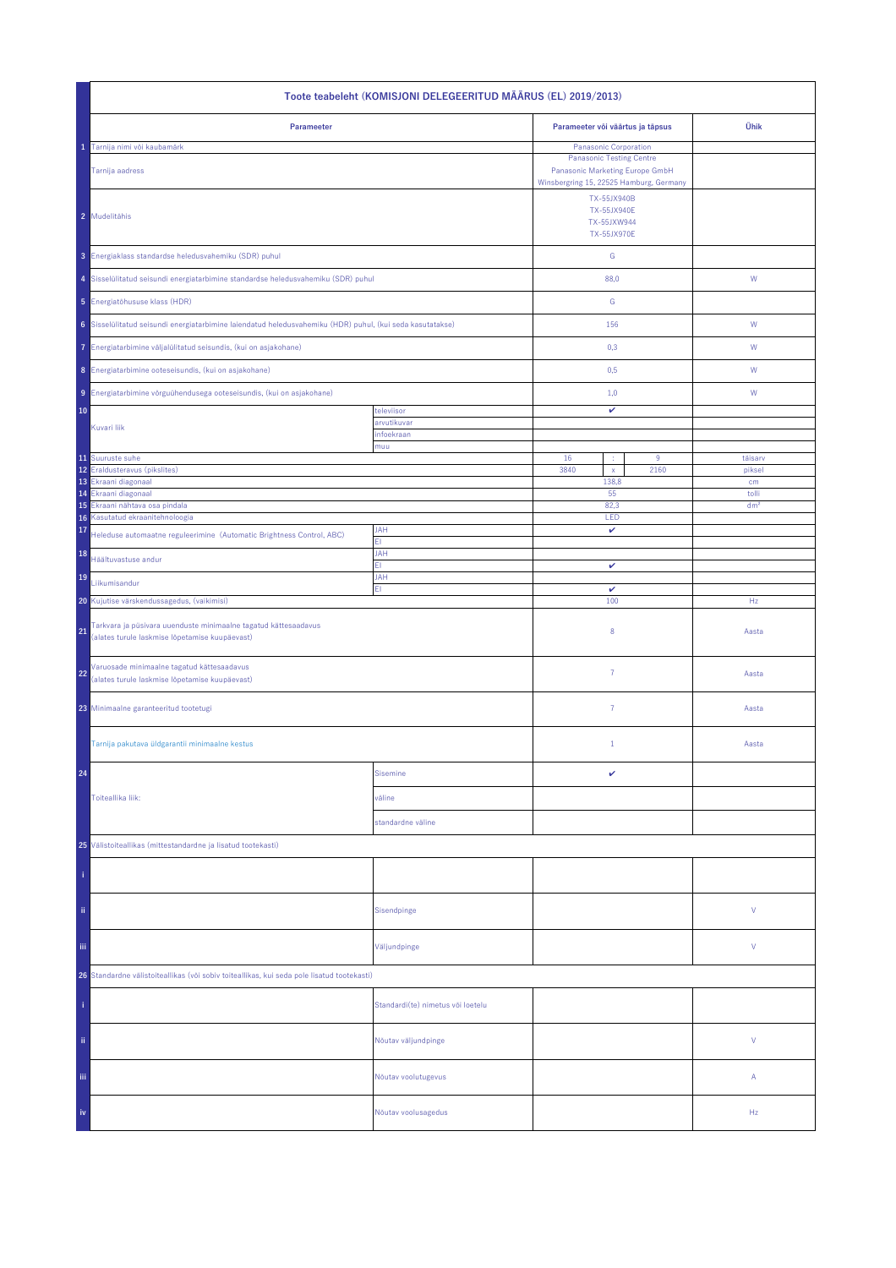| Toote teabeleht (KOMISJONI DELEGEERITUD MÄÄRUS (EL) 2019/2013)                                                          |                                   |                                                                                                                                        |                                                                 |                 |  |
|-------------------------------------------------------------------------------------------------------------------------|-----------------------------------|----------------------------------------------------------------------------------------------------------------------------------------|-----------------------------------------------------------------|-----------------|--|
| Parameeter                                                                                                              |                                   | Parameeter või väärtus ja täpsus                                                                                                       | Ühik                                                            |                 |  |
| Tarnija nimi või kaubamärk<br>Tarnija aadress                                                                           |                                   | Panasonic Corporation<br><b>Panasonic Testing Centre</b><br>Panasonic Marketing Europe GmbH<br>Winsbergring 15, 22525 Hamburg, Germany |                                                                 |                 |  |
| 2 Mudelitähis                                                                                                           |                                   |                                                                                                                                        | TX-55JX940B<br>TX-55JX940E<br>TX-55JXW944<br><b>TX-55JX970E</b> |                 |  |
| 3 Energiaklass standardse heledusvahemiku (SDR) puhul                                                                   |                                   | ${\mathsf G}$                                                                                                                          |                                                                 |                 |  |
| 4 Sisselülitatud seisundi energiatarbimine standardse heledusvahemiku (SDR) puhul                                       |                                   | 88,0                                                                                                                                   |                                                                 | W               |  |
| 5 Energiatõhususe klass (HDR)                                                                                           |                                   | ${\mathsf G}$                                                                                                                          |                                                                 |                 |  |
| 6 Sisselülitatud seisundi energiatarbimine laiendatud heledusvahemiku (HDR) puhul, (kui seda kasutatakse)               |                                   | 156                                                                                                                                    |                                                                 | W               |  |
| 7 Energiatarbimine väljalülitatud seisundis, (kui on asjakohane)                                                        |                                   | 0,3                                                                                                                                    |                                                                 | W               |  |
| 8 Energiatarbimine ooteseisundis, (kui on asjakohane)                                                                   |                                   | 0,5                                                                                                                                    |                                                                 | W               |  |
| 9 Energiatarbimine võrguühendusega ooteseisundis, (kui on asjakohane)                                                   |                                   | 1,0                                                                                                                                    |                                                                 | W               |  |
| 10                                                                                                                      | televiisor                        | v                                                                                                                                      |                                                                 |                 |  |
| Kuvari liik                                                                                                             | arvutikuvar<br>infoekraan         |                                                                                                                                        |                                                                 |                 |  |
| 11 Suuruste suhe                                                                                                        | muu                               | 16                                                                                                                                     | 9                                                               | täisarv         |  |
| 12 Eraldusteravus (pikslites)                                                                                           |                                   | 3840<br>$\bar{\mathbf{x}}$                                                                                                             | 2160                                                            | piksel          |  |
| 13 Ekraani diagonaal<br>Ekraani diagonaal<br>14                                                                         |                                   | 138,8<br>55                                                                                                                            |                                                                 | cm<br>tolli     |  |
| 15<br>Ekraani nähtava osa pindala                                                                                       |                                   | 82,3                                                                                                                                   |                                                                 | dm <sup>2</sup> |  |
| Kasutatud ekraanitehnoloogia<br>16<br>17                                                                                | <b>JAH</b>                        | LED<br>v                                                                                                                               |                                                                 |                 |  |
| Heleduse automaatne reguleerimine (Automatic Brightness Control, ABC)<br>18                                             | ΕI<br><b>JAH</b>                  |                                                                                                                                        |                                                                 |                 |  |
| Häältuvastuse andur                                                                                                     | FI.                               | v                                                                                                                                      |                                                                 |                 |  |
| 19<br>Liikumisandur                                                                                                     | JAH<br>EI.                        | $\checkmark$                                                                                                                           |                                                                 |                 |  |
| 20 Kujutise värskendussagedus, (vaikimisi)                                                                              |                                   | 100                                                                                                                                    |                                                                 | Hz              |  |
| Tarkvara ja püsivara uuenduste minimaalne tagatud kättesaadavus<br>21<br>(alates turule laskmise lõpetamise kuupäevast) |                                   | 8                                                                                                                                      |                                                                 | Aasta           |  |
| Varuosade minimaalne tagatud kättesaadavus<br>22<br>(alates turule laskmise lõpetamise kuupäevast)                      |                                   | $\overline{7}$                                                                                                                         |                                                                 | Aasta           |  |
| 23 Minimaalne garanteeritud tootetugi                                                                                   |                                   | 7                                                                                                                                      |                                                                 | Aasta           |  |
| Tarnija pakutava üldgarantii minimaalne kestus                                                                          |                                   | $\mathbf{1}$                                                                                                                           |                                                                 | Aasta           |  |
| 24                                                                                                                      | <b>Sisemine</b>                   | v                                                                                                                                      |                                                                 |                 |  |
| Toiteallika liik:                                                                                                       | väline                            |                                                                                                                                        |                                                                 |                 |  |
|                                                                                                                         | standardne väline                 |                                                                                                                                        |                                                                 |                 |  |
| 25 Välistoiteallikas (mittestandardne ja lisatud tootekasti)                                                            |                                   |                                                                                                                                        |                                                                 |                 |  |
|                                                                                                                         |                                   |                                                                                                                                        |                                                                 |                 |  |
| ii.                                                                                                                     | Sisendpinge                       |                                                                                                                                        |                                                                 | ٧               |  |
| iij                                                                                                                     | Väljundpinge                      |                                                                                                                                        |                                                                 | ٧               |  |
| 26 Standardne välistoiteallikas (või sobiv toiteallikas, kui seda pole lisatud tootekasti)                              |                                   |                                                                                                                                        |                                                                 |                 |  |
|                                                                                                                         | Standardi(te) nimetus või loetelu |                                                                                                                                        |                                                                 |                 |  |
| ii.                                                                                                                     | Nõutav väljundpinge               |                                                                                                                                        |                                                                 | V               |  |
| Ϊij                                                                                                                     | Nõutav voolutugevus               |                                                                                                                                        |                                                                 | Α               |  |
| iv                                                                                                                      | Nõutav voolusagedus               |                                                                                                                                        |                                                                 | Hz              |  |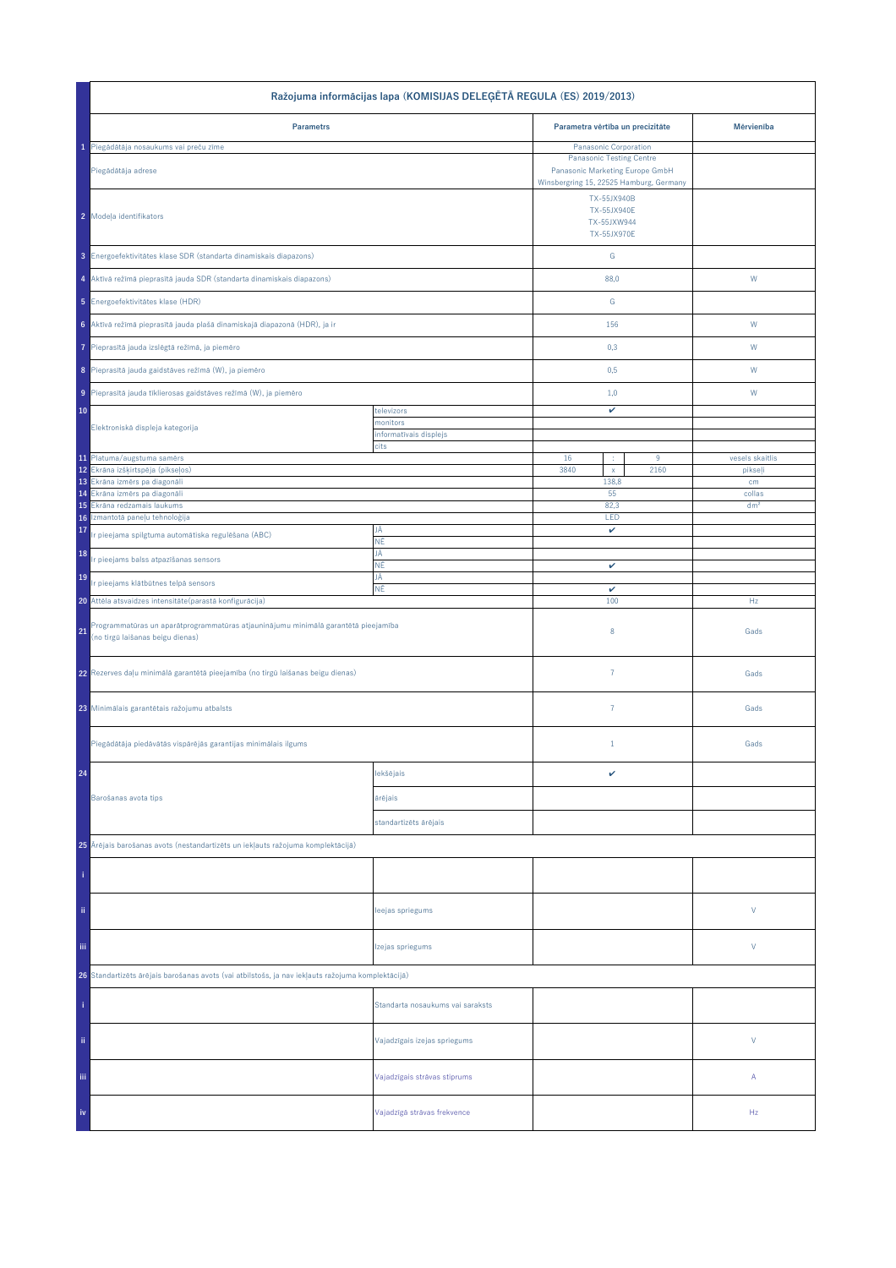| Ražojuma informācijas lapa (KOMISIJAS DELEĢĒTĀ REGULA (ES) 2019/2013)                                                                                |                                  |                                                                    |           |                 |  |
|------------------------------------------------------------------------------------------------------------------------------------------------------|----------------------------------|--------------------------------------------------------------------|-----------|-----------------|--|
| <b>Parametrs</b>                                                                                                                                     |                                  | Parametra vērtība un precizitāte                                   |           | Mērvienība      |  |
| 1 Piegādātāja nosaukums vai preču zīme                                                                                                               |                                  | Panasonic Corporation                                              |           |                 |  |
| Piegādātāja adrese                                                                                                                                   |                                  | <b>Panasonic Testing Centre</b><br>Panasonic Marketing Europe GmbH |           |                 |  |
|                                                                                                                                                      |                                  | Winsbergring 15, 22525 Hamburg, Germany                            |           |                 |  |
| 2 Modeļa identifikators                                                                                                                              |                                  | TX-55JX940B<br><b>TX-55JX940E</b><br>TX-55JXW944<br>TX-55JX970E    |           |                 |  |
|                                                                                                                                                      |                                  |                                                                    |           |                 |  |
| 3 Energoefektivitätes klase SDR (standarta dinamiskais diapazons)                                                                                    |                                  | ${\mathsf G}$                                                      |           |                 |  |
| 4 Aktīvā režīmā pieprasītā jauda SDR (standarta dinamiskais diapazons)                                                                               |                                  | 88,0                                                               |           | W               |  |
| 5 Energoefektivitätes klase (HDR)                                                                                                                    |                                  | G                                                                  |           |                 |  |
| 6 Aktīvā režīmā pieprasītā jauda plašā dinamiskajā diapazonā (HDR), ja ir                                                                            |                                  | 156                                                                |           | ${\sf W}$       |  |
| Pieprasītā jauda izslēgtā režīmā, ja piemēro                                                                                                         |                                  | 0,3                                                                |           | W               |  |
| 8 Pieprasītā jauda gaidstāves režīmā (W), ja piemēro                                                                                                 |                                  | 0,5                                                                |           | W               |  |
| 9 Pieprasītā jauda tīklierosas gaidstāves režīmā (W), ja piemēro                                                                                     |                                  | 1,0                                                                |           | W               |  |
| 10                                                                                                                                                   | televizors<br>monitors           | v                                                                  |           |                 |  |
| Elektroniskā displeja kategorija                                                                                                                     | informatīvais displejs           |                                                                    |           |                 |  |
|                                                                                                                                                      | cits                             |                                                                    |           |                 |  |
| 11 Platuma/augstuma samērs<br>12 Ekrāna izšķirtspēja (pikseļos)                                                                                      |                                  | 16<br>3840<br>$\bar{\mathbf{x}}$                                   | 9<br>2160 | vesels skaitlis |  |
| 13 Ekrâna izmêrs pa diagonâli                                                                                                                        |                                  | 138,8                                                              |           | pikseļi<br>cm   |  |
| 14 Ekrâna izmêrs pa diagonâli                                                                                                                        |                                  | 55                                                                 |           | collas          |  |
| Ekrāna redzamais laukums<br>15                                                                                                                       |                                  | 82,3                                                               |           | dm <sup>2</sup> |  |
| Izmantotā paneļu tehnoloģija<br>16<br>17<br>Ir pieejama spilgtuma automātiska regulēšana (ABC)                                                       | JĀ                               | LED<br>v                                                           |           |                 |  |
| 18                                                                                                                                                   | ΝĒ<br>JĀ                         |                                                                    |           |                 |  |
| r pieejams balss atpazīšanas sensors<br>19                                                                                                           | ΝĒ<br>JĀ                         | v                                                                  |           |                 |  |
| Ir pieejams klātbūtnes telpā sensors                                                                                                                 | ΝĒ                               | v<br>100                                                           |           | Hz              |  |
| 20 Attēla atsvaidzes intensitāte (parastā konfigurācija)<br>Programmatūras un aparātprogrammatūras atjauninājumu minimālā garantētā pieejamība<br>21 |                                  | 8                                                                  |           | Gads            |  |
| (no tirgū laišanas beigu dienas)                                                                                                                     |                                  |                                                                    |           |                 |  |
| 22 Rezerves daļu minimālā garantētā pieejamība (no tirgū laišanas beigu dienas)                                                                      |                                  | $\overline{7}$                                                     |           | Gads            |  |
| 23 Minimālais garantētais ražojumu atbalsts                                                                                                          |                                  | $\overline{7}$                                                     |           | Gads            |  |
| Piegādātāja piedāvātās vispārējās garantijas minimālais ilgums                                                                                       |                                  | $\mathbf{1}$                                                       |           | Gads            |  |
| 24                                                                                                                                                   | lekšējais                        | v                                                                  |           |                 |  |
| Barošanas avota tips                                                                                                                                 | ārējais                          |                                                                    |           |                 |  |
|                                                                                                                                                      | standartizēts ārējais            |                                                                    |           |                 |  |
| 25 Ārējais barošanas avots (nestandartizēts un iekļauts ražojuma komplektācijā)                                                                      |                                  |                                                                    |           |                 |  |
|                                                                                                                                                      |                                  |                                                                    |           |                 |  |
| ii.                                                                                                                                                  | leejas spriegums                 |                                                                    |           | V               |  |
| Ϊij                                                                                                                                                  | Izejas spriegums                 |                                                                    |           | V               |  |
| 26 Standartizēts ārējais barošanas avots (vai atbilstošs, ja nav iekļauts ražojuma komplektācijā)                                                    |                                  |                                                                    |           |                 |  |
|                                                                                                                                                      | Standarta nosaukums vai saraksts |                                                                    |           |                 |  |
| ii.                                                                                                                                                  | Vajadzīgais izejas spriegums     |                                                                    |           | $\vee$          |  |
| Ϊij                                                                                                                                                  | Vajadzīgais strāvas stiprums     |                                                                    |           | А               |  |
| iv                                                                                                                                                   | Vajadzīgā strāvas frekvence      |                                                                    |           | Hz              |  |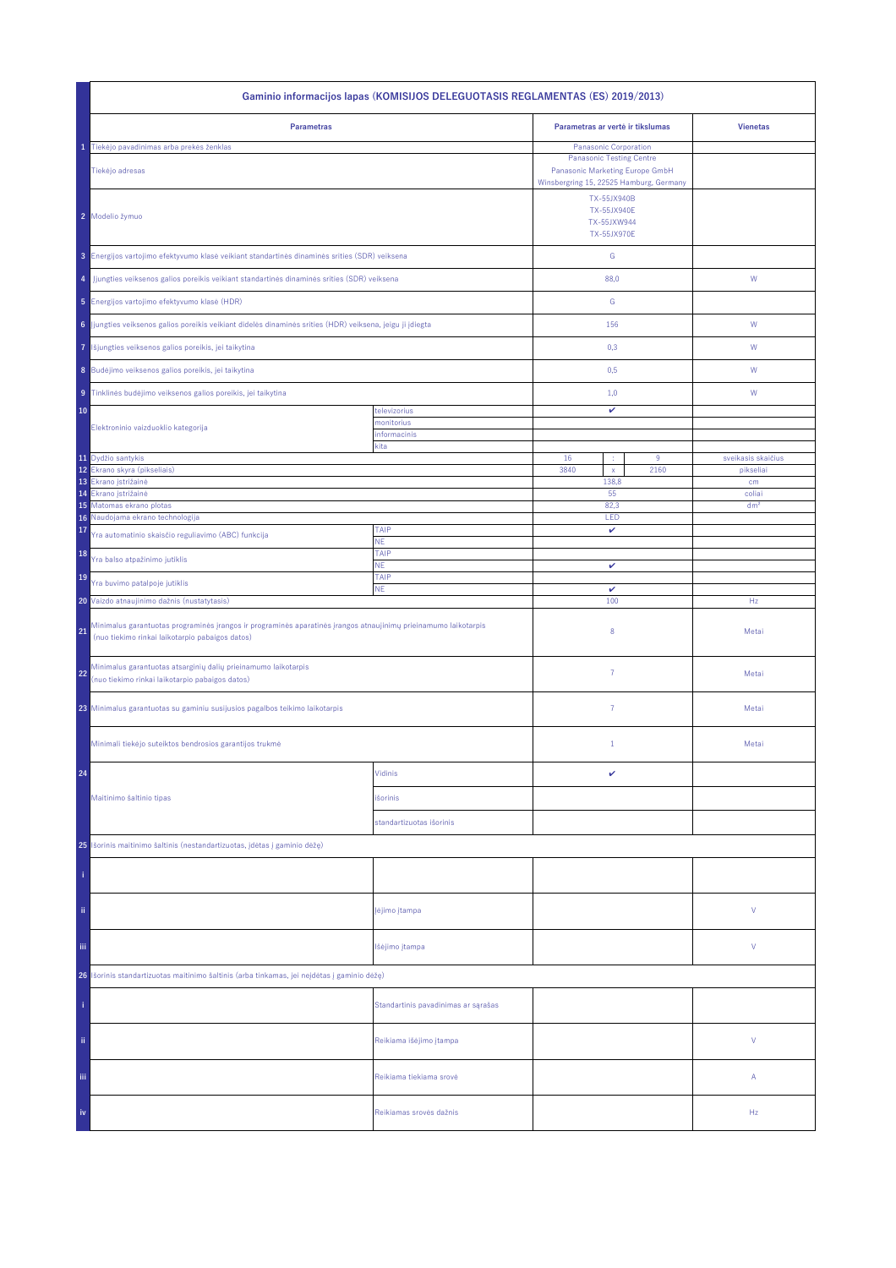| Gaminio informacijos lapas (KOMISIJOS DELEGUOTASIS REGLAMENTAS (ES) 2019/2013)                                                                                           |                                     |                                                                                                                                        |                                 |  |
|--------------------------------------------------------------------------------------------------------------------------------------------------------------------------|-------------------------------------|----------------------------------------------------------------------------------------------------------------------------------------|---------------------------------|--|
| <b>Parametras</b>                                                                                                                                                        |                                     | Parametras ar vertė ir tikslumas                                                                                                       | <b>Vienetas</b>                 |  |
| Tiekėjo pavadinimas arba prekės ženklas<br>Tiekėjo adresas                                                                                                               |                                     | Panasonic Corporation<br><b>Panasonic Testing Centre</b><br>Panasonic Marketing Europe GmbH<br>Winsbergring 15, 22525 Hamburg, Germany |                                 |  |
| 2 Modelio žymuo                                                                                                                                                          |                                     | TX-55JX940B<br><b>TX-55JX940E</b><br>TX-55JXW944<br><b>TX-55JX970E</b>                                                                 |                                 |  |
| 3 Energijos vartojimo efektyvumo klasė veikiant standartinės dinaminės srities (SDR) veiksena                                                                            |                                     | ${\mathsf G}$                                                                                                                          |                                 |  |
| Jjungties veiksenos galios poreikis veikiant standartinės dinaminės srities (SDR) veiksena<br>4                                                                          |                                     | 88,0                                                                                                                                   | ${\mathsf W}$                   |  |
| 5 Energijos vartojimo efektyvumo klasė (HDR)                                                                                                                             |                                     | G                                                                                                                                      |                                 |  |
| 6 Jjungties veiksenos galios poreikis veikiant didelės dinaminės srities (HDR) veiksena, jeigu ji įdiegta                                                                |                                     | 156                                                                                                                                    | W                               |  |
| Išjungties veiksenos galios poreikis, jei taikytina<br>7                                                                                                                 |                                     | 0,3                                                                                                                                    | W                               |  |
| 8 Budėjimo veiksenos galios poreikis, jei taikytina                                                                                                                      |                                     | 0,5                                                                                                                                    | W                               |  |
| 9 Tinklinės budėjimo veiksenos galios poreikis, jei taikytina                                                                                                            |                                     | 1,0                                                                                                                                    | W                               |  |
| 10<br>Elektroninio vaizduoklio kategorija                                                                                                                                | televizorius<br>monitorius          | v                                                                                                                                      |                                 |  |
|                                                                                                                                                                          | informacinis<br>kita                |                                                                                                                                        |                                 |  |
| 11 Dydžio santykis<br>12 <sup>°</sup><br>Ekrano skyra (pikseliais)                                                                                                       |                                     | 16<br>9<br>÷<br>3840<br>2160<br>$\mathsf{x}$                                                                                           | sveikasis skaičius<br>pikseliai |  |
| 13<br>Ekrano įstrižainė                                                                                                                                                  |                                     | 138,8                                                                                                                                  | cm                              |  |
| 14<br>Ekrano įstrižainė<br>15 Matomas ekrano plotas                                                                                                                      |                                     | 55<br>82,3                                                                                                                             | coliai<br>dm <sup>2</sup>       |  |
| Naudojama ekrano technologija<br>16                                                                                                                                      |                                     | LED                                                                                                                                    |                                 |  |
| 17<br>Yra automatinio skaisčio reguliavimo (ABC) funkcija                                                                                                                | TAIP<br>NE.                         | v                                                                                                                                      |                                 |  |
| 18<br>Yra balso atpažinimo jutiklis                                                                                                                                      | TAIP<br><b>NE</b>                   | v                                                                                                                                      |                                 |  |
| 19<br>Yra buvimo patalpoje jutiklis                                                                                                                                      | TAIP<br><b>NE</b>                   | $\checkmark$                                                                                                                           |                                 |  |
| 20 Vaizdo atnaujinimo dažnis (nustatytasis)                                                                                                                              |                                     | 100                                                                                                                                    | Hz                              |  |
| Minimalus garantuotas programinės įrangos ir programinės aparatinės įrangos atnaujinimų prieinamumo laikotarpis<br>21<br>(nuo tiekimo rinkai laikotarpio pabaigos datos) |                                     | 8                                                                                                                                      | Metai                           |  |
| Minimalus garantuotas atsarginių dalių prieinamumo laikotarpis<br>22<br>(nuo tiekimo rinkai laikotarpio pabaigos datos)                                                  |                                     | $\overline{7}$                                                                                                                         | Metai                           |  |
| 23 Minimalus garantuotas su gaminiu susijusios pagalbos teikimo laikotarpis                                                                                              |                                     | $\overline{7}$                                                                                                                         | Metai                           |  |
| Minimali tiekėjo suteiktos bendrosios garantijos trukmė                                                                                                                  |                                     | $1\,$                                                                                                                                  | Metai                           |  |
| 24                                                                                                                                                                       | Vidinis                             | v                                                                                                                                      |                                 |  |
| Maitinimo šaltinio tipas                                                                                                                                                 | išorinis                            |                                                                                                                                        |                                 |  |
|                                                                                                                                                                          | standartizuotas išorinis            |                                                                                                                                        |                                 |  |
| 25 Išorinis maitinimo šaltinis (nestandartizuotas, įdėtas į gaminio dėžę)                                                                                                |                                     |                                                                                                                                        |                                 |  |
|                                                                                                                                                                          |                                     |                                                                                                                                        |                                 |  |
| ii.                                                                                                                                                                      | įėjimo įtampa                       |                                                                                                                                        | ٧                               |  |
| Ϊij                                                                                                                                                                      | Išėjimo įtampa                      |                                                                                                                                        | ٧                               |  |
| Išorinis standartizuotas maitinimo šaltinis (arba tinkamas, jei neįdėtas į gaminio dėžę)<br>26                                                                           |                                     |                                                                                                                                        |                                 |  |
|                                                                                                                                                                          | Standartinis pavadinimas ar sąrašas |                                                                                                                                        |                                 |  |
| ii.                                                                                                                                                                      | Reikiama išėjimo įtampa             |                                                                                                                                        | V                               |  |
| Ϊij                                                                                                                                                                      | Reikiama tiekiama srovė             |                                                                                                                                        | Α                               |  |
| iv                                                                                                                                                                       | Reikiamas srovės dažnis             |                                                                                                                                        | Hz                              |  |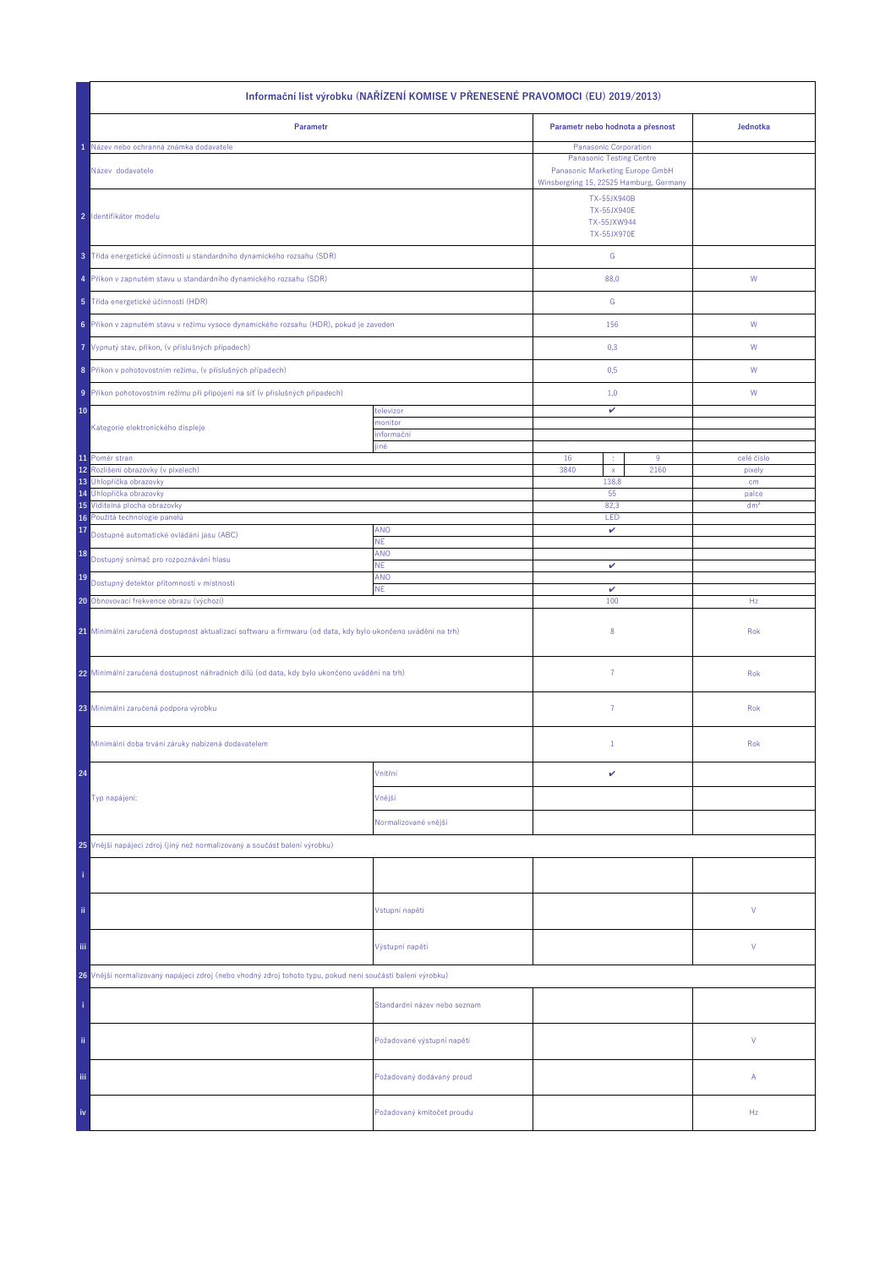| Informační list výrobku (NAŘÍZENÍ KOMISE V PŘENESENÉ PRAVOMOCI (EU) 2019/2013)                               |                              |                                                                                                                                        |      |                 |  |
|--------------------------------------------------------------------------------------------------------------|------------------------------|----------------------------------------------------------------------------------------------------------------------------------------|------|-----------------|--|
| Parametr                                                                                                     |                              | Parametr nebo hodnota a přesnost                                                                                                       |      | Jednotka        |  |
| Název nebo ochranná známka dodavatele<br>Název dodavatele                                                    |                              | Panasonic Corporation<br><b>Panasonic Testing Centre</b><br>Panasonic Marketing Europe GmbH<br>Winsbergring 15, 22525 Hamburg, Germany |      |                 |  |
| 2 Identifikátor modelu                                                                                       |                              | TX-55JX940B<br><b>TX-55JX940E</b><br>TX-55JXW944<br><b>TX-55JX970E</b>                                                                 |      |                 |  |
| 3 Třída energetické účinnosti u standardního dynamického rozsahu (SDR)                                       |                              | ${\mathsf G}$                                                                                                                          |      |                 |  |
| 4 Příkon v zapnutém stavu u standardního dynamického rozsahu (SDR)                                           |                              | 88,0                                                                                                                                   |      | ${\mathsf W}$   |  |
| 5 Třída energetické účinnosti (HDR)                                                                          |                              | G                                                                                                                                      |      |                 |  |
| 6 Příkon v zapnutém stavu v režimu vysoce dynamického rozsahu (HDR), pokud je zaveden                        |                              | 156                                                                                                                                    |      | W               |  |
| 7 Vypnutý stav, příkon, (v příslušných případech)                                                            |                              | 0,3                                                                                                                                    |      | W               |  |
| 8 Příkon v pohotovostním režimu, (v příslušných případech)                                                   |                              | 0,5                                                                                                                                    |      | W               |  |
| 9 Příkon pohotovostním režimu při připojení na síť (v příslušných případech)                                 |                              | 1,0                                                                                                                                    |      | W               |  |
| 10                                                                                                           | televizor<br>monitor         | v                                                                                                                                      |      |                 |  |
| Kategorie elektronického displeje                                                                            | informační<br>jiné           |                                                                                                                                        |      |                 |  |
| 11 Poměr stran                                                                                               |                              | 16<br>÷                                                                                                                                | 9    | celé číslo      |  |
| 12<br>Rozlišení obrazovky (v pixelech)<br>13 Úhlopříčka obrazovky                                            |                              | 3840<br>$\mathsf{x}$<br>138,8                                                                                                          | 2160 | pixely<br>cm    |  |
| 14 Úhlopříčka obrazovky                                                                                      |                              | 55                                                                                                                                     |      | palce           |  |
| 15 Viditelná plocha obrazovky                                                                                |                              | 82,3                                                                                                                                   |      | dm <sup>2</sup> |  |
| Použitá technologie panelů<br>16<br>17                                                                       | <b>ANO</b>                   | LED<br>v                                                                                                                               |      |                 |  |
| Dostupné automatické ovládání jasu (ABC)                                                                     | NE.                          |                                                                                                                                        |      |                 |  |
| 18<br>Dostupný snímač pro rozpoznávání hlasu                                                                 | ANO<br>ΝE.                   | v                                                                                                                                      |      |                 |  |
| 19<br>Dostupný detektor přítomnosti v místnosti                                                              | ANO                          |                                                                                                                                        |      |                 |  |
| 20 Obnovovací frekvence obrazu (výchozí)                                                                     | <b>NE</b>                    | $\checkmark$<br>100                                                                                                                    |      | Hz              |  |
| 21 Minimální zaručená dostupnost aktualizací softwaru a firmwaru (od data, kdy bylo ukončeno uvádění na trh) |                              | 8                                                                                                                                      |      | Rok             |  |
| 22 Minimální zaručená dostupnost náhradních dílů (od data, kdy bylo ukončeno uvádění na trh)                 |                              | $\overline{7}$                                                                                                                         |      | Rok             |  |
| 23 Minimální zaručená podpora výrobku                                                                        |                              | $\overline{7}$                                                                                                                         |      | Rok             |  |
| Minimální doba trvání záruky nabízená dodavatelem                                                            |                              | $\mathbf{1}$                                                                                                                           |      | Rok             |  |
| 24                                                                                                           | Vnitřní                      | v                                                                                                                                      |      |                 |  |
| Typ napájení:                                                                                                | Vnější                       |                                                                                                                                        |      |                 |  |
|                                                                                                              | Normalizované vnější         |                                                                                                                                        |      |                 |  |
| 25 Vnější napájecí zdroj (jiný než normalizovaný a součást balení výrobku)                                   |                              |                                                                                                                                        |      |                 |  |
|                                                                                                              |                              |                                                                                                                                        |      |                 |  |
| ii.                                                                                                          | Vstupní napětí               |                                                                                                                                        |      | ٧               |  |
| Ϊij                                                                                                          | Výstupní napětí              |                                                                                                                                        |      | ٧               |  |
| 26 Vnější normalizovaný napájecí zdroj (nebo vhodný zdroj tohoto typu, pokud není součástí balení výrobku)   |                              |                                                                                                                                        |      |                 |  |
|                                                                                                              | Standardní název nebo seznam |                                                                                                                                        |      |                 |  |
| ii.                                                                                                          | Požadované výstupní napětí   |                                                                                                                                        |      | V               |  |
| Ϊij                                                                                                          | Požadovaný dodávaný proud    |                                                                                                                                        |      | Α               |  |
| iv                                                                                                           | Požadovaný kmitočet proudu   |                                                                                                                                        |      | Hz              |  |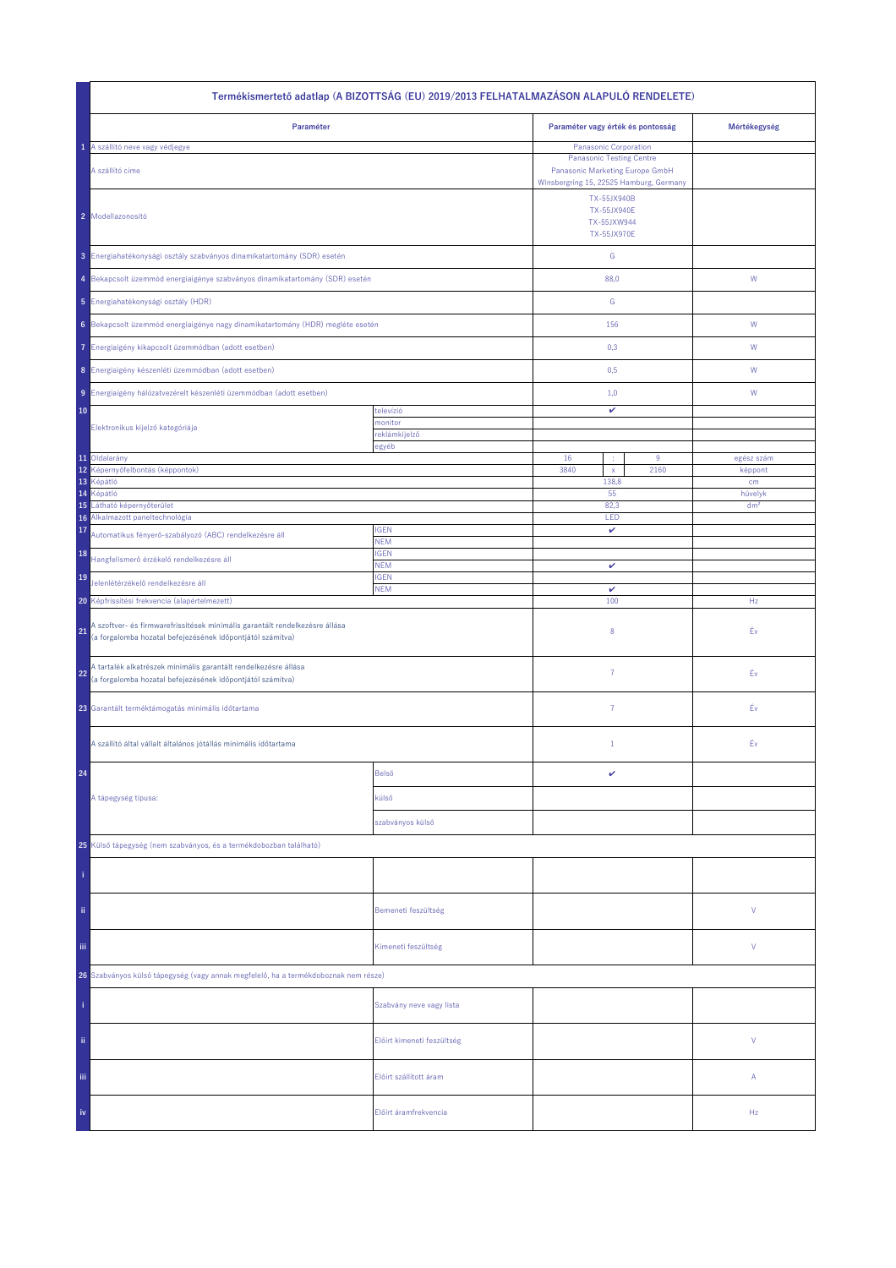| Termékismertető adatlap (A BIZOTTSÁG (EU) 2019/2013 FELHATALMAZÁSON ALAPULÓ RENDELETE)                                                          |                            |                                                                                                                   |      |                       |  |
|-------------------------------------------------------------------------------------------------------------------------------------------------|----------------------------|-------------------------------------------------------------------------------------------------------------------|------|-----------------------|--|
| Paraméter                                                                                                                                       |                            | Paraméter vagy érték és pontosság                                                                                 |      | Mértékegység          |  |
| 1 A szállító neve vagy védjegye                                                                                                                 |                            | <b>Panasonic Corporation</b>                                                                                      |      |                       |  |
| A szállító címe                                                                                                                                 |                            | <b>Panasonic Testing Centre</b><br>Panasonic Marketing Europe GmbH                                                |      |                       |  |
| 2 Modellazonosító                                                                                                                               |                            | Winsbergring 15, 22525 Hamburg, Germany<br>TX-55JX940B<br><b>TX-55JX940E</b><br>TX-55JXW944<br><b>TX-55JX970E</b> |      |                       |  |
| 3 Energiahatékonysági osztály szabványos dinamikatartomány (SDR) esetén                                                                         |                            | ${\mathsf G}$                                                                                                     |      |                       |  |
| 4 Bekapcsolt üzemmód energiaigénye szabványos dinamikatartomány (SDR) esetén                                                                    |                            | 88,0                                                                                                              |      | ${\sf W}$             |  |
| 5 Energiahatékonysági osztály (HDR)                                                                                                             |                            | ${\mathbb G}$                                                                                                     |      |                       |  |
| 6 Bekapcsolt üzemmód energiaigénye nagy dinamikatartomány (HDR) megléte esetén                                                                  |                            | 156                                                                                                               |      | ${\mathsf W}$         |  |
| Energiaigény kikapcsolt üzemmódban (adott esetben)<br>7.                                                                                        |                            | 0,3                                                                                                               |      | W                     |  |
| 8 Energiaigény készenléti üzemmódban (adott esetben)                                                                                            |                            | 0,5                                                                                                               |      | W                     |  |
| 9 Energiaigény hálózatvezérelt készenléti üzemmódban (adott esetben)                                                                            |                            | 1,0                                                                                                               |      | W                     |  |
| 10                                                                                                                                              | televízió<br>monitor       | v                                                                                                                 |      |                       |  |
| Elektronikus kijelző kategóriája                                                                                                                | reklámkijelző              |                                                                                                                   |      |                       |  |
| 11 Oldalarány                                                                                                                                   | egyéb                      | 16                                                                                                                | 9    |                       |  |
| 12<br>Képernyőfelbontás (képpontok)                                                                                                             |                            | ÷<br>3840<br>$\mathsf{x}$                                                                                         | 2160 | egész szám<br>képpont |  |
| 13<br>Képátló                                                                                                                                   |                            | 138,8                                                                                                             |      | cm                    |  |
| 14<br>Képátló                                                                                                                                   |                            | 55                                                                                                                |      | hüvelyk               |  |
| 15<br>Látható képernyőterület<br>Alkalmazott paneltechnológia<br>16                                                                             |                            | 82,3<br>LED                                                                                                       |      | dm <sup>2</sup>       |  |
| 17<br>Automatikus fényerő-szabályozó (ABC) rendelkezésre áll                                                                                    | <b>IGEN</b>                | v                                                                                                                 |      |                       |  |
| 18<br>Hangfelismerő érzékelő rendelkezésre áll                                                                                                  | <b>NEM</b><br><b>IGEN</b>  |                                                                                                                   |      |                       |  |
| 19<br>Jelenlétérzékelő rendelkezésre áll                                                                                                        | <b>NEM</b><br><b>IGEN</b>  | v                                                                                                                 |      |                       |  |
| 20 Képfrissítési frekvencia (alapértelmezett)                                                                                                   | <b>NEM</b>                 | v<br>100                                                                                                          |      | Hz                    |  |
| A szoftver- és firmwarefrissítések minimális garantált rendelkezésre állása<br>21<br>(a forgalomba hozatal befejezésének időpontjától számítva) |                            | 8                                                                                                                 |      | Év                    |  |
| A tartalék alkatrészek minimális garantált rendelkezésre állása<br>22<br>(a forgalomba hozatal befejezésének időpontjától számítva)             |                            | 7                                                                                                                 |      | Éν                    |  |
| 23 Garantált terméktámogatás minimális időtartama                                                                                               |                            | $\overline{7}$                                                                                                    |      | Éν                    |  |
| A szállító által vállalt általános jótállás minimális időtartama                                                                                |                            | $\mathbf{1}$                                                                                                      |      | Év                    |  |
| 24                                                                                                                                              | Belső                      | v                                                                                                                 |      |                       |  |
| A tápegység típusa:                                                                                                                             | külső                      |                                                                                                                   |      |                       |  |
|                                                                                                                                                 | szabványos külső           |                                                                                                                   |      |                       |  |
| 25 Külső tápegység (nem szabványos, és a termékdobozban található)                                                                              |                            |                                                                                                                   |      |                       |  |
|                                                                                                                                                 |                            |                                                                                                                   |      |                       |  |
| ii.                                                                                                                                             | Bemeneti feszültség        |                                                                                                                   |      | V                     |  |
| Ϊij                                                                                                                                             | Kimeneti feszültség        |                                                                                                                   |      | V                     |  |
| 26 Szabványos külső tápegység (vagy annak megfelelő, ha a termékdoboznak nem része)                                                             |                            |                                                                                                                   |      |                       |  |
|                                                                                                                                                 | Szabvány neve vagy lista   |                                                                                                                   |      |                       |  |
| ii.                                                                                                                                             | Előírt kimeneti feszültség |                                                                                                                   |      | V                     |  |
| Ϊij                                                                                                                                             | Előírt szállított áram     |                                                                                                                   |      | Α                     |  |
| iv                                                                                                                                              | Előírt áramfrekvencia      |                                                                                                                   |      | Hz                    |  |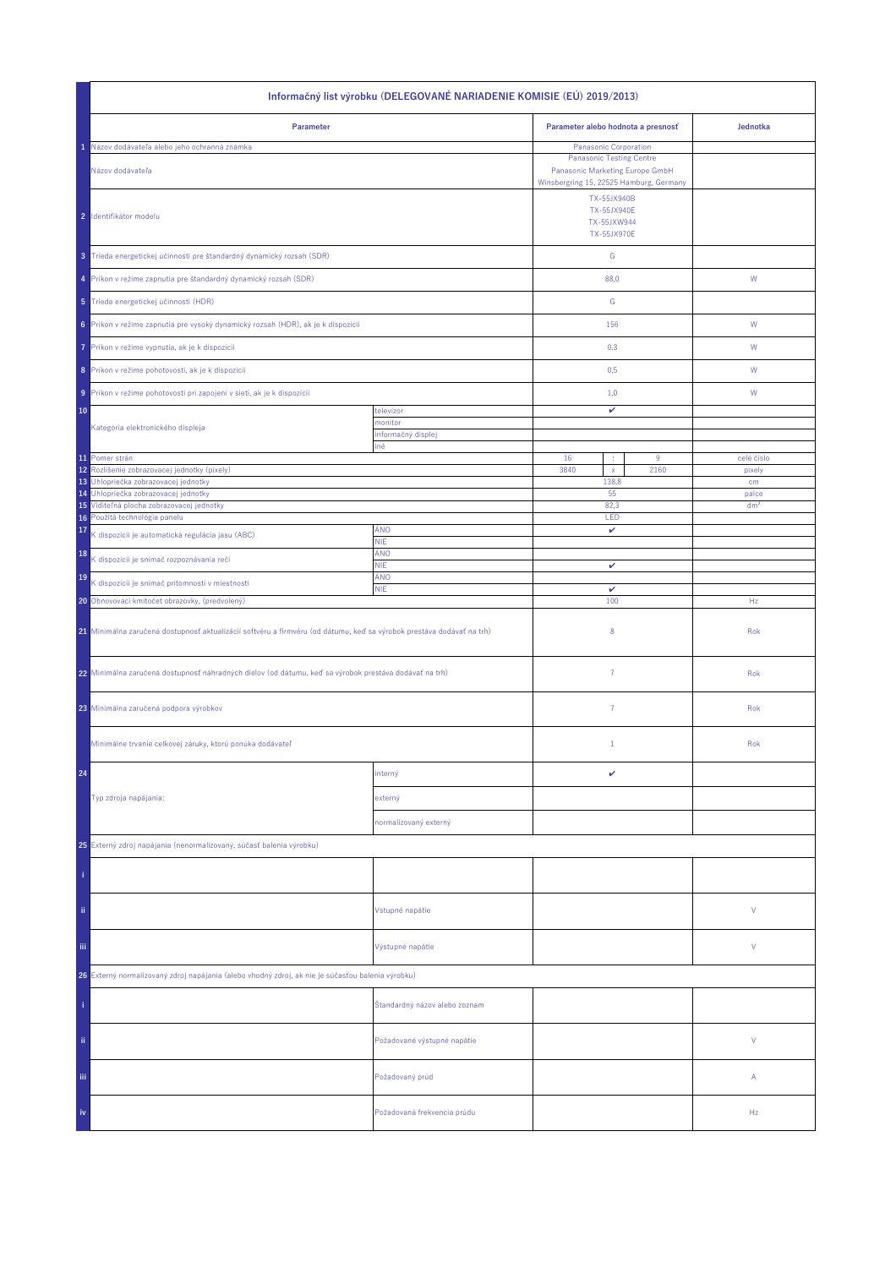| Informačný list výrobku (DELEGOVANÉ NARIADENIE KOMISIE (EÚ) 2019/2013)                                                |                               |                                                                                                               |                          |  |  |
|-----------------------------------------------------------------------------------------------------------------------|-------------------------------|---------------------------------------------------------------------------------------------------------------|--------------------------|--|--|
| Parameter                                                                                                             |                               | Parameter alebo hodnota a presnosť                                                                            | Jednotka                 |  |  |
| Názov dodávateľa alebo jeho ochranná známka                                                                           |                               | Panasonic Corporation                                                                                         |                          |  |  |
| Názov dodávateľa                                                                                                      |                               | <b>Panasonic Testing Centre</b><br>Panasonic Marketing Europe GmbH<br>Winsbergring 15, 22525 Hamburg, Germany |                          |  |  |
| 2 Identifikátor modelu                                                                                                |                               | TX-55JX940B<br><b>TX-55JX940E</b><br>TX-55JXW944<br>TX-55JX970E                                               |                          |  |  |
| 3 Trieda energetickej účinnosti pre štandardný dynamický rozsah (SDR)                                                 |                               | ${\mathbb G}$                                                                                                 |                          |  |  |
| 4 Príkon v režime zapnutia pre štandardný dynamický rozsah (SDR)                                                      |                               | 88,0                                                                                                          | W                        |  |  |
| 5 Trieda energetickej účinnosti (HDR)                                                                                 |                               | G                                                                                                             |                          |  |  |
| 6 Príkon v režime zapnutia pre vysoký dynamický rozsah (HDR), ak je k dispozícii                                      |                               | 156                                                                                                           | W                        |  |  |
| Príkon v režime vypnutia, ak je k dispozícii<br>7                                                                     |                               | 0,3                                                                                                           | W                        |  |  |
| 8 Príkon v režime pohotovosti, ak je k dispozícii                                                                     |                               | 0,5                                                                                                           | W                        |  |  |
| 9 Príkon v režime pohotovosti pri zapojení v sieti, ak je k dispozícii                                                |                               | 1,0                                                                                                           | W                        |  |  |
| 10                                                                                                                    | televízor                     | v                                                                                                             |                          |  |  |
| Kategória elektronického displeja                                                                                     | monitor                       |                                                                                                               |                          |  |  |
|                                                                                                                       | informačný displej<br>iné     |                                                                                                               |                          |  |  |
| 11 Pomer strán                                                                                                        |                               | 16<br>9<br>×                                                                                                  | celé číslo               |  |  |
| 12<br>Rozlíšenie zobrazovacej jednotky (pixely)                                                                       |                               | 3840<br>2160<br>$\mathsf X$                                                                                   | pixely                   |  |  |
| Uhlopriečka zobrazovacej jednotky<br>13                                                                               |                               | 138,8                                                                                                         | cm                       |  |  |
| Uhlopriečka zobrazovacej jednotky<br>14<br>15 Viditeľná plocha zobrazovacej jednotky                                  |                               | 55<br>82,3                                                                                                    | palce<br>dm <sup>2</sup> |  |  |
| 16 Použitá technológia panelu                                                                                         |                               | LED                                                                                                           |                          |  |  |
| 17<br>K dispozícii je automatická regulácia jasu (ABC)                                                                | ÁNO<br><b>NIE</b>             | v                                                                                                             |                          |  |  |
| 18<br>K dispozícii je snímač rozpoznávania reči                                                                       | ÁNO<br><b>NIE</b>             | v                                                                                                             |                          |  |  |
| 19<br>K dispozícii je snímač prítomnosti v miestnosti                                                                 | ÁNO<br><b>NIE</b>             | $\checkmark$                                                                                                  |                          |  |  |
| 20 Obnovovací kmitočet obrazovky, (predvolený)                                                                        |                               | 100                                                                                                           | Hz                       |  |  |
| 21 Minimálna zaručená dostupnosť aktualizácií softvéru a firmvéru (od dátumu, keď sa výrobok prestáva dodávať na trh) |                               | 8                                                                                                             | Rok                      |  |  |
| 22 Minimálna zaručená dostupnosť náhradných dielov (od dátumu, keď sa výrobok prestáva dodávať na trh)                |                               | $\overline{7}$                                                                                                | Rok                      |  |  |
| 23 Minimálna zaručená podpora výrobkov                                                                                |                               | 7                                                                                                             | Rok                      |  |  |
| Minimálne trvanie celkovej záruky, ktorú ponúka dodávateľ                                                             |                               | $\mathbf{1}$                                                                                                  | Rok                      |  |  |
| 24                                                                                                                    | interný                       | v                                                                                                             |                          |  |  |
| Typ zdroja napájania:                                                                                                 | externý                       |                                                                                                               |                          |  |  |
|                                                                                                                       | normalizovaný externý         |                                                                                                               |                          |  |  |
| 25 Externý zdroj napájania (nenormalizovaný, súčasť balenia výrobku)                                                  |                               |                                                                                                               |                          |  |  |
|                                                                                                                       |                               |                                                                                                               |                          |  |  |
| ii.                                                                                                                   | Vstupné napätie               |                                                                                                               | V                        |  |  |
| Ϊij                                                                                                                   | Výstupné napätie              |                                                                                                               | V                        |  |  |
| 26 Externý normalizovaný zdroj napájania (alebo vhodný zdroj, ak nie je súčasťou balenia výrobku)                     |                               |                                                                                                               |                          |  |  |
|                                                                                                                       | Štandardný názov alebo zoznam |                                                                                                               |                          |  |  |
| ii.                                                                                                                   | Požadované výstupné napätie   |                                                                                                               | V                        |  |  |
| Ϊij                                                                                                                   | Požadovaný prúd               |                                                                                                               | Α                        |  |  |
| iv                                                                                                                    | Požadovaná frekvencia prúdu   |                                                                                                               | Hz                       |  |  |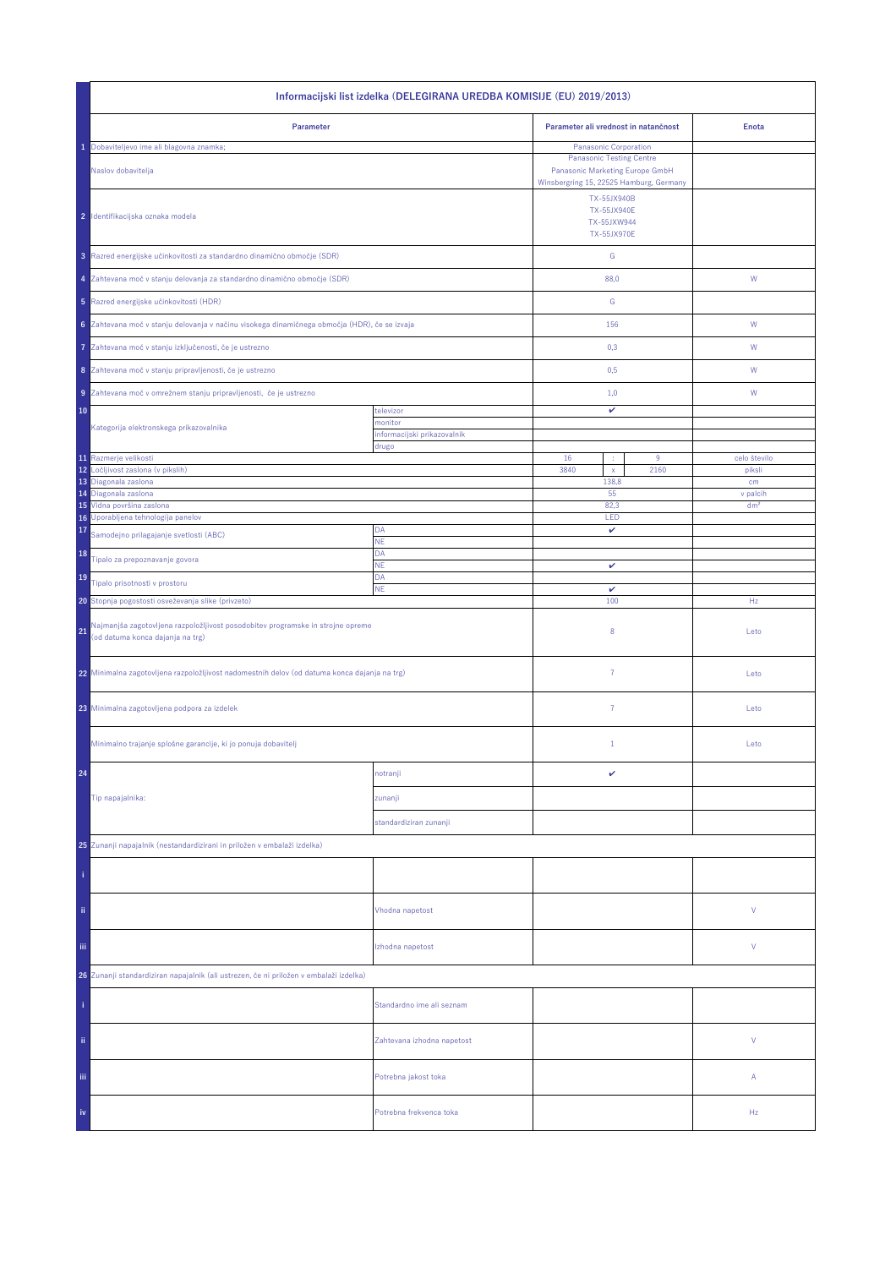| Informacijski list izdelka (DELEGIRANA UREDBA KOMISIJE (EU) 2019/2013)                                                    |                                        |                                                                                                               |                 |  |  |
|---------------------------------------------------------------------------------------------------------------------------|----------------------------------------|---------------------------------------------------------------------------------------------------------------|-----------------|--|--|
| Parameter                                                                                                                 |                                        | Parameter ali vrednost in natančnost                                                                          | <b>Enota</b>    |  |  |
| Dobaviteljevo ime ali blagovna znamka;                                                                                    |                                        | Panasonic Corporation                                                                                         |                 |  |  |
| Naslov dobavitelja                                                                                                        |                                        | <b>Panasonic Testing Centre</b><br>Panasonic Marketing Europe GmbH<br>Winsbergring 15, 22525 Hamburg, Germany |                 |  |  |
| 2 Identifikacijska oznaka modela                                                                                          |                                        | TX-55JX940B<br><b>TX-55JX940E</b><br>TX-55JXW944<br>TX-55JX970E                                               |                 |  |  |
| 3 Razred energijske učinkovitosti za standardno dinamično območje (SDR)                                                   |                                        | ${\mathbb G}$                                                                                                 |                 |  |  |
| 4 Zahtevana moč v stanju delovanja za standardno dinamično območje (SDR)                                                  |                                        | 88,0                                                                                                          | W               |  |  |
| 5 Razred energijske učinkovitosti (HDR)                                                                                   |                                        | G                                                                                                             |                 |  |  |
| 6 Zahtevana moč v stanju delovanja v načinu visokega dinamičnega območja (HDR), če se izvaja                              |                                        | 156                                                                                                           | ${\sf W}$       |  |  |
| Zahtevana moč v stanju izključenosti, če je ustrezno<br>7                                                                 |                                        | 0,3                                                                                                           | W               |  |  |
| 8 Zahtevana moč v stanju pripravljenosti, če je ustrezno                                                                  |                                        | 0,5                                                                                                           | W               |  |  |
| 9 Zahtevana moč v omrežnem stanju pripravljenosti, če je ustrezno                                                         |                                        | 1,0                                                                                                           | W               |  |  |
| 10                                                                                                                        | televizor                              | v                                                                                                             |                 |  |  |
| Kategorija elektronskega prikazovalnika                                                                                   | monitor<br>informacijski prikazovalnik |                                                                                                               |                 |  |  |
|                                                                                                                           | drugo                                  |                                                                                                               |                 |  |  |
| 11 Razmerje velikosti<br>12<br>Ločljivost zaslona (v pikslih)                                                             |                                        | 16<br>9<br>3840<br>2160                                                                                       | celo število    |  |  |
| 13 Diagonala zaslona                                                                                                      |                                        | $\mathsf X$<br>138,8                                                                                          | piksli<br>cm    |  |  |
| 14 Diagonala zaslona                                                                                                      |                                        | 55                                                                                                            | v palcih        |  |  |
| 15 Vidna površina zaslona<br>16 Uporabljena tehnologija panelov                                                           |                                        | 82,3<br>LED                                                                                                   | dm <sup>2</sup> |  |  |
| 17<br>Samodejno prilagajanje svetlosti (ABC)                                                                              | DA                                     | v                                                                                                             |                 |  |  |
| 18                                                                                                                        | NE<br>DA                               |                                                                                                               |                 |  |  |
| Tipalo za prepoznavanje govora                                                                                            | <b>NE</b>                              | v                                                                                                             |                 |  |  |
| 19<br>Tipalo prisotnosti v prostoru                                                                                       | DA<br><b>NE</b>                        | $\checkmark$                                                                                                  |                 |  |  |
| 20 Stopnja pogostosti osveževanja slike (privzeto)                                                                        |                                        | 100                                                                                                           | Hz              |  |  |
| Najmanjša zagotovljena razpoložljivost posodobitev programske in strojne opreme<br>21<br>(od datuma konca dajanja na trg) |                                        | 8                                                                                                             | Leto            |  |  |
| 22 Minimalna zagotovljena razpoložljivost nadomestnih delov (od datuma konca dajanja na trg)                              |                                        | $\overline{7}$                                                                                                | Leto            |  |  |
| 23 Minimalna zagotovljena podpora za izdelek                                                                              |                                        | $\overline{7}$                                                                                                | Leto            |  |  |
| Minimalno trajanje splošne garancije, ki jo ponuja dobavitelj                                                             |                                        | $\mathbf{1}$                                                                                                  | Leto            |  |  |
| 24                                                                                                                        | notranji                               | v                                                                                                             |                 |  |  |
| Tip napajalnika:                                                                                                          | zunanji                                |                                                                                                               |                 |  |  |
|                                                                                                                           | standardiziran zunanji                 |                                                                                                               |                 |  |  |
|                                                                                                                           |                                        |                                                                                                               |                 |  |  |
| 25 Zunanji napajalnik (nestandardizirani in priložen v embalaži izdelka)                                                  |                                        |                                                                                                               |                 |  |  |
|                                                                                                                           |                                        |                                                                                                               |                 |  |  |
| ii.                                                                                                                       | Vhodna napetost                        |                                                                                                               | ٧               |  |  |
| Ϊij                                                                                                                       | Izhodna napetost                       |                                                                                                               | ٧               |  |  |
| 26 Zunanji standardiziran napajalnik (ali ustrezen, če ni priložen v embalaži izdelka)                                    |                                        |                                                                                                               |                 |  |  |
|                                                                                                                           | Standardno ime ali seznam              |                                                                                                               |                 |  |  |
| ii.                                                                                                                       | Zahtevana izhodna napetost             |                                                                                                               | V               |  |  |
| iii.                                                                                                                      | Potrebna jakost toka                   |                                                                                                               | Α               |  |  |
| iv                                                                                                                        | Potrebna frekvenca toka                |                                                                                                               | Hz              |  |  |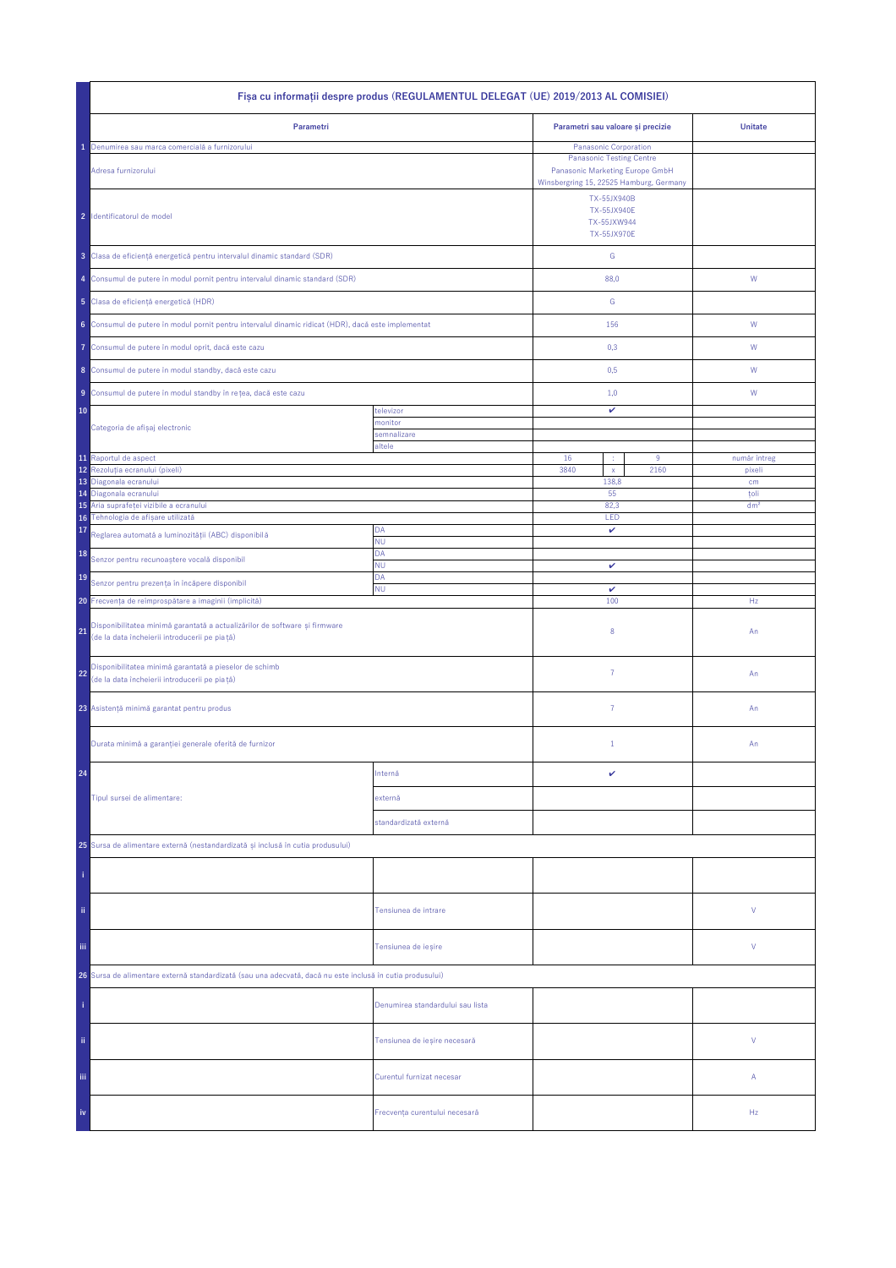| Fișa cu informații despre produs (REGULAMENTUL DELEGAT (UE) 2019/2013 AL COMISIEI)                                                |                                  |                                                                                                                                        |      |                         |  |
|-----------------------------------------------------------------------------------------------------------------------------------|----------------------------------|----------------------------------------------------------------------------------------------------------------------------------------|------|-------------------------|--|
| Parametri                                                                                                                         |                                  | Parametri sau valoare și precizie                                                                                                      |      | <b>Unitate</b>          |  |
| Denumirea sau marca comercială a furnizorului<br>Adresa furnizorului                                                              |                                  | Panasonic Corporation<br><b>Panasonic Testing Centre</b><br>Panasonic Marketing Europe GmbH<br>Winsbergring 15, 22525 Hamburg, Germany |      |                         |  |
| 2 Identificatorul de model                                                                                                        |                                  | TX-55JX940B<br><b>TX-55JX940E</b><br>TX-55JXW944<br><b>TX-55JX970E</b>                                                                 |      |                         |  |
| 3 Clasa de eficiență energetică pentru intervalul dinamic standard (SDR)                                                          |                                  | ${\mathsf G}$                                                                                                                          |      |                         |  |
| 4 Consumul de putere în modul pornit pentru intervalul dinamic standard (SDR)                                                     |                                  | 88,0                                                                                                                                   |      | W                       |  |
| 5 Clasa de eficiență energetică (HDR)                                                                                             |                                  | G                                                                                                                                      |      |                         |  |
| 6 Consumul de putere în modul pornit pentru intervalul dinamic ridicat (HDR), dacă este implementat                               |                                  | 156                                                                                                                                    |      | W                       |  |
| Consumul de putere în modul oprit, dacă este cazu<br>7                                                                            |                                  | 0,3                                                                                                                                    |      | W                       |  |
| 8 Consumul de putere în modul standby, dacă este cazu                                                                             |                                  | 0,5                                                                                                                                    |      | W                       |  |
| 9 Consumul de putere în modul standby în rețea, dacă este cazu                                                                    |                                  | 1,0                                                                                                                                    |      | W                       |  |
| 10                                                                                                                                | televizor<br>monitor             | v                                                                                                                                      |      |                         |  |
| Categoria de afișaj electronic                                                                                                    | semnalizare                      |                                                                                                                                        |      |                         |  |
| 11 Raportul de aspect                                                                                                             | altele                           | 16<br>÷                                                                                                                                | 9    | număr întreg            |  |
| 12<br>Rezoluția ecranului (pixeli)                                                                                                |                                  | 3840<br>$\mathsf{x}$                                                                                                                   | 2160 | pixeli                  |  |
| 13<br>Diagonala ecranului                                                                                                         |                                  | 138,8                                                                                                                                  |      | cm                      |  |
| Diagonala ecranului<br>14<br>Aria suprafeței vizibile a ecranului<br>15                                                           |                                  | 55<br>82,3                                                                                                                             |      | toli<br>dm <sup>2</sup> |  |
| Tehnologia de afișare utilizată<br>16                                                                                             |                                  | LED                                                                                                                                    |      |                         |  |
| 17<br>Reglarea automată a luminozității (ABC) disponibilă                                                                         | DA<br><b>NU</b>                  | v                                                                                                                                      |      |                         |  |
| 18<br>Senzor pentru recunoaștere vocală disponibil                                                                                | DA                               |                                                                                                                                        |      |                         |  |
| 19                                                                                                                                | <b>NU</b><br>DA                  | v                                                                                                                                      |      |                         |  |
| Senzor pentru prezența în încăpere disponibil<br><b>NU</b><br>20 Frecvența de reîmprospătare a imaginii (implicită)               |                                  | $\checkmark$<br>100                                                                                                                    |      | Hz                      |  |
| Disponibilitatea minimă garantată a actualizărilor de software și firmware<br>21<br>(de la data încheierii introducerii pe piață) |                                  | 8                                                                                                                                      |      | An                      |  |
| Disponibilitatea minimă garantată a pieselor de schimb<br>22<br>(de la data încheierii introducerii pe piață)                     |                                  | $\overline{7}$                                                                                                                         |      | An                      |  |
| 23 Asistență minimă garantat pentru produs                                                                                        |                                  | $\overline{7}$                                                                                                                         |      | An                      |  |
| Durata minimă a garanției generale oferită de furnizor                                                                            |                                  | $1\,$                                                                                                                                  |      | An                      |  |
| 24                                                                                                                                | Internă                          | v                                                                                                                                      |      |                         |  |
| Tipul sursei de alimentare:                                                                                                       | externă                          |                                                                                                                                        |      |                         |  |
|                                                                                                                                   | standardizată externă            |                                                                                                                                        |      |                         |  |
| 25 Sursa de alimentare externă (nestandardizată și inclusă în cutia produsului)                                                   |                                  |                                                                                                                                        |      |                         |  |
|                                                                                                                                   |                                  |                                                                                                                                        |      |                         |  |
| ii.                                                                                                                               | Tensiunea de intrare             |                                                                                                                                        |      | ٧                       |  |
| Ϊij                                                                                                                               | Tensiunea de ieșire              |                                                                                                                                        |      | ٧                       |  |
| 26 Sursa de alimentare externă standardizată (sau una adecvată, dacă nu este inclusă în cutia produsului)                         |                                  |                                                                                                                                        |      |                         |  |
|                                                                                                                                   | Denumirea standardului sau lista |                                                                                                                                        |      |                         |  |
| ii.                                                                                                                               | Tensiunea de ieșire necesară     |                                                                                                                                        |      | V                       |  |
| Ϊij                                                                                                                               | Curentul furnizat necesar        |                                                                                                                                        |      | Α                       |  |
| iv                                                                                                                                | Frecvența curentului necesară    |                                                                                                                                        |      | Hz                      |  |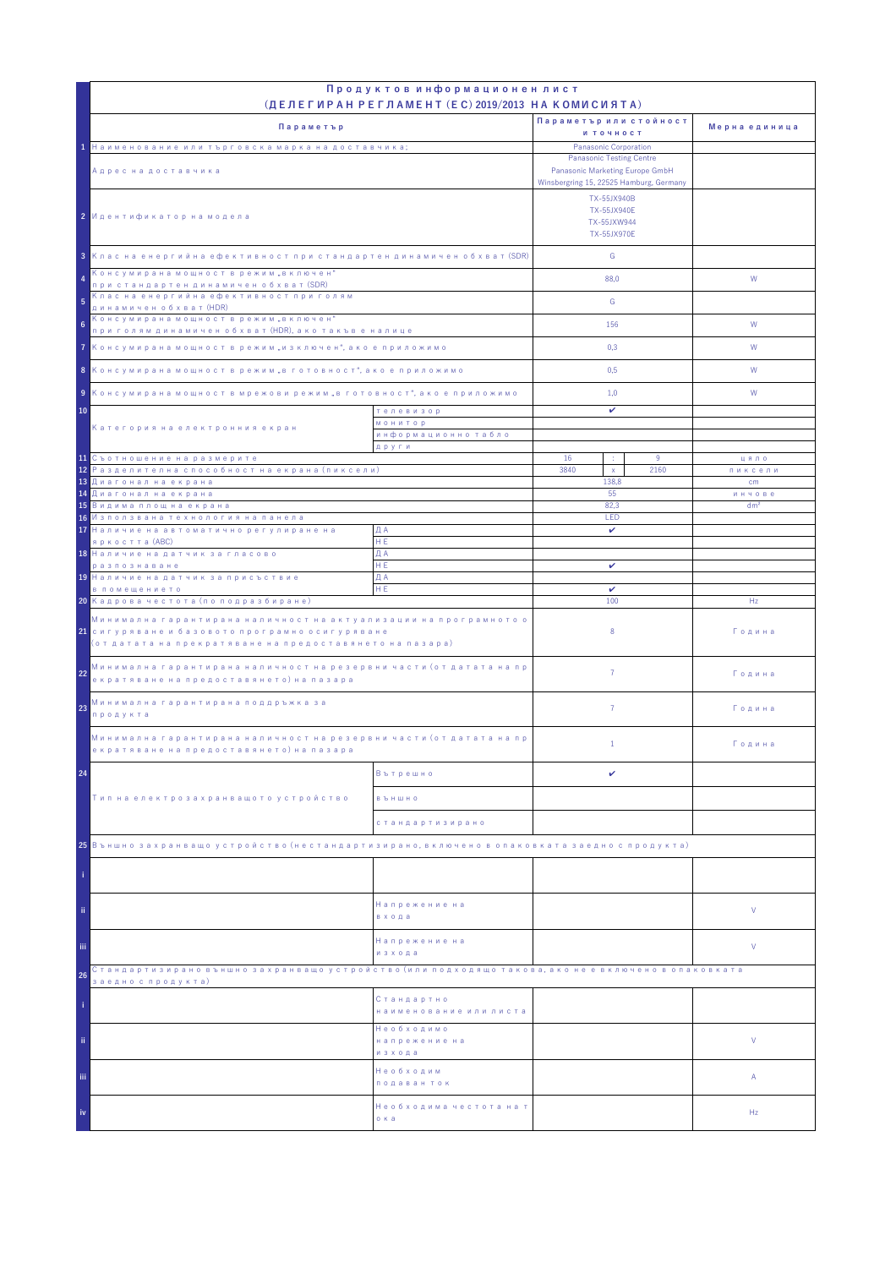|                                                                                                                                                                                            | Продуктов информационен лист<br>(ДЕЛЕГИРАН РЕГЛАМЕНТ (EC) 2019/2013 НА КОМИСИЯТА) |                                                                                                                              |                           |               |
|--------------------------------------------------------------------------------------------------------------------------------------------------------------------------------------------|-----------------------------------------------------------------------------------|------------------------------------------------------------------------------------------------------------------------------|---------------------------|---------------|
|                                                                                                                                                                                            |                                                                                   | Параметър или стойност                                                                                                       |                           |               |
| Параметър                                                                                                                                                                                  |                                                                                   | и точност                                                                                                                    |                           | Мерна единица |
| 1 Наименование или търговска марка на доставчика;                                                                                                                                          |                                                                                   | Panasonic Corporation                                                                                                        |                           |               |
| Адрес на доставчика                                                                                                                                                                        |                                                                                   | <b>Panasonic Testing Centre</b><br>Panasonic Marketing Europe GmbH<br>Winsbergring 15, 22525 Hamburg, Germany<br>TX-55JX940B |                           |               |
| 2 Идентификатор на модела                                                                                                                                                                  |                                                                                   | <b>TX-55JX940E</b><br>TX-55JXW944<br>TX-55JX970E                                                                             |                           |               |
| 3 Клас на енергийна ефективност при стандартен динамичен обхват (SDR)                                                                                                                      |                                                                                   | G                                                                                                                            |                           |               |
| Консумирана мощност в режим "включен"<br>4<br>при стандартен динамичен обхват (SDR)                                                                                                        |                                                                                   | 88.0                                                                                                                         |                           | W             |
| Клас на енергийна ефективност при голям<br>5<br>динамичен обхват (HDR)                                                                                                                     |                                                                                   | G                                                                                                                            |                           |               |
| Консумирана мощност в режим "включен"<br>6<br>при голям динамичен обхват (HDR), ако такъв е налице                                                                                         |                                                                                   | 156                                                                                                                          |                           | W             |
| 7 Консумирана мощност в режим "изключен", ако е приложимо                                                                                                                                  |                                                                                   | 0,3                                                                                                                          |                           | W             |
| 8 Консумирана мощност в режим "в готовност", ако е приложимо                                                                                                                               |                                                                                   | 0,5                                                                                                                          |                           | W             |
| 9 Консумирана мощност в мрежови режим "в готовност", ако е приложимо                                                                                                                       |                                                                                   | 1,0                                                                                                                          |                           | W             |
| 10<br>телевизор<br><b>МОНИТОР</b>                                                                                                                                                          |                                                                                   | v                                                                                                                            |                           |               |
| Категория на електронния екран                                                                                                                                                             | информационно табло                                                               |                                                                                                                              |                           |               |
| 11 Съотношение на размерите                                                                                                                                                                | други                                                                             | 16<br>÷                                                                                                                      | 9                         | цяло          |
| <mark>12</mark> Разделителна способност на екрана (пиксели)                                                                                                                                |                                                                                   | 3840<br>$\mathsf X$                                                                                                          | 2160                      | пиксели<br>cm |
| 13 Диагонал на екрана<br><mark>14 Диагонал на екрана</mark>                                                                                                                                | 138.8<br>55                                                                       |                                                                                                                              |                           |               |
| <mark>15</mark> Видима площ на екрана                                                                                                                                                      |                                                                                   | 82,3                                                                                                                         | инчове<br>dm <sup>2</sup> |               |
| 16 Използвана технология на панела                                                                                                                                                         |                                                                                   | LED                                                                                                                          |                           |               |
| 17 Наличие на автоматично регулиране на<br>яркостта (ABC)                                                                                                                                  | ДА<br>HE.                                                                         | $\checkmark$                                                                                                                 |                           |               |
| 18 Наличие на датчик за гласово                                                                                                                                                            | ДА                                                                                |                                                                                                                              |                           |               |
| разпознаване                                                                                                                                                                               | HE.                                                                               | v                                                                                                                            |                           |               |
| 19 Наличие на датчик за присъствие                                                                                                                                                         | ДА<br>HE                                                                          |                                                                                                                              |                           |               |
| в помещението<br>20 Кадрова честота (по подразбиране)                                                                                                                                      |                                                                                   | v<br>100                                                                                                                     |                           | Hz            |
| Минимална гарантирана наличност на актуализации на програмното о<br><mark>21</mark> сигуряване и базовото програмно осигуряване<br>(от датата на прекратяване на предоставянето на пазара) |                                                                                   | 8                                                                                                                            |                           | Година        |
| Минимална гарантирана наличност на резервни части (от датата на пр<br>22<br>екратяване на предоставянето) на пазара                                                                        |                                                                                   | $\overline{7}$                                                                                                               |                           | Година        |
| Минимална гарантирана поддръжка за<br>23<br>продукта                                                                                                                                       |                                                                                   | $\overline{7}$                                                                                                               |                           | Година        |
| Минимална гарантирана наличност на резервни части (от датата на пр<br>екратяване на предоставянето) на пазара                                                                              |                                                                                   | $\mathbf{1}$                                                                                                                 |                           | Година        |
| 24                                                                                                                                                                                         | Вътрешно                                                                          | v                                                                                                                            |                           |               |
| Тип на електрозахранващото устройство                                                                                                                                                      | <b>B Ъ Н Ш Н О</b>                                                                |                                                                                                                              |                           |               |
|                                                                                                                                                                                            | стандартизирано                                                                   |                                                                                                                              |                           |               |
| 25 Външно захранващо устройство (нестандартизирано, включено в опаковката заедно с продукта)                                                                                               |                                                                                   |                                                                                                                              |                           |               |
|                                                                                                                                                                                            |                                                                                   |                                                                                                                              |                           |               |
| ii.                                                                                                                                                                                        | Напрежение на<br>входа                                                            |                                                                                                                              |                           | V             |
| iii.                                                                                                                                                                                       | Напрежение на<br>изхода                                                           |                                                                                                                              |                           | V             |
| Стандартизирано външно захранващо устройство (или подходящо такова, ако не е включено в опаковката<br>26                                                                                   |                                                                                   |                                                                                                                              |                           |               |
| заедно с продукта)                                                                                                                                                                         | Стандартно<br>наименование или листа                                              |                                                                                                                              |                           |               |
| ii.                                                                                                                                                                                        | Необходимо<br>напрежение на<br>изхода                                             |                                                                                                                              |                           | V             |
| iii.                                                                                                                                                                                       | Необходим<br>подаван ток                                                          |                                                                                                                              |                           | Α             |
| iv                                                                                                                                                                                         | Необходима честота на т<br>о ка                                                   |                                                                                                                              |                           | Hz            |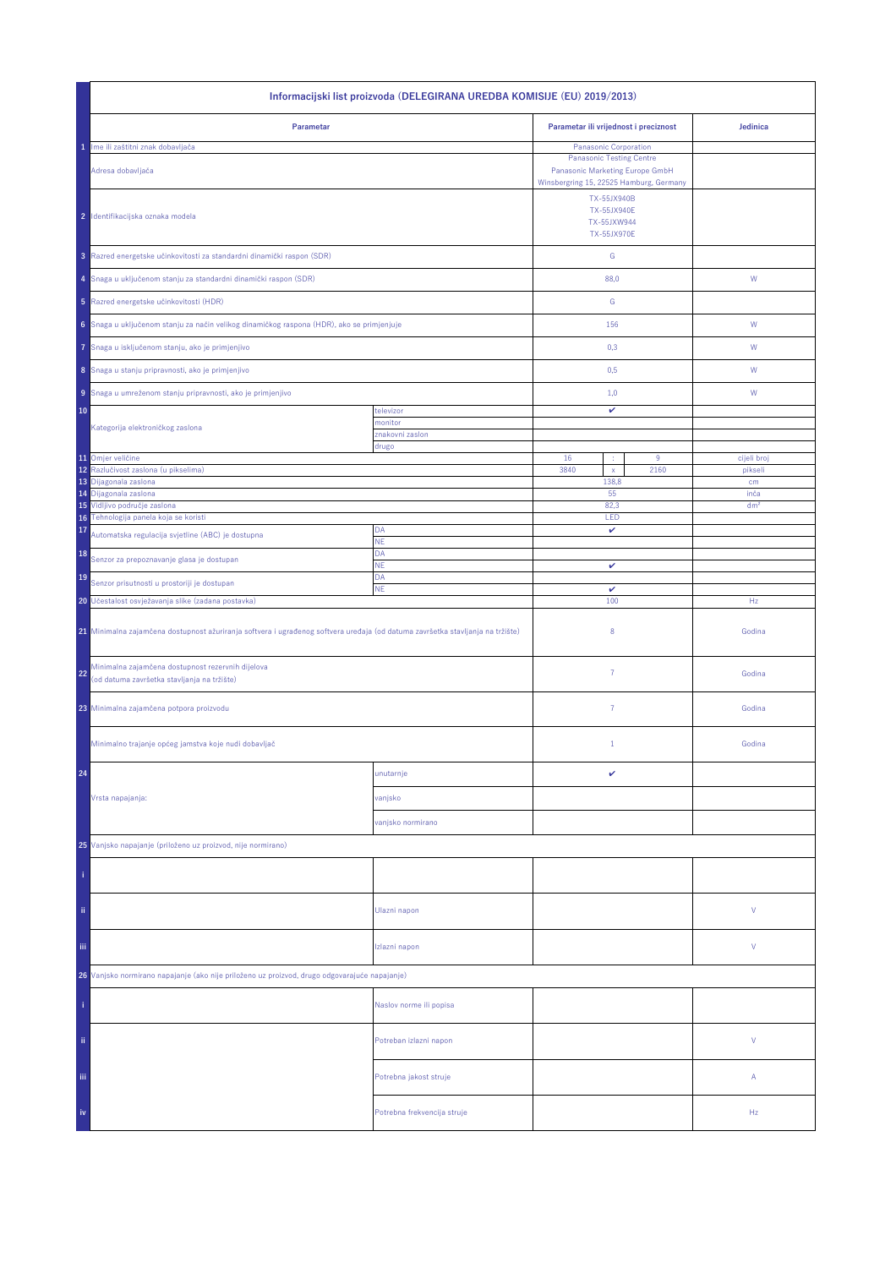| Informacijski list proizvoda (DELEGIRANA UREDBA KOMISIJE (EU) 2019/2013)                                                       |                             |                                                                                                                              |      |                 |  |
|--------------------------------------------------------------------------------------------------------------------------------|-----------------------------|------------------------------------------------------------------------------------------------------------------------------|------|-----------------|--|
| Parametar                                                                                                                      |                             | Parametar ili vrijednost i preciznost                                                                                        |      | Jedinica        |  |
| Ime ili zaštitni znak dobavljača<br>1                                                                                          |                             | Panasonic Corporation                                                                                                        |      |                 |  |
| Adresa dobavljača                                                                                                              |                             | <b>Panasonic Testing Centre</b><br>Panasonic Marketing Europe GmbH<br>Winsbergring 15, 22525 Hamburg, Germany<br>TX-55JX940B |      |                 |  |
| 2 Identifikacijska oznaka modela                                                                                               |                             | <b>TX-55JX940E</b><br>TX-55JXW944<br>TX-55JX970E                                                                             |      |                 |  |
| 3 Razred energetske učinkovitosti za standardni dinamički raspon (SDR)                                                         |                             | ${\mathbb G}$                                                                                                                |      |                 |  |
| 4 Snaga u uključenom stanju za standardni dinamički raspon (SDR)                                                               |                             | 88,0                                                                                                                         |      | W               |  |
| 5 Razred energetske učinkovitosti (HDR)                                                                                        |                             | G                                                                                                                            |      |                 |  |
| 6 Snaga u uključenom stanju za način velikog dinamičkog raspona (HDR), ako se primjenjuje                                      |                             | 156                                                                                                                          |      | ${\sf W}$       |  |
| Snaga u isključenom stanju, ako je primjenjivo<br>7                                                                            |                             | 0,3                                                                                                                          |      | W               |  |
| 8 Snaga u stanju pripravnosti, ako je primjenjivo                                                                              |                             | 0,5                                                                                                                          |      | W               |  |
| 9 Snaga u umreženom stanju pripravnosti, ako je primjenjivo                                                                    |                             | 1,0                                                                                                                          |      | W               |  |
| 10                                                                                                                             | televizor<br>monitor        | v                                                                                                                            |      |                 |  |
| Kategorija elektroničkog zaslona                                                                                               | znakovni zaslon             |                                                                                                                              |      |                 |  |
| 11 Omjer veličine                                                                                                              | drugo                       | 16                                                                                                                           | 9    | cijeli broj     |  |
| Razlučivost zaslona (u pikselima)<br>12                                                                                        |                             | 3840<br>$\mathsf X$                                                                                                          | 2160 | pikseli         |  |
| 13<br>Dijagonala zaslona                                                                                                       |                             | 138,8                                                                                                                        |      | cm              |  |
| 14 Dijagonala zaslona                                                                                                          |                             | 55                                                                                                                           |      | inča            |  |
| 15 Vidljivo područje zaslona<br>16 Tehnologija panela koja se koristi                                                          |                             | 82,3<br>LED                                                                                                                  |      | dm <sup>2</sup> |  |
| 17<br>Automatska regulacija svjetline (ABC) je dostupna                                                                        | DA<br>NE                    | v                                                                                                                            |      |                 |  |
| 18<br>Senzor za prepoznavanje glasa je dostupan                                                                                | DA<br><b>NE</b>             |                                                                                                                              |      |                 |  |
| 19<br>Senzor prisutnosti u prostoriji je dostupan                                                                              | DA                          | v<br>$\checkmark$                                                                                                            |      |                 |  |
| 20 Učestalost osvježavanja slike (zadana postavka)                                                                             | ΝE                          |                                                                                                                              | 100  | Hz              |  |
| 21 Minimalna zajamčena dostupnost ažuriranja softvera i ugrađenog softvera uređaja (od datuma završetka stavljanja na tržište) |                             | 8                                                                                                                            |      | Godina          |  |
| Minimalna zajamčena dostupnost rezervnih dijelova<br>22<br>(od datuma završetka stavljanja na tržište)                         |                             | $\overline{7}$                                                                                                               |      | Godina          |  |
| 23 Minimalna zajamčena potpora proizvodu                                                                                       |                             | 7                                                                                                                            |      | Godina          |  |
| Minimalno trajanje općeg jamstva koje nudi dobavljač                                                                           |                             | $\mathbf{1}$                                                                                                                 |      | Godina          |  |
| 24                                                                                                                             | unutarnje                   | v                                                                                                                            |      |                 |  |
| Vrsta napajanja:                                                                                                               | vanjsko                     |                                                                                                                              |      |                 |  |
|                                                                                                                                | vanjsko normirano           |                                                                                                                              |      |                 |  |
| 25 Vanjsko napajanje (priloženo uz proizvod, nije normirano)                                                                   |                             |                                                                                                                              |      |                 |  |
|                                                                                                                                |                             |                                                                                                                              |      |                 |  |
| ii.                                                                                                                            | Ulazni napon                |                                                                                                                              |      | V               |  |
| Ϊij                                                                                                                            | Izlazni napon               |                                                                                                                              |      | V               |  |
| 26 Vanjsko normirano napajanje (ako nije priloženo uz proizvod, drugo odgovarajuće napajanje)                                  |                             |                                                                                                                              |      |                 |  |
|                                                                                                                                | Naslov norme ili popisa     |                                                                                                                              |      |                 |  |
| ii.                                                                                                                            | Potreban izlazni napon      |                                                                                                                              |      | V               |  |
| iii,                                                                                                                           | Potrebna jakost struje      |                                                                                                                              |      | А               |  |
| iv                                                                                                                             | Potrebna frekvencija struje |                                                                                                                              |      | Hz              |  |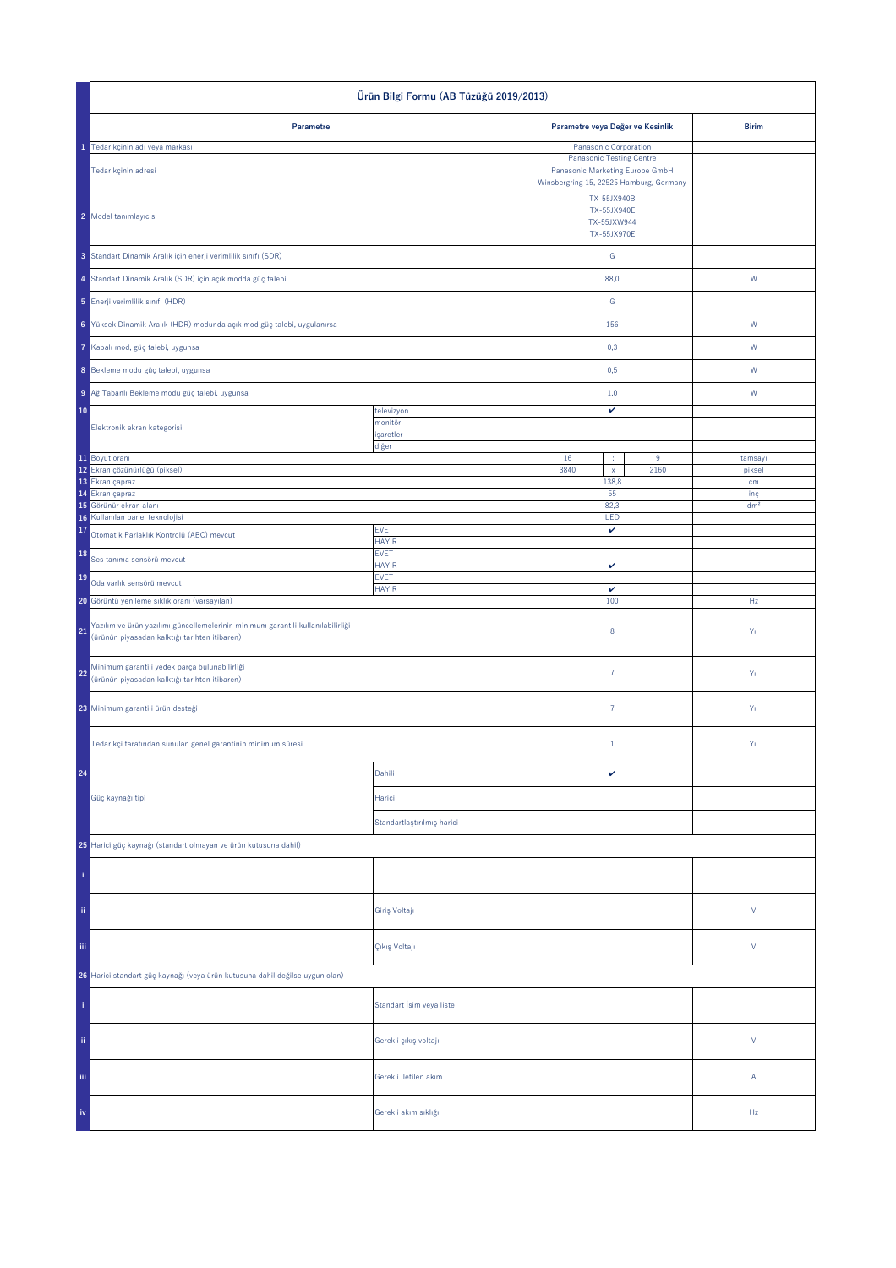| Ürün Bilgi Formu (AB Tüzüğü 2019/2013)                                                                                                 |                             |                                                                                                                                                    |                  |                 |
|----------------------------------------------------------------------------------------------------------------------------------------|-----------------------------|----------------------------------------------------------------------------------------------------------------------------------------------------|------------------|-----------------|
| Parametre                                                                                                                              |                             | Parametre veya Değer ve Kesinlik                                                                                                                   |                  | <b>Birim</b>    |
| 1 Tedarikçinin adı veya markası                                                                                                        |                             | Panasonic Corporation                                                                                                                              |                  |                 |
| Tedarikçinin adresi<br>2 Model tanımlayıcısı                                                                                           |                             | <b>Panasonic Testing Centre</b><br>Panasonic Marketing Europe GmbH<br>Winsbergring 15, 22525 Hamburg, Germany<br>TX-55JX940B<br><b>TX-55JX940E</b> |                  |                 |
|                                                                                                                                        |                             | TX-55JXW944<br>TX-55JX970E                                                                                                                         |                  |                 |
| 3 Standart Dinamik Aralık için enerji verimlilik sınıfı (SDR)                                                                          |                             | G                                                                                                                                                  |                  |                 |
| 4 Standart Dinamik Aralık (SDR) için açık modda güç talebi<br>5 Enerji verimlilik sınıfı (HDR)                                         |                             | 88,0<br>${\mathbb G}$                                                                                                                              |                  | ${\sf W}$       |
| 6 Yüksek Dinamik Aralık (HDR) modunda açık mod güç talebi, uygulanırsa                                                                 |                             | 156                                                                                                                                                |                  | W               |
| Kapalı mod, güç talebi, uygunsa                                                                                                        |                             | 0,3                                                                                                                                                |                  | W               |
| 8 Bekleme modu güç talebi, uygunsa                                                                                                     |                             | 0,5                                                                                                                                                |                  | W               |
| 9 Ağ Tabanlı Bekleme modu güç talebi, uygunsa                                                                                          |                             | 1,0                                                                                                                                                |                  | W               |
| 10                                                                                                                                     | televizyon                  | v                                                                                                                                                  |                  |                 |
| Elektronik ekran kategorisi                                                                                                            | monitör<br>işaretler        |                                                                                                                                                    |                  |                 |
|                                                                                                                                        | diğer                       |                                                                                                                                                    |                  |                 |
| 11 Boyut oranı                                                                                                                         |                             | 16<br>÷                                                                                                                                            | $\boldsymbol{9}$ | tamsayı         |
| 12 Ekran çözünürlüğü (piksel)<br>13 Ekran çapraz                                                                                       |                             | 3840<br>$\mathsf{x}$<br>138,8                                                                                                                      | 2160             | piksel<br>cm    |
| 14 Ekran çapraz                                                                                                                        |                             | 55                                                                                                                                                 |                  | inç             |
| 15 Görünür ekran alanı                                                                                                                 |                             | 82,3                                                                                                                                               |                  | dm <sup>2</sup> |
| Kullanılan panel teknolojisi<br>16<br>17<br>Otomatik Parlaklık Kontrolü (ABC) mevcut                                                   | <b>EVET</b>                 | LED<br>$\checkmark$                                                                                                                                |                  |                 |
| 18<br>Ses tanıma sensörü mevcut                                                                                                        | <b>HAYIR</b><br><b>EVET</b> |                                                                                                                                                    |                  |                 |
| 19<br>Oda varlık sensörü mevcut                                                                                                        | <b>HAYIR</b><br><b>EVET</b> | $\checkmark$                                                                                                                                       |                  |                 |
| 20 Görüntü yenileme sıklık oranı (varsayılan)                                                                                          | <b>HAYIR</b>                | v<br>100                                                                                                                                           |                  | Hz              |
| Yazılım ve ürün yazılımı güncellemelerinin minimum garantili kullanılabilirliği<br>21<br>(ürünün piyasadan kalktığı tarihten itibaren) |                             | $\bf 8$                                                                                                                                            |                  | Yıl             |
| Minimum garantili yedek parça bulunabilirliği<br>22<br>(ürünün piyasadan kalktığı tarihten itibaren)                                   |                             | $\bf 7$                                                                                                                                            |                  | Yıl             |
| 23 Minimum garantili ürün desteği                                                                                                      |                             | $\bf 7$                                                                                                                                            |                  | Yıl             |
| Tedarikçi tarafından sunulan genel garantinin minimum süresi                                                                           |                             | $1\,$                                                                                                                                              |                  | Yıl             |
| 24                                                                                                                                     | Dahili                      | $\checkmark$                                                                                                                                       |                  |                 |
| Güç kaynağı tipi                                                                                                                       | Harici                      |                                                                                                                                                    |                  |                 |
|                                                                                                                                        | Standartlaştırılmış harici  |                                                                                                                                                    |                  |                 |
| 25 Harici güç kaynağı (standart olmayan ve ürün kutusuna dahil)                                                                        |                             |                                                                                                                                                    |                  |                 |
|                                                                                                                                        |                             |                                                                                                                                                    |                  |                 |
| ii.                                                                                                                                    | Giriş Voltajı               |                                                                                                                                                    |                  | $\mathsf{V}$    |
| iii.                                                                                                                                   | Çıkış Voltajı               |                                                                                                                                                    |                  | $\mathsf{V}$    |
| 26 Harici standart güç kaynağı (veya ürün kutusuna dahil değilse uygun olan)                                                           |                             |                                                                                                                                                    |                  |                 |
|                                                                                                                                        | Standart İsim veya liste    |                                                                                                                                                    |                  |                 |
| ii.                                                                                                                                    | Gerekli çıkış voltajı       |                                                                                                                                                    |                  | $\mathsf{V}$    |
| Ϊij                                                                                                                                    | Gerekli iletilen akım       |                                                                                                                                                    |                  | Α               |
|                                                                                                                                        | Gerekli akım sıklığı        |                                                                                                                                                    |                  | Hz              |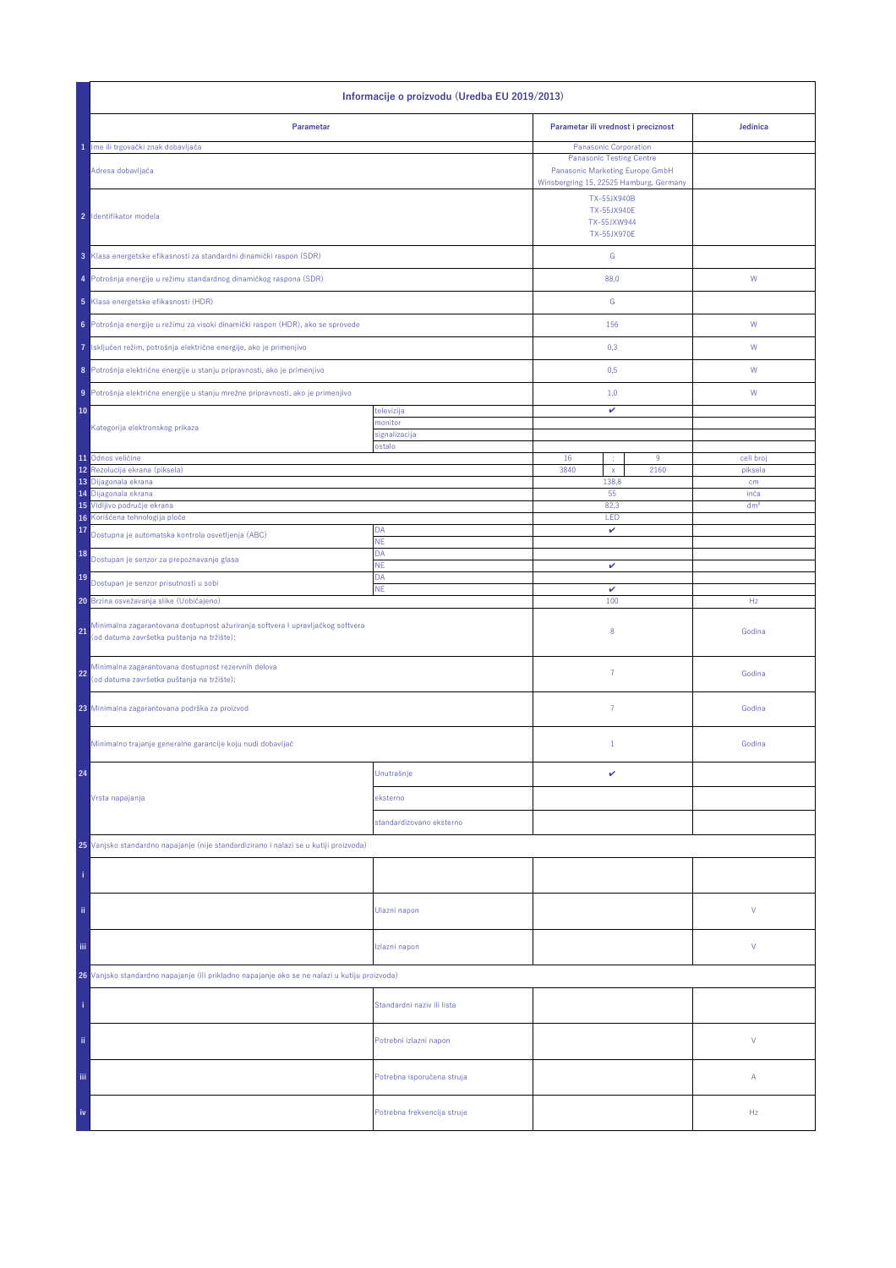| Informacije o proizvodu (Uredba EU 2019/2013)                                                                                      |                                         |                                                                        |                      |  |  |
|------------------------------------------------------------------------------------------------------------------------------------|-----------------------------------------|------------------------------------------------------------------------|----------------------|--|--|
| Parametar                                                                                                                          |                                         |                                                                        | Jedinica             |  |  |
| 1 Ime ili trgovački znak dobavljača                                                                                                |                                         | Panasonic Corporation                                                  |                      |  |  |
| Adresa dobavljača                                                                                                                  | Winsbergring 15, 22525 Hamburg, Germany |                                                                        |                      |  |  |
| 2 Identifikator modela                                                                                                             |                                         | TX-55JX940B<br><b>TX-55JX940E</b><br>TX-55JXW944<br><b>TX-55JX970E</b> |                      |  |  |
| 3 Klasa energetske efikasnosti za standardni dinamički raspon (SDR)                                                                |                                         | G                                                                      |                      |  |  |
| 4 Potrošnja energije u režimu standardnog dinamičkog raspona (SDR)                                                                 |                                         | 88,0                                                                   | W                    |  |  |
| 5 Klasa energetske efikasnosti (HDR)                                                                                               |                                         | G                                                                      |                      |  |  |
| Potrošnja energije u režimu za visoki dinamički raspon (HDR), ako se sprovede<br>6                                                 |                                         | 156                                                                    | W                    |  |  |
| Isključen režim, potrošnja električne energije, ako je primenjivo<br>7                                                             |                                         | 0,3                                                                    | W                    |  |  |
| 8 Potrošnja električne energije u stanju pripravnosti, ako je primenjivo                                                           |                                         | 0,5                                                                    | W                    |  |  |
| Potrošnja električne energije u stanju mrežne pripravnosti, ako je primenjivo<br>9 <sup>1</sup>                                    |                                         | 1,0                                                                    | W                    |  |  |
| 10                                                                                                                                 | televizija<br>nonitor                   | v                                                                      |                      |  |  |
| Kategorija elektronskog prikaza                                                                                                    | signalizacija                           |                                                                        |                      |  |  |
|                                                                                                                                    | ostalo                                  |                                                                        |                      |  |  |
| 11 Odnos veličine<br>Rezolucija ekrana (piksela)<br>12                                                                             |                                         | 16<br>9<br>÷<br>3840<br>2160<br>$\mathsf X$                            | celi broj<br>piksela |  |  |
| 13 Dijagonala ekrana<br>14 Dijagonala ekrana                                                                                       |                                         | 138,8<br>55                                                            | cm<br>inča           |  |  |
| 15 Vidljivo područje ekrana                                                                                                        |                                         | 82,3                                                                   | dm <sup>2</sup>      |  |  |
| 16 Korišćena tehnologija ploče                                                                                                     |                                         | LED                                                                    |                      |  |  |
| 17<br>Dostupna je automatska kontrola osvetljenja (ABC)                                                                            | DA<br><b>NE</b>                         | $\checkmark$                                                           |                      |  |  |
| 18<br>Dostupan je senzor za prepoznavanje glasa                                                                                    | DA<br>NE                                | $\checkmark$                                                           |                      |  |  |
| 19<br>Dostupan je senzor prisutnosti u sobi                                                                                        | DA<br><b>NE</b>                         | v                                                                      |                      |  |  |
| 20 Brzina osvežavanja slike (Uobičajeno)                                                                                           |                                         | 100                                                                    | Hz                   |  |  |
| Minimalna zagarantovana dostupnost ažuriranja softvera I upravljačkog softvera<br>21<br>(od datuma završetka puštanja na tržište): |                                         | 8                                                                      | Godina               |  |  |
| Minimalna zagarantovana dostupnost rezervnih delova<br>22<br>(od datuma završetka puštanja na tržište):                            |                                         | $\overline{7}$                                                         | Godina               |  |  |
| 23 Minimalna zagarantovana podrška za proizvod                                                                                     |                                         | $\overline{7}$                                                         | Godina               |  |  |
| Minimalno trajanje generalne garancije koju nudi dobavljač                                                                         |                                         | $1\,$                                                                  | Godina               |  |  |
| 24                                                                                                                                 | Unutrašnje                              | v                                                                      |                      |  |  |
| Vrsta napajanja                                                                                                                    | eksterno                                |                                                                        |                      |  |  |
|                                                                                                                                    | standardizovano eksterno                |                                                                        |                      |  |  |
| 25 Vanjsko standardno napajanje (nije standardizirano i nalazi se u kutiji proizvoda)                                              |                                         |                                                                        |                      |  |  |
|                                                                                                                                    |                                         |                                                                        |                      |  |  |
| ii.                                                                                                                                | Ulazni napon                            |                                                                        | V                    |  |  |
| iii.                                                                                                                               | Izlazni napon                           |                                                                        | V                    |  |  |
| 26 Vanjsko standardno napajanje (ili prikladno napajanje ako se ne nalazi u kutiju proizvoda)                                      |                                         |                                                                        |                      |  |  |
|                                                                                                                                    | Standardni naziv ili lista              |                                                                        |                      |  |  |
| ii.                                                                                                                                | Potrebni izlazni napon                  |                                                                        | V                    |  |  |
| Ϊij                                                                                                                                | Potrebna isporučena struja              |                                                                        | А                    |  |  |
| iv                                                                                                                                 | Potrebna frekvencija struje             |                                                                        | Hz                   |  |  |